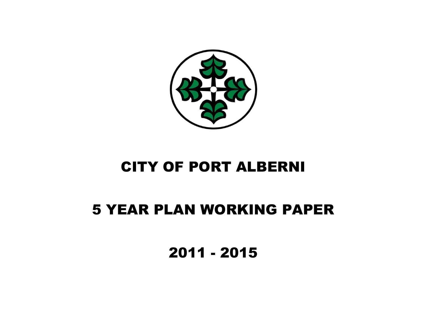

# CITY OF PORT ALBERNI

## 5 YEAR PLAN WORKING PAPER

2011 - 2015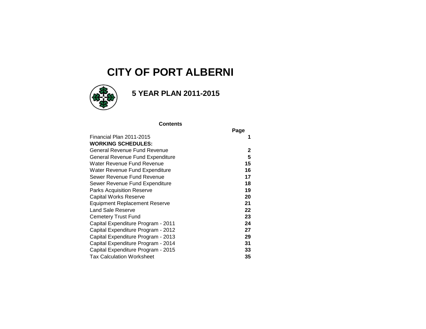### **CITY OF PORT ALBERNI**



 **5 YEAR PLAN 2011-2015**

#### **Contents**

|                                      | Page         |
|--------------------------------------|--------------|
| Financial Plan 2011-2015             |              |
| <b>WORKING SCHEDULES:</b>            |              |
| General Revenue Fund Revenue         | $\mathbf{2}$ |
| General Revenue Fund Expenditure     | 5            |
| Water Revenue Fund Revenue           | 15           |
| Water Revenue Fund Expenditure       | 16           |
| Sewer Revenue Fund Revenue           | 17           |
| Sewer Revenue Fund Expenditure       | 18           |
| <b>Parks Acquisition Reserve</b>     | 19           |
| <b>Capital Works Reserve</b>         | 20           |
| <b>Equipment Replacement Reserve</b> | 21           |
| <b>Land Sale Reserve</b>             | 22           |
| <b>Cemetery Trust Fund</b>           | 23           |
| Capital Expenditure Program - 2011   | 24           |
| Capital Expenditure Program - 2012   | 27           |
| Capital Expenditure Program - 2013   | 29           |
| Capital Expenditure Program - 2014   | 31           |
| Capital Expenditure Program - 2015   | 33           |
| <b>Tax Calculation Worksheet</b>     | 35           |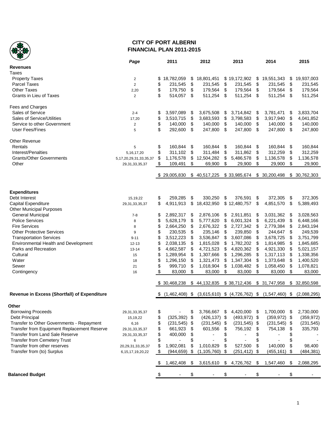

#### **CITY OF PORT ALBERNI FINANCIAL PLAN 2011-2015**

|                                              | Page                          |          | 2011             |     | 2012            | 2013             |                           | 2014                                               |      | 2015          |
|----------------------------------------------|-------------------------------|----------|------------------|-----|-----------------|------------------|---------------------------|----------------------------------------------------|------|---------------|
| <b>Revenues</b>                              |                               |          |                  |     |                 |                  |                           |                                                    |      |               |
| Taxes                                        |                               |          |                  |     |                 |                  |                           |                                                    |      |               |
| <b>Property Taxes</b>                        | $\boldsymbol{2}$              | \$       | 18,782,059       | \$  | 18,801,451      | \$19,172,902     | \$                        | 19,551,343                                         | \$   | 19,937,003    |
| <b>Parcel Taxes</b>                          | $\overline{2}$                | \$       | 231,545          | \$  | 231,545         | \$<br>231,545    | \$                        | 231,545                                            | \$   | 231,545       |
| <b>Other Taxes</b>                           | 2,20                          | \$       | 179,750          | \$  | 179,564         | \$<br>179,564    | \$                        | 179,564                                            | \$   | 179,564       |
| Grants in Lieu of Taxes                      | $\overline{2}$                | \$       | 514,057          | \$  | 511,254         | \$<br>511,254    | \$                        | 511,254                                            | \$   | 511,254       |
|                                              |                               |          |                  |     |                 |                  |                           |                                                    |      |               |
| Fees and Charges                             |                               |          |                  |     |                 |                  |                           |                                                    |      |               |
| Sales of Service                             | $2 - 4$                       | \$       | 3,597,089        | \$  | 3,675,508       | \$<br>3,714,842  | \$                        | 3,781,471                                          | \$   | 3,833,704     |
| Sales of Service/Utilities                   |                               |          |                  |     |                 |                  | \$                        |                                                    | \$   |               |
| Service to other Government                  | 17,20                         | \$       | 3,510,715        | \$  | 3,683,593       | \$<br>3,798,583  |                           | 3,917,940                                          |      | 4,041,852     |
| <b>User Fees/Fines</b>                       | $\overline{\mathbf{c}}$       | \$<br>\$ | 140,000          | \$  | 140,000         | \$<br>140,000    | \$                        | 140,000                                            | \$   | 140,000       |
|                                              | 5                             |          | 292,600          | \$  | 247,800         | \$<br>247,800    | \$                        | 247,800                                            | \$   | 247,800       |
| <b>Other Revenue</b>                         |                               |          |                  |     |                 |                  |                           |                                                    |      |               |
|                                              |                               |          |                  |     |                 |                  |                           |                                                    |      |               |
| Rentals                                      | 5                             | \$       | 160,844          | \$  | 160,844         | \$<br>160,844    | \$                        | 160,844                                            | \$   | 160,844       |
| Interest/Penalties                           | 5, 16, 17, 20                 | \$       | 311,102          | \$  | 311,484         | \$<br>311,862    | \$                        | 312,259                                            | \$   | 312,259       |
| <b>Grants/Other Governments</b>              | 5, 17, 20, 29, 31, 33, 35, 37 | \$       | 1,176,578        | \$  | 12,504,282      | \$<br>5,486,578  | \$                        | 1,136,578                                          | \$   | 1,136,578     |
| Other                                        | 29, 31, 33, 35, 37            | \$       | 109,491          | \$  | 69,900          | \$<br>29,900     | \$                        | 29,900                                             | \$   | 29,900        |
|                                              |                               |          | \$29,005,830     |     | \$40,517,225    | \$33,985,674     |                           | \$ 30,200,498                                      |      | \$30,762,303  |
|                                              |                               |          |                  |     |                 |                  |                           |                                                    |      |               |
| <b>Expenditures</b>                          |                               |          |                  |     |                 |                  |                           |                                                    |      |               |
| Debt Interest                                | 15,19,22                      | \$       | 259,285          | \$  | 330,250         | \$<br>376,591    | \$                        | 372,305                                            | \$   | 372,305       |
| Capital Expenditure                          | 29, 31, 33, 35, 37            | \$       | 4,911,913        | \$  | 18,432,950      | \$12,480,757     | \$                        | 4,851,570                                          | \$   | 5,389,493     |
| <b>Other Municipal Purposes</b>              |                               |          |                  |     |                 |                  |                           |                                                    |      |               |
|                                              |                               |          |                  |     |                 |                  |                           |                                                    |      |               |
| <b>General Municipal</b>                     | $7 - 8$                       | \$       | 2,892,317        | \$  | 2,876,106       | \$<br>2,911,851  | \$                        | 3,031,362                                          | - \$ | 3,028,563     |
| <b>Police Services</b>                       | 8                             | \$       | 5,628,179        | \$  | 5,777,620       | \$<br>6,001,324  | \$                        | 6,221,439                                          | \$   | 6,448,166     |
| <b>Fire Services</b>                         | 8                             | \$       | 2,664,250        | \$  | 2,676,322       | \$<br>2,727,342  | \$                        | 2,779,384                                          | \$   | 2,843,194     |
| <b>Other Protective Services</b>             | 9                             | \$       | 230,535          | \$  | 235,146         | \$<br>239,850    | \$                        | 244,647                                            | \$   | 249,539       |
| <b>Transportation Services</b>               | $9 - 11$                      | \$       | 3,512,223        | \$  | 3,536,847       | \$<br>3,607,086  | \$                        | 3,678,725                                          | \$   | 3,751,799     |
| Environmental Health and Development         | 12-13                         | \$       | 2,038,135        | \$  | 1,815,028       | \$<br>1,782,202  | \$                        | 1,814,985                                          | \$   | 1,845,685     |
| Parks and Recreation                         | $13 - 14$                     | \$       | 4,662,587        | \$  | 4,721,523       | \$<br>4,820,362  | \$                        | 4,921,330                                          | \$   | 5,021,157     |
| Cultural                                     | 15                            | \$       | 1,289,954        | \$  | 1,307,666       | \$<br>1,296,285  | \$                        | 1,317,113                                          | \$   | 1,338,356     |
| Water                                        | 18                            | \$       | 1,296,150        | \$  | 1,321,473       | \$<br>1,347,304  | \$                        | 1,373,648                                          | \$   | 1,400,520     |
| Sewer                                        | 21                            | \$       | 999,710          | \$  | 1,018,904       | \$<br>1,038,482  | \$                        | 1,058,450                                          | \$   | 1,078,821     |
| Contingency                                  | 16                            | \$       | 83,000           | \$  | 83,000          | \$<br>83,000     | $\boldsymbol{\mathsf{S}}$ | 83,000                                             | \$   | 83,000        |
|                                              |                               |          |                  |     |                 |                  |                           |                                                    |      |               |
|                                              |                               |          | \$ 30,468,238    | \$  | 44,132,835      | \$38,712,436     |                           | \$ 31,747,958                                      |      | \$ 32,850,598 |
| Revenue in Excess (Shortfall) of Expenditure |                               | S.       | $(1,462,408)$ \$ |     |                 |                  |                           | $(3,615,610)$ \$ $(4,726,762)$ \$ $(1,547,460)$ \$ |      | (2,088,295)   |
| Other                                        |                               |          |                  |     |                 |                  |                           |                                                    |      |               |
| <b>Borrowing Proceeds</b>                    | 29, 31, 33, 35, 37            | \$       |                  | \$  | 3,766,667       | \$<br>4,420,000  | \$                        | 1,700,000                                          | \$   | 2,730,000     |
| Debt Principal                               |                               | \$       | $(325, 392)$ \$  |     | $(426, 137)$ \$ | $(493, 972)$ \$  |                           | $(359, 972)$ \$                                    |      | (359, 972)    |
| Transfer to Other Governments - Repayment    | 15,19,22                      | \$       | $(231, 545)$ \$  |     | $(231, 545)$ \$ | $(231, 545)$ \$  |                           | $(231, 545)$ \$                                    |      | (231, 545)    |
| Transfer from Equipment Replacement Reserve  | 6,16                          |          |                  |     | 601,556         | 756,192          |                           | 754,138                                            |      |               |
|                                              | 29,31,33,35,37                | \$       | 661,923          | \$  |                 | \$               | -\$                       |                                                    | \$   | 335,793       |
| Transfer from Land Sale Reserve              | 29, 31, 33, 35, 37            | \$       | 400,000          | \$  |                 | \$               | \$                        |                                                    | \$   |               |
| <b>Transfer from Cemetery Trust</b>          | 6                             | \$       |                  | \$  |                 | \$               | \$                        |                                                    | \$   |               |
| Transfer from other reserves                 | 20, 29, 31, 33, 35, 37        | \$       | 1,902,081        | \$  | 1,010,829       | \$<br>527,500    | \$                        | 140,000                                            | \$   | 98,400        |
| Transfer from (to) Surplus                   | 6, 15, 17, 19, 20, 22         | \$       | (944, 659)       | \$  | (1, 105, 760)   | \$<br>(251, 412) | - \$                      | $(455, 161)$ \$                                    |      | (484, 381)    |
|                                              |                               |          | 1,462,408        | -\$ | 3,615,610       | \$4,726,762      | -\$                       | 1,547,460                                          | \$   | 2,088,295     |
| <b>Balanced Budget</b>                       |                               |          |                  | \$  |                 | \$               |                           |                                                    |      |               |
|                                              |                               |          |                  |     |                 |                  |                           |                                                    |      |               |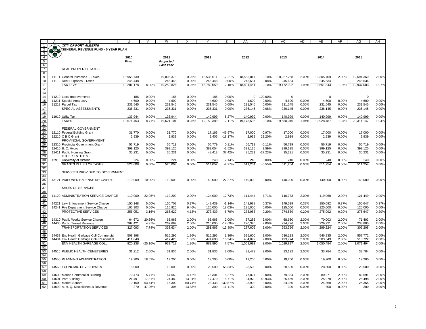|                         | A | B                                          | U          | $\vee$    | W                | $\times$ | Y          | Z         | AA          | AB          | AC         | <b>AD</b> | AE         | AF    | AG          | AH    |
|-------------------------|---|--------------------------------------------|------------|-----------|------------------|----------|------------|-----------|-------------|-------------|------------|-----------|------------|-------|-------------|-------|
|                         |   | <b>CITY OF PORT ALBERNI</b>                |            |           |                  |          |            |           |             |             |            |           |            |       |             |       |
|                         |   | <b>GENERAL REVENUE FUND - 5 YEAR PLAN</b>  |            |           |                  |          |            |           |             |             |            |           |            |       |             |       |
| $\overline{\mathbf{3}}$ |   |                                            |            |           |                  |          |            |           |             |             |            |           |            |       |             |       |
| $\frac{1}{4}$           |   |                                            | 2010       |           |                  |          |            |           |             |             |            |           | 2014       |       | 2015        |       |
|                         |   |                                            |            |           | 2011             |          | 2011       |           | 2012        |             | 2013       |           |            |       |             |       |
| 5                       |   |                                            | Final      |           | Projected        |          |            |           |             |             |            |           |            |       |             |       |
| $6\overline{6}$         |   |                                            |            |           | <b>Last Year</b> |          |            |           |             |             |            |           |            |       |             |       |
| $\frac{1}{7}$           |   | <b>REAL PROPERTY TAXES</b>                 |            |           |                  |          |            |           |             |             |            |           |            |       |             |       |
|                         |   |                                            |            |           |                  |          |            |           |             |             |            |           |            |       |             |       |
| $rac{8}{10}$            |   | 11111 General Purposes - Taxes             | 18,955,730 |           | 19,005,378       | 0.26%    | 18,536,611 | $-2.21%$  | 18,555,817  | 0.10%       | 18,927,268 | 2.00%     | 19,305,709 | 2.00% | 19,691,369  | 2.00% |
|                         |   | 11112 Debt Purposes - Taxes                | 245,448    |           | 245,448          | 0.00%    | 245,448    | 0.00%     | 245,634     | 0.08%       | 245,634    |           | 245,634    |       | 245,634     |       |
|                         |   | <b>TAX LEVY</b>                            | 19,201,178 |           | 19,250,826       | 0.26%    | 18,782,059 | $-2.18%$  | 18,801,451  | 0.10%       | 19,172,902 | 1.98%     | 19,551,343 |       | 19,937,003  | 1.97% |
|                         |   |                                            |            | 8.90%     |                  |          |            |           |             |             |            |           |            | 1.97% |             |       |
|                         |   |                                            |            |           |                  |          |            |           |             |             |            |           |            |       |             |       |
|                         |   |                                            |            |           |                  |          |            |           |             |             |            |           |            |       |             |       |
|                         |   | 11210 Local Improvements                   | 186        | 0.00%     | 186              | 0.00%    | 186        | 0.00%     | $\mathbf 0$ | $-100.00\%$ | 0          |           | $\Omega$   |       | $\mathbf 0$ |       |
|                         |   | 11211 Special Area Levy                    | 4,600      | 0.00%     | 4,600            | 0.00%    | 4,600      | 0.00%     | 4,600       | 0.00%       | 4,600      | 0.00%     | 4,600      | 0.00% | 4,600       | 0.00% |
|                         |   | 11212 Parcel Tax                           | 231,545    | 0.00%     | 231,545          | 0.00%    | 231,545    | 0.00%     | 231,545     | 0.00%       | 231,545    | 0.00%     | 231,545    | 0.00% | 231,545     | 0.00% |
|                         |   | SPECIAL ASSESSMENTS                        | 236,331    | 0.00%     | 236,331          | 0.00%    | 236,331    | 0.00%     | 236,145     | $-0.08%$    | 236,145    | 0.00%     | 236,145    | 0.00% | 236,145     | 0.00% |
|                         |   |                                            |            |           |                  |          |            |           |             |             |            |           |            |       |             |       |
|                         |   | 11910 Utility Tax                          | 133,944    | 0.00%     | 133,944          | 0.00%    | 140,999    | 5.27%     | 140,999     | 0.00%       | 140,999    | 0.00%     | 140,999    | 0.00% | 140,999     | 0.00% |
|                         |   |                                            |            |           |                  |          |            |           |             |             |            |           |            |       |             |       |
|                         |   | <b>TAXES</b>                               | 19.571.453 | 8.71%     | 19.621.101       | 0.25%    | 19,159,389 | $-2.11%$  | 19,178,595  | 0.10%       | 19,550,046 | 1.94%     | 19,928,487 | 1.94% | 20,314,147  | 1.94% |
|                         |   |                                            |            |           |                  |          |            |           |             |             |            |           |            |       |             |       |
|                         |   | FEDERAL GOVERNMENT                         |            |           |                  |          |            |           |             |             |            |           |            |       |             |       |
|                         |   | 12110 Federal Building Grant               | 31,770     | 0.00%     | 31,770           | 0.00%    | 17,166     | $-45.97%$ | 17,000      | $-0.97%$    | 17,000     | 0.00%     | 17,000     | 0.00% | 17,000      | 0.00% |
|                         |   | 12210 C B C Grant                          | 2,939      | 0.00%     | 2,939            | 0.00%    | 2.405      | $-18.17%$ | 2,939       | 22.20%      | 2,939      | 0.00%     | 2.939      | 0.00% | 2,939       | 0.00% |
|                         |   | PROVINCIAL GOVERNMENT                      |            |           |                  |          |            |           |             |             |            |           |            |       |             |       |
|                         |   | 12310 Provincial Government Grant          | 56,719     | 0.00%     | 56,719           | 0.00%    | 56,779     | 0.11%     | 56,719      | $-0.11%$    | 56,719     | 0.00%     | 56,719     | 0.00% | 56,719      | 0.00% |
|                         |   | 12410 B. C. Hydro                          | 399,125    | 0.00%     | 399,125          | 0.00%    | 389,054    | $-2.52%$  | 399,125     | 2.59%       | 399,125    | 0.00%     | 399,125    | 0.00% | 399,125     | 0.00% |
|                         |   |                                            |            |           |                  |          |            |           |             |             |            |           |            |       |             |       |
|                         |   | 12411 Public Housing Grant                 | 35,231     | 0.00%     | 35,231           | 0.00%    | 48,413     | 37.42%    | 35,231      | -27.23%     | 35,231     | 0.00%     | 35,231     | 0.00% | 35,231      | 0.00% |
|                         |   | OTHER ENTITIES                             |            |           |                  |          |            |           |             |             |            |           |            |       |             |       |
|                         |   | 12910 University of Victoria               | 224        | 0.00%     | 224              | 0.00%    | 240        | 7.14%     | 240         | 0.00%       | 240        | 0.00%     | 240        | 0.00% | 240         | 0.00% |
|                         |   | <b>GRANTS IN LIEU OF TAXES</b>             | 526.008    | 0.00%     | 526.008          | 0.00%    | 514.057    | $-2.27%$  | 511.254     | $-0.55%$    | 511.254    | 0.00%     | 511.254    | 0.00% | 511.254     | 0.00% |
|                         |   |                                            |            |           |                  |          |            |           |             |             |            |           |            |       |             |       |
|                         |   | SERVICES PROVIDED TO GOVERNMENT            |            |           |                  |          |            |           |             |             |            |           |            |       |             |       |
|                         |   |                                            |            |           |                  |          |            |           |             |             |            |           |            |       |             |       |
|                         |   |                                            | 110,000    | 10.00%    |                  | 0.00%    | 140,000    | 27.27%    | 140,000     | 0.00%       | 140,000    | 0.00%     | 140,000    | 0.00% |             | 0.00% |
|                         |   | 13121 PRISONER EXPENSE RECOVERY            |            |           | 110,000          |          |            |           |             |             |            |           |            |       | 140,000     |       |
|                         |   |                                            |            |           |                  |          |            |           |             |             |            |           |            |       |             |       |
|                         |   | <b>SALES OF SERVICES</b>                   |            |           |                  |          |            |           |             |             |            |           |            |       |             |       |
|                         |   |                                            |            |           |                  |          |            |           |             |             |            |           |            |       |             |       |
|                         |   | 14120 ADMINISTRATION SERVICE CHARGE        | 110,000    | 22.05%    | 112,200          | 2.00%    | 124,000    | 12.73%    | 114,444     | $-7.71%$    | 116,733    | 2.00%     | 119,068    | 2.00% | 121,449     | 2.00% |
|                         |   |                                            |            |           |                  |          |            |           |             |             |            |           |            |       |             |       |
|                         |   | 14221 Law Enforcement Service Charge       | 150,148    | 5.00%     | 150,702          | 0.37%    | 148,439    | $-1.14%$  | 148,988     | 0.37%       | 149,539    | 0.37%     | 150,092    | 0.37% | 150,647     | 0.37% |
|                         |   | 14241 Fire Department Service Charge       | 105,903    | 0.66%     | 115,920          | 9.46%    | 125,000    | 18.03%    | 125,000     | 0.00%       | 125,000    | 0.00%     | 125,000    | 0.00% | 125,000     | 0.00% |
|                         |   |                                            |            |           |                  |          |            |           |             |             |            |           |            |       |             |       |
|                         |   | PROTECTIVE SERVICES                        | 256,051    | 3.16%     | 266,622          | 4.13%    | 273,439    | 6.79%     | 273,988     | 0.20%       | 274,539    | 0.20%     | 275,092    | 0.20% | 275,647     | 0.20% |
|                         |   |                                            |            |           |                  |          |            |           |             |             |            |           |            |       |             |       |
|                         |   | 14310 Public Works Service Charge          | 64,672     | 20.66%    | 65,965           | 2.00%    | 65,965     | 2.00%     | 67,285      | 2.00%       | 68,630     | 2.00%     | 70,003     | 2.00% | 71,403      | 2.00% |
|                         |   | 14400 Public Transit Revenue               | 262,421    | 4.97%     | 267,669          | 2.00%    | 216,000    | -17.69%   | 220,320     | 2.00%       | 224,726    | 2.00%     | 229,221    | 2.00% | 233,805     | 2.00% |
|                         |   | <b>TRANSPORTATION SERVICES</b>             | 327,093    | 7.74%     | 333,634          | 2.00%    | 281,965    | $-13.80%$ | 287,605     | 2.00%       | 293,356    | 2.00%     | 299,224    | 2.00% | 305,208     | 2.00% |
|                         |   |                                            |            |           |                  |          |            |           |             |             |            |           |            |       |             |       |
|                         |   | 14433 Env Health Garbage Coll-Commercial   | 508,398    |           | 515,295          | 1.36%    | 515,295    | 1.36%     | 525,600     | 2.00%       | 536,113    | 2.00%     | 546,835    | 2.00% | 557,772     | 2.00% |
|                         |   |                                            | 411,840    |           |                  |          |            |           |             |             |            |           |            | 2.00% |             | 2.00% |
|                         |   | 14434 Env Health Garbage Coll- Residential |            |           | 417,423          | 1.36%    | 474,600    | 15.24%    | 484,092     | 2.00%       | 493,774    | 2.00%     | 503,649    |       | 513,722     |       |
|                         |   | ENV HEALTH GARBAGE COLL                    | 920,238    | $-25.16%$ | 932,718          | 1.36%    | 989,895    | 7.57%     | 1,009,692   | 2.00%       | 1,029,887  | 2.00%     | 1,050,484  | 2.00% | 1,071,494   | 2.00% |
|                         |   |                                            |            |           |                  |          |            |           |             |             |            |           |            |       |             |       |
|                         |   | 14516 PUBLIC HEALTH-CEMETERIES             | 31,212     | 2.00%     | 31,836           | 2.00%    | 31,836     | 2.00%     | 32,473      | 2.00%       | 33,122     | 2.00%     | 33,784     | 2.00% | 33,784      | 0.00% |
|                         |   |                                            |            |           |                  |          |            |           |             |             |            |           |            |       |             |       |
|                         |   | 14550 PLANNING ADMINISTRATION              | 19,200     | 18.52%    | 19,200           | 0.00%    | 19.200     | 0.00%     | 19,200      | 0.00%       | 19.200     | 0.00%     | 19.200     | 0.00% | 19,200      | 0.00% |
|                         |   |                                            |            |           |                  |          |            |           |             |             |            |           |            |       |             |       |
|                         |   | 14560 ECONOMIC DEVELOPMENT                 | 18,000     |           |                  | 0.00%    | 28,500     | 58.33%    |             | 0.00%       |            | 0.00%     | 28,500     | 0.00% |             | 0.00% |
|                         |   |                                            |            |           | 18,000           |          |            |           | 28,500      |             | 28,500     |           |            |       | 28,500      |       |
|                         |   |                                            |            |           |                  |          |            |           |             |             |            |           |            |       |             |       |
|                         |   | 14600 Marine Commercial Building           | 70,473     | 5.71%     | 67,569           | $-4.12%$ | 76,301     | 8.27%     | 77,827      | 2.00%       | 79,384     | 2.00%     | 80,971     | 2.00% | 82,591      | 2.00% |
|                         |   | 14601 Port Building                        | 21,491     | 17.31%    | 24,480           | 13.91%   | 17.470     | $-18.71%$ | 24,970      | 42.93%      | 25,469     | 2.00%     | 25,978     | 2.00% | 26,498      | 2.00% |
|                         |   | 14602 Market Square                        | 10.150     | $-63.44%$ | 15,300           | 50.74%   | 23.433     | 130.87%   | 23.902      | 2.00%       | 24.380     | 2.00%     | 24,868     | 2.00% | 25,365      | 2.00% |
| 62                      |   | 14690 A. H. Q. Miscellaneous Revenue       | 270        | $-47.06%$ | 306              | 13.33%   | 300        | 11.11%    | 300         | 0.00%       | 300        | 0.00%     | 300        | 0.00% | 300         | 0.00% |
|                         |   |                                            |            |           |                  |          |            |           |             |             |            |           |            |       |             |       |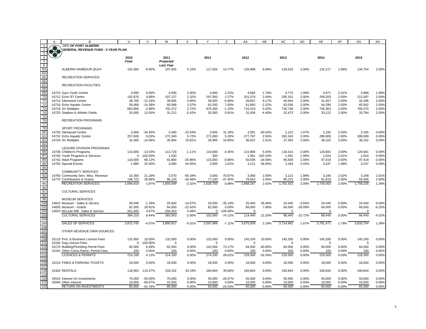|                                        | A | B                                         | U            | $\mathcal{U}$ | W                |           | ٧            | Z           | AA          | AB        | AC          | AD        | AE        | AF    | AG             | AH       |
|----------------------------------------|---|-------------------------------------------|--------------|---------------|------------------|-----------|--------------|-------------|-------------|-----------|-------------|-----------|-----------|-------|----------------|----------|
|                                        |   |                                           |              |               |                  |           |              |             |             |           |             |           |           |       |                |          |
|                                        |   | <b>CITY OF PORT ALBERNI</b>               |              |               |                  |           |              |             |             |           |             |           |           |       |                |          |
| $\overline{2}$                         |   | <b>GENERAL REVENUE FUND - 5 YEAR PLAN</b> |              |               |                  |           |              |             |             |           |             |           |           |       |                |          |
| 3                                      |   |                                           |              |               |                  |           |              |             |             |           |             |           |           |       |                |          |
| $\frac{4}{5}$                          |   |                                           | 2010         |               | 2011             |           | 2011         |             | 2012        |           | 2013        |           | 2014      |       | 2015           |          |
|                                        |   |                                           | <b>Final</b> |               | Projected        |           |              |             |             |           |             |           |           |       |                |          |
|                                        |   |                                           |              |               | <b>Last Year</b> |           |              |             |             |           |             |           |           |       |                |          |
| $\begin{array}{c} 6 \\ 63 \end{array}$ |   | ALBERNI HARBOUR QUAY                      |              | $-9.60%$      |                  | 5.15%     | 117.504      | 14.77%      |             | 8.08%     |             | 2.00%     | 132.117   | 1.99% |                |          |
|                                        |   |                                           | 102,384      |               | 107,655          |           |              |             | 126,999     |           | 129,533     |           |           |       | 134,754        | 2.00%    |
| $\frac{64}{64}$                        |   |                                           |              |               |                  |           |              |             |             |           |             |           |           |       |                |          |
| 65                                     |   | <b>RECREATION SERVICES</b>                |              |               |                  |           |              |             |             |           |             |           |           |       |                |          |
| 66                                     |   |                                           |              |               |                  |           |              |             |             |           |             |           |           |       |                |          |
| 67                                     |   | <b>RECREATION FACILITIES</b>              |              |               |                  |           |              |             |             |           |             |           |           |       |                |          |
| 68                                     |   |                                           |              |               |                  |           |              |             |             |           |             |           |           |       |                |          |
| 69                                     |   | 14710 Gyro Youth Centre                   | 4,500        | 0.00%         | 4,590            | 2.00%     | 4,600        | 2.22%       | 4,682       | 1.78%     | 4,775       | 1.99%     | 4,871     | 2.01% | 4,968          | 1.99%    |
| 70                                     |   |                                           |              |               |                  |           |              |             |             |           |             |           |           |       |                |          |
|                                        |   | 14712 Echo '67 Centre                     | 192,676      | 4.88%         | 197,137          | 2.32%     | 197,050      | 2.27%       | 201,079     | 2.04%     | 205,101     | 2.00%     | 209,203   | 2.00% | 213,387        | 2.00%    |
| 71                                     |   | 14714 Glenwood Centre                     | 38,700       | $-12.24%$     | 39,066           | 0.95%     | 36,500       | $-5.68%$    | 39,847      | 9.17%     | 40,644      | 2.00%     | 41,457    | 2.00% | 42,286         | 2.00%    |
| 72                                     |   | 14716 Echo Aquatic Centre                 | 59,068       | $-14.39%$     | 60,588           | 2.57%     | 63,200       | 7.00%       | 61,800      | $-2.22%$  | 63,036      | 2.00%     | 64,296    | 2.00% | 65,582         | 2.00%    |
| 73                                     |   | 14718 AV Multiplex                        | 683,800      | $-2.88%$      | 702,372          | 2.72%     | 676,300      | $-1.10%$    | 716,419     | 5.93%     | 730,748     | 2.00%     | 745,363   | 2.00% | 760,270        | 2.00%    |
| 74                                     |   | 14720 Stadium & Athletic Fields           | 33,000       | 12.63%        | 31,212           | $-5.42%$  | 33.300       | 0.91%       | 31.836      | $-4.40%$  | 32.473      | 2.00%     | 33.122    | 2.00% | 33.784         | 2.00%    |
| 75                                     |   |                                           |              |               |                  |           |              |             |             |           |             |           |           |       |                |          |
| 76                                     |   | <b>RECREATION PROGRAMS</b>                |              |               |                  |           |              |             |             |           |             |           |           |       |                |          |
|                                        |   |                                           |              |               |                  |           |              |             |             |           |             |           |           |       |                |          |
| 77                                     |   |                                           |              |               |                  |           |              |             |             |           |             |           |           |       |                |          |
| 78                                     |   | SPORT PROGRAMS                            |              |               |                  |           |              |             |             |           |             |           |           |       |                |          |
| 80                                     |   | 14730 Glenwood Centre                     | 2,668        | $-34.93%$     | 2,040            | $-23.54%$ | 3,500        | 31.18%      | 2,081       | $-40.54%$ | 2,122       | 1.97%     | 2,165     | 2.03% | 2,165          | 0.00%    |
| 81                                     |   | 14732 Echo Aguatic Centre                 | 257.600      | 0.03%         | 272,340          | 5.72%     | 271.000      | 5.20%       | 277.787     | 2.50%     | 283.343     | 2.00%     | 289.009   | 2.00% | 289.009        | 0.00%    |
| 82                                     |   | 14734 AV Multiplex                        | 32,400       | $-14.06%$     | 35,904           | 10.81%    | 35,900       | 10.80%      | 36,622      | 2.01%     | 37,355      | 2.00%     | 38,102    | 2.00% | 38,102         | 0.00%    |
| $rac{1}{84}$                           |   |                                           |              |               |                  |           |              |             |             |           |             |           |           |       |                |          |
| 85                                     |   | LEISURE DIVISION PROGRAMS                 |              |               |                  |           |              |             |             |           |             |           |           |       |                |          |
|                                        |   |                                           |              |               |                  |           |              |             |             |           |             |           |           |       |                |          |
| 86                                     |   | 14738 Children's Programs                 | 115,000      | $-13.53%$     | 113,720          | $-1.11%$  | 110,000      | $-4.35%$    | 115,994     | 5.45%     | 118,314     | 2.00%     | 120,681   | 2.00% | 120,681        | 0.00%    |
| 87                                     |   | 14740 Youth Programs & Services           | $\mathbf 0$  | $-100.00\%$   | 1,530            |           | 300          |             | 1,561       | 420.33%   | 1,592       | 1.99%     | 1,624     | 2.01% | 1,624          | 0.00%    |
| 88                                     |   | 14742 Adult Programs                      | 116,000      | 68.12%        | 91,800           | $-20.86%$ | 115,000      | $-0.86%$    | 93.636      | $-18.58%$ | 95.509      | 2.00%     | 97.419    | 2.00% | 97.419         | 0.00%    |
| 89                                     |   | 14750 Special Events                      | 1,980        | 32.00%        | 3,060            | 54.55%    | 2,000        | 1.01%       | 3,121       | 56.05%    | 3.184       | 2.02%     | 3,247     | 1.98% | 3,247          | 0.00%    |
| 90                                     |   |                                           |              |               |                  |           |              |             |             |           |             |           |           |       |                |          |
| 91                                     |   | <b>COMMUNITY SERVICES</b>                 |              |               |                  |           |              |             |             |           |             |           |           |       |                |          |
| 92                                     |   | 14760 Community Serv. Misc. Revenue       | 10,300       | 21.18%        | 3,570            | $-65.34%$ | 3,000        | -70.87%     | 3,060       | 2.00%     | 3,121       | 1.99%     | 3,184     | 2.02% | 3,248          | 2.01%    |
|                                        |   |                                           |              |               |                  |           |              |             |             |           |             |           |           |       |                |          |
| 94                                     |   | 14770 Contributions & Grants              | 146,722      | 26.68%        | 96,120           | $-34.49%$ | 77,100       | $-47.45%$   | 78,642      | 2.00%     | 80,215      | 2.00%     | 81,819    | 2.00% | 83,456         | 2.00%    |
| 95                                     |   | <b>RECREATION SERVICES</b>                | 1.694.414    | 1.87%         | 1.655.049        | $-2.32%$  | 1.628.750    | $-3.88%$    | 1.668.167   | 2.42%     | 1,701,532   | 2.00%     | 1,735,562 | 2.00% | 1,759,228      | 1.36%    |
| 96                                     |   |                                           |              |               |                  |           |              |             |             |           |             |           |           |       |                |          |
| 97                                     |   | <b>CULTURAL SERVICES</b>                  |              |               |                  |           |              |             |             |           |             |           |           |       |                |          |
| 98                                     |   |                                           |              |               |                  |           |              |             |             |           |             |           |           |       |                |          |
| 99                                     |   | <b>MUSEUM SERVICES</b>                    |              |               |                  |           |              |             |             |           |             |           |           |       |                |          |
| 100                                    |   | 14810 Museum - Sales & Service            | 30,048       | $-1.29%$      | 25,640           | $-14.67%$ | 19,500       | $-35.10%$   | 25,440      | 30.46%    | 24,440      | $-3.93%$  | 24,440    | 0.00% | 24,440         | 0.00%    |
|                                        |   |                                           |              |               |                  |           |              |             |             |           |             |           |           |       |                |          |
| 101                                    |   | 14830 Museum - Grants                     | 82,500       | 28.91%        | 64,000           | $-22.42%$ | 82.500       | 0.00%       | 89,000      | 7.88%     | 64,000      | $-28.09%$ | 64,000    | 0.00% | 60,000         | $-6.25%$ |
| 102                                    |   | 14910 McLean Mill - Sales & Service       | 281,605      | 4.67%         | 294,263          | 4.49%     | $\mathbf{0}$ | $-100.00\%$ | $\Omega$    |           | 0           |           | 0         |       | $\overline{0}$ |          |
| 103                                    |   | <b>CULTURAL SERVICES</b>                  | 394.153      | 8.44%         | 383.903          | $-2.60%$  | 102,000      | $-74.12%$   | 114,440     | 12.20%    | 88,440      | $-22.72%$ | 88,440    | 0.00% | 84,440         | $-4.52%$ |
| 104                                    |   |                                           |              |               |                  |           |              |             |             |           |             |           |           |       |                |          |
| 105                                    |   | <b>SALES OF SERVICES</b>                  | 3,872,745    | $-4.57%$      | 3.860.817        | $-0.31%$  | 3,597,089    | $-7.12%$    | 3,675,508   | 2.18%     | 3,714,842   | 1.07%     | 3,781,471 | 1.79% | 3,833,704      | 1.38%    |
| 106                                    |   |                                           |              |               |                  |           |              |             |             |           |             |           |           |       |                |          |
| 107                                    |   | OTHER REVENUE OWN SOURCES                 |              |               |                  |           |              |             |             |           |             |           |           |       |                |          |
|                                        |   |                                           |              |               |                  |           |              |             |             |           |             |           |           |       |                |          |
| 108                                    |   |                                           |              |               |                  |           |              |             |             |           |             |           |           |       |                |          |
| 109                                    |   | 15110 Prof. & Business Licence Fees       | 132.000      | 10.00%        | 132,000          | 0.00%     | 132,000      | 0.00%       | 145.200     | 10.00%    | 145,200     | 0.00%     | 145,200   | 0.00% | 145,200        | 0.00%    |
| 111                                    |   | 15160 Dog Licence Fees                    | $\mathbf{0}$ | $-100.00\%$   | $\mathbf 0$      |           | $\Omega$     |             | $\mathbf 0$ |           | $\mathbf 0$ |           | $\Omega$  |       | $\mathbf 0$    |          |
| 112                                    |   | 15170 Building/Plumbing Permit Fees       | 82,000       | 6.49%         | 82,000           | 0.00%     | 142,000      | 73.17%      | 84,000      | -40.85%   | 84,000      | 0.00%     | 84,000    | 0.00% | 84,000         | 0.00%    |
| 113                                    |   | 15181 Other Const./Demo. Permit Fees      | 100          | 0.00%         | 100              | 0.00%     | 100          | 0.00%       | 100         | 0.00%     | 100         | 0.00%     | 100       | 0.00% | 100            | 0.00%    |
| 114                                    |   | <b>LICENCES &amp; PERMITS</b>             | 214,100      | 4.13%         | 214,100          | 0.00%     | 274,100      | 28.02%      | 229,300     | $-16.34%$ | 229,300     | 0.00%     | 229.300   | 0.00% | 229,300        | 0.00%    |
| 115                                    |   |                                           |              |               |                  |           |              |             |             |           |             |           |           |       |                |          |
|                                        |   |                                           |              |               |                  |           |              |             |             |           |             |           |           |       |                |          |
| 116                                    |   | 15210 FINES & PARKING TICKETS             | 18,500       | 0.00%         | 18,500           | 0.00%     | 18,500       | 0.00%       | 18,500      | 0.00%     | 18,500      | 0.00%     | 18,500    | 0.00% | 18,500         | 0.00%    |
| 117                                    |   |                                           |              |               |                  |           |              |             |             |           |             |           |           |       |                |          |
| 118                                    |   | 15320 RENTALS                             | 118,563      | 115.47%       | 159,102          | 34.19%    | 160,844      | 35.66%      | 160,844     | 0.00%     | 160,844     | 0.00%     | 160,844   | 0.00% | 160,844        | 0.00%    |
| 119                                    |   |                                           |              |               |                  |           |              |             |             |           |             |           |           |       |                |          |
| 120                                    |   | 15510 Interest On Investments             | 75,000       | $-50.00%$     | 75,000           | 0.00%     | 55,000       | $-26.67%$   | 55,000      | 0.00%     | 55,000      | 0.00%     | 55,000    | 0.00% | 55,000         | 0.00%    |
| 121                                    |   | 15590 Other Interest                      | 10,000       | $-66.67%$     | 10,000           | 0.00%     | 10,000       | 0.00%       | 10,000      | 0.00%     | 10,000      | 0.00%     | 10,000    | 0.00% | 10,000         | 0.00%    |
|                                        |   |                                           |              |               |                  |           |              |             |             |           |             |           |           |       |                |          |
| 122                                    |   | <b>RETURN ON INVESTMENTS</b>              | 85,000       | $-52.78%$     | 85.000           | 0.00%     | 65,000       | $-23.53%$   | 65,000      | 0.00%     | 65,000      | 0.00%     | 65,000    | 0.00% | 65.000         | 0.00%    |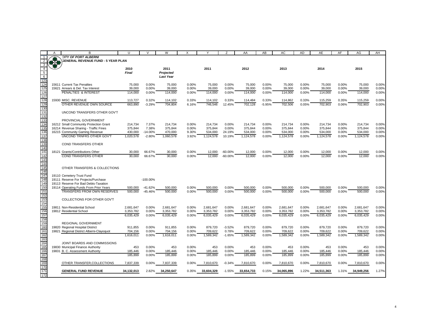|                | B                                         | п                      |             | W                | x     | Y          | 7          | AA                     | AB       | AC                     | <b>AD</b> | AE         | AF    | AG                     | AH             |
|----------------|-------------------------------------------|------------------------|-------------|------------------|-------|------------|------------|------------------------|----------|------------------------|-----------|------------|-------|------------------------|----------------|
|                | <b>CITY OF PORT ALBERNI</b>               |                        |             |                  |       |            |            |                        |          |                        |           |            |       |                        |                |
|                | <b>GENERAL REVENUE FUND - 5 YEAR PLAN</b> |                        |             |                  |       |            |            |                        |          |                        |           |            |       |                        |                |
| 3              |                                           |                        |             |                  |       |            |            |                        |          |                        |           |            |       |                        |                |
| $\overline{4}$ |                                           | 2010                   |             | 2011             |       | 2011       |            | 2012                   |          | 2013                   |           | 2014       |       | 2015                   |                |
| 5              |                                           | <b>Final</b>           |             | Projected        |       |            |            |                        |          |                        |           |            |       |                        |                |
| 6              |                                           |                        |             | <b>Last Year</b> |       |            |            |                        |          |                        |           |            |       |                        |                |
| 123            |                                           |                        |             |                  |       |            |            |                        |          |                        |           |            |       |                        |                |
| 124            | 15611 Current Tax Penalties               | 75,000                 | 0.00%       | 75,000           | 0.00% | 75,000     | 0.00%      | 75,000                 | 0.00%    | 75,000                 | 0.00%     | 75,000     | 0.00% | 75,000                 | 0.00%          |
| 125            | 15621 Arrears & Del. Tax Interest         | 39.000                 | 0.00%       | 39.000           | 0.00% | 39.000     | 0.00%      | 39.000                 | 0.00%    | 39.000                 | 0.00%     | 39.000     | 0.00% | 39.000                 | 0.00%          |
| 126            | PENALTIES & INTEREST                      | 114,000                | 0.00%       | 114,000          | 0.00% | 114,000    | 0.00%      | 114,000                | 0.00%    | 114,000                | 0.00%     | 114,000    | 0.00% | 114,000                | 0.00%          |
| 127            |                                           |                        |             |                  |       |            |            |                        |          |                        |           |            |       |                        |                |
| 128            | 15930 MISC, REVENUE                       | 113,727                | 0.32%       | 114,102          | 0.33% | 114,102    | 0.33%      | 114,484                | 0.33%    | 114,862                | 0.33%     | 115,259    | 0.35% | 115,259                | 0.00%          |
| 129            | OTHER REVENUE OWN SOURCE                  | 663,890                | $-3.29%$    | 704,804          | 6.16% | 746,546    | 12.45%     | 702,128                | $-5.95%$ | 702,506                | 0.05%     | 702,903    | 0.06% | 702,903                | 0.00%          |
| 130            |                                           |                        |             |                  |       |            |            |                        |          |                        |           |            |       |                        |                |
| 131            | UNCOND TRANSFERS OTHER GOV'T              |                        |             |                  |       |            |            |                        |          |                        |           |            |       |                        |                |
| 132            |                                           |                        |             |                  |       |            |            |                        |          |                        |           |            |       |                        |                |
| 133            | PROVINCIAL GOVERNMENT                     |                        |             |                  |       |            |            |                        |          |                        |           |            |       |                        |                |
| 134            | 16212 Small Community Protection Grant    | 214,734                | 7.37%       | 214,734          | 0.00% | 214.734    | 0.00%      | 214,734                | 0.00%    | 214.734                | 0.00%     | 214,734    | 0.00% | 214.734                | 0.00%          |
| 135            | 16214 Revenue Sharing - Traffic Fines     | 375,844                | 7.38%       | 375,844          | 0.00% | 375,844    | 0.00%      | 375,844                | 0.00%    | 375,844                | 0.00%     | 375,844    | 0.00% | 375,844                | 0.00%          |
| 136            | 16215 Community Gaming Revenue            | 430,000                | $-14.00%$   | 470,000          | 9.30% | 534,000    | 24.19%     | 534,000                | 0.00%    | 534,000                | 0.00%     | 534,000    | 0.00% | 534,000                | 0.00%          |
| 137            | <b>UNCOND TRNFRS OTHER GOV'T</b>          | 1.020.578              | $-2.80%$    | 1.060.578        | 3.92% | 1.124.578  | 10.19%     | 1.124.578              | 0.00%    | 1.124.578              | 0.00%     | 1.124.578  | 0.00% | 1.124.578              | 0.00%          |
| 138            |                                           |                        |             |                  |       |            |            |                        |          |                        |           |            |       |                        |                |
| 139            | <b>COND TRANSFERS OTHER</b>               |                        |             |                  |       |            |            |                        |          |                        |           |            |       |                        |                |
| 140            |                                           |                        |             |                  |       |            |            |                        |          |                        |           |            |       |                        |                |
| 141            | 18121 Grants/Contributions Other          | 30,000                 | 66.67%      | 30,000           | 0.00% | 12,000     | $-60.00\%$ | 12,000                 | 0.00%    | 12,000                 | 0.00%     | 12,000     | 0.00% | 12,000                 | 0.00%          |
| 142            | <b>COND TRANSFERS OTHER</b>               | 30.000                 | 66.67%      | 30.000           | 0.00% | 12,000     | $-60.00%$  | 12,000                 | 0.00%    | 12,000                 | 0.00%     | 12.000     | 0.00% | 12,000                 | 0.00%          |
| 143            |                                           |                        |             |                  |       |            |            |                        |          |                        |           |            |       |                        |                |
| 144            |                                           |                        |             |                  |       |            |            |                        |          |                        |           |            |       |                        |                |
| 145            | OTHER TRANSFERS & COLLECTIONS             |                        |             |                  |       |            |            |                        |          |                        |           |            |       |                        |                |
| 146            |                                           |                        |             |                  |       |            |            |                        |          |                        |           |            |       |                        |                |
| 147            | 19110 Cemetery Trust Fund                 |                        |             |                  |       |            |            |                        |          |                        |           |            |       |                        |                |
| 148            | 19111 Reserve For Projects/Purchase       |                        | $-100.00\%$ |                  |       |            |            |                        |          |                        |           |            |       |                        |                |
| 149            | 19113 Reserve For Bad Debts-Taxation      |                        |             |                  |       |            |            |                        |          |                        |           |            |       |                        |                |
| 150            | 19114 Operating Funds From Prior Years    | 500.000                | $-41.62%$   | 500,000          | 0.00% | 500,000    | 0.00%      | 500.000                | 0.00%    | 500,000                | 0.00%     | 500,000    | 0.00% | 500,000                | 0.00%          |
| 151            | <b>TRANSFERS FROM OWN RESERVES</b>        | 500,000                | $-45.46%$   | 500,000          | 0.00% | 500,000    | 0.00%      | 500,000                | 0.00%    | 500,000                | 0.00%     | 500,000    | 0.00% | 500,000                | 0.00%          |
| 152            |                                           |                        |             |                  |       |            |            |                        |          |                        |           |            |       |                        |                |
| 153            | COLLECTIONS FOR OTHER GOV'T               |                        |             |                  |       |            |            |                        |          |                        |           |            |       |                        |                |
| 154<br>155     | 19811 Non-Residential School              |                        | 0.00%       | 2,681,647        | 0.00% | 2,681,647  | 0.00%      |                        | 0.00%    |                        | 0.00%     | 2,681,647  | 0.00% |                        |                |
| 156            |                                           | 2,681,647<br>3,353,782 | 0.00%       | 3,353,782        | 0.00% | 3,353,782  | 0.00%      | 2,681,647<br>3,353,782 | 0.00%    | 2,681,647<br>3,353,782 | 0.00%     | 3,353,782  | 0.00% | 2,681,647<br>3,353,782 | 0.00%<br>0.00% |
| 157            | 19812 Residential School                  | 6.035.429              | 0.00%       | 6.035.429        | 0.00% | 6.035.429  | 0.00%      | 6.035.429              | 0.00%    | 6.035.429              | 0.00%     | 6.035.429  | 0.00% | 6.035.429              | 0.00%          |
| 158            |                                           |                        |             |                  |       |            |            |                        |          |                        |           |            |       |                        |                |
| 159            | REGIONAL GOVERNMENT                       |                        |             |                  |       |            |            |                        |          |                        |           |            |       |                        |                |
| 160            | 19820 Regional Hospital District          | 911,855                | 0.00%       | 911,855          | 0.00% | 879,720    | $-3.52%$   | 879,720                | 0.00%    | 879,720                | 0.00%     | 879,720    | 0.00% | 879,720                | 0.00%          |
| 161            | 19821 Regional District Alberni-Clayoquot | 704,156                | 0.00%       | 704,156          | 0.00% | 709,622    | 0.78%      | 709,622                | 0.00%    | 709,622                | 0.00%     | 709,622    | 0.00% | 709,622                | 0.00%          |
| 162            |                                           | 1.616.011              | 0.00%       | 1.616.011        | 0.00% | 1.589.342  | $-1.65%$   | 1.589.342              | $0.00\%$ | 1.589.342              | $0.00\%$  | 1.589.342  | 0.00% | 1.589.342              | 0.00%          |
| 163            |                                           |                        |             |                  |       |            |            |                        |          |                        |           |            |       |                        |                |
| 164            | JOINT BOARDS AND COMMISSIONS              |                        |             |                  |       |            |            |                        |          |                        |           |            |       |                        |                |
| 165            | 19830 Municipal Finance Authority         | 453                    | 0.00%       | 453              | 0.00% | 453        | 0.00%      | 453                    | 0.00%    | 453                    | 0.00%     | 453        | 0.00% | 453                    | 0.00%          |
| 166            | 19831 B. C. Assessment Authority          | 185,446                | 0.00%       | 185,446          | 0.00% | 185,446    | 0.00%      | 185,446                | 0.00%    | 185,446                | 0.00%     | 185,446    | 0.00% | 185,446                | 0.00%          |
| 167            |                                           | 185,899                | 0.00%       | 185,899          | 0.00% | 185,899    | 0.00%      | 185,899                | 0.00%    | 185,899                | 0.00%     | 185,899    | 0.00% | 185,899                | 0.00%          |
| 168            |                                           |                        |             |                  |       |            |            |                        |          |                        |           |            |       |                        |                |
| 169            | OTHER TRANSFER, COLLECTIONS               | 7,837,339              | 0.00%       | 7,837,339        | 0.00% | 7,810,670  | $-0.34%$   | 7,810,670              | 0.00%    | 7,810,670              | 0.00%     | 7,810,670  | 0.00% | 7,810,670              | 0.00%          |
| 170            |                                           |                        |             |                  |       |            |            |                        |          |                        |           |            |       |                        |                |
| 171            | <b>GENERAL FUND REVENUE</b>               | 34,132,013             | 2.82%       | 34,250,647       | 0.35% | 33,604,329 | $-1.55%$   | 33,654,733             | 0.15%    | 34,065,896             | 1.22%     | 34,511,363 | 1.31% | 34,949,256             | 1.27%          |
| 172            |                                           |                        |             |                  |       |            |            |                        |          |                        |           |            |       |                        |                |
|                |                                           |                        |             |                  |       |            |            |                        |          |                        |           |            |       |                        |                |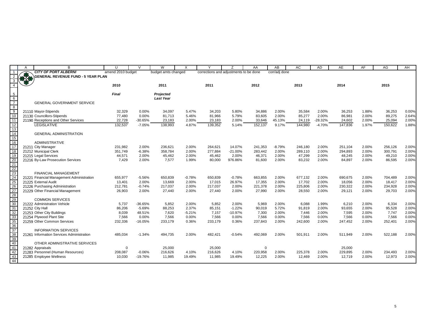|                       | $\overline{A}$ | B                                         | U                 | $\mathsf{V}$ | W                   | $\times$ | $\vee$                                 | Z         | AA       | AB            | AC      | AD        | AE      | AF    | AG      | AH    |
|-----------------------|----------------|-------------------------------------------|-------------------|--------------|---------------------|----------|----------------------------------------|-----------|----------|---------------|---------|-----------|---------|-------|---------|-------|
|                       |                | <b>CITY OF PORT ALBERNI</b>               | amend 2010 budget |              | budget amts changed |          | corrections and adjustments to be done |           |          | corr/adj done |         |           |         |       |         |       |
| 2                     |                | <b>GENERAL REVENUE FUND - 5 YEAR PLAN</b> |                   |              |                     |          |                                        |           |          |               |         |           |         |       |         |       |
|                       |                |                                           |                   |              |                     |          |                                        |           |          |               |         |           |         |       |         |       |
|                       |                |                                           | 2010              |              | 2011                |          | 2011                                   |           | 2012     |               | 2013    |           | 2014    |       | 2015    |       |
|                       |                |                                           |                   |              |                     |          |                                        |           |          |               |         |           |         |       |         |       |
| -5                    |                |                                           | <b>Final</b>      |              | Projected           |          |                                        |           |          |               |         |           |         |       |         |       |
| 6                     |                |                                           |                   |              | <b>Last Year</b>    |          |                                        |           |          |               |         |           |         |       |         |       |
| $\overline{7}$        |                | <b>GENERAL GOVERNMENT SERVICE</b>         |                   |              |                     |          |                                        |           |          |               |         |           |         |       |         |       |
| 8                     |                |                                           |                   |              |                     |          |                                        |           |          |               |         |           |         |       |         |       |
| - 9                   |                | 21110 Mayor-Stipends                      | 32,329            | 0.00%        | 34,097              | 5.47%    | 34,203                                 | 5.80%     | 34,886   | 2.00%         | 35,584  | 2.00%     | 36,253  | 1.88% | 36,253  | 0.00% |
| 10                    |                | 21130 Councillors-Stipends                | 77,480            | 0.00%        | 81,713              | 5.46%    | 81,966                                 | 5.79%     | 83,605   | 2.00%         | 85,277  | 2.00%     | 86,981  | 2.00% | 89,275  | 2.64% |
| 11<br>12              |                | 21190 Receptions and Other Services       | 22,728            | $-30.65%$    | 23,183              | 2.00%    | 23,183                                 | 2.00%     | 33,646   | 45.13%        | 24,119  | $-28.32%$ | 24,602  | 2.00% | 25,094  | 2.00% |
|                       |                | LEGISLATIVE                               | 132,537           | $-7.05%$     | 138,993             | 4.87%    | 139,352                                | 5.14%     | 152,137  | 9.17%         | 144,980 | $-4.70%$  | 147,836 | 1.97% | 150,622 | 1.88% |
| 13                    |                |                                           |                   |              |                     |          |                                        |           |          |               |         |           |         |       |         |       |
| 14<br>$\overline{15}$ |                | <b>GENERAL ADMINISTRATION</b>             |                   |              |                     |          |                                        |           |          |               |         |           |         |       |         |       |
| 16                    |                | <b>ADMINISTRATIVE</b>                     |                   |              |                     |          |                                        |           |          |               |         |           |         |       |         |       |
| 17                    |                | 21211 City Manager                        | 231,982           | 2.00%        | 236,621             | 2.00%    | 264,621                                | 14.07%    | 241,353  | $-8.79%$      | 246,180 | 2.00%     | 251,104 | 2.00% | 256,126 | 2.00% |
| 18                    |                | 21212 Municipal Clerk                     | 351,749           | $-6.38%$     | 358,784             | 2.00%    | 277,884                                | $-21.00%$ | 283,442  | 2.00%         | 289,110 | 2.00%     | 294,893 | 2.00% | 300,791 | 2.00% |
| 19                    |                | 21215 Legal Services                      | 44,571            | 2.00%        | 45,462              | 2.00%    | 45,462                                 | 2.00%     | 46,371   | 2.00%         | 47,299  | 2.00%     | 48,245  | 2.00% | 49,210  | 2.00% |
| 20                    |                | 21216 By-Law Prosecution Services         | 7,429             | 2.00%        | 7,577               | 1.99%    | 80,000                                 | 976.86%   | 81,600   | 2.00%         | 83,232  | 2.00%     | 84,897  | 2.00% | 86,595  | 2.00% |
| 21                    |                |                                           |                   |              |                     |          |                                        |           |          |               |         |           |         |       |         |       |
| 22                    |                |                                           |                   |              |                     |          |                                        |           |          |               |         |           |         |       |         |       |
| 23                    |                | <b>FINANCIAL MANAGEMENT</b>               |                   |              |                     |          |                                        |           |          |               |         |           |         |       |         |       |
| 24                    |                | 21221 Financial Management Administration | 655,977           | $-5.56%$     | 650,839             | $-0.78%$ | 650,839                                | $-0.78%$  | 663,855  | 2.00%         | 677,132 | 2.00%     | 690,675 | 2.00% | 704,489 | 2.00% |
| 25                    |                | 21225 External Audit                      | 13,401            | 2.00%        | 13,669              | 2.00%    | 17,015                                 | 26.97%    | 17,355   | 2.00%         | 17,702  | 2.00%     | 18,056  | 2.00% | 18,417  | 2.00% |
| 26                    |                | 21226 Purchasing Administration           | 212,781           | $-0.74%$     | 217,037             | 2.00%    | 217,037                                | 2.00%     | 221,378  | 2.00%         | 225,806 | 2.00%     | 230,322 | 2.00% | 234,928 | 2.00% |
| 27                    |                | 21229 Other Financial Management          | 26,903            | 2.00%        | 27,440              | 2.00%    | 27,440                                 | 2.00%     | 27,990   | 2.00%         | 28,550  | 2.00%     | 29,121  | 2.00% | 29,703  | 2.00% |
| 28                    |                |                                           |                   |              |                     |          |                                        |           |          |               |         |           |         |       |         |       |
| 29                    |                | <b>COMMON SERVICES</b>                    |                   |              |                     |          |                                        |           |          |               |         |           |         |       |         |       |
| 30                    |                | 21222 Administration Vehicle              | 5,737             | -36.65%      | 5,852               | 2.00%    | 5,852                                  | 2.00%     | 5,969    | 2.00%         | 6,088   | 1.99%     | 6,210   | 2.00% | 6,334   | 2.00% |
| 31                    |                | 21252 City Hall                           | 86,206            | $-5.69%$     | 88,253              | 2.37%    | 85,151                                 | $-1.22%$  | 90,019   | 5.72%         | 91,819  | 2.00%     | 93,655  | 2.00% | 95,528  | 2.00% |
| 32                    |                | 21253 Other City Buildings                | 8,039             | 48.51%       | 7,620               | $-5.21%$ | 7,157                                  | $-10.97%$ | 7,300    | 2.00%         | 7,446   | 2.00%     | 7,595   | 2.00% | 7,747   | 2.00% |
| 33                    |                | 21254 Plywood Plant Site                  | 7,566             | 0.00%        | 7,566               | 0.00%    | 7,566                                  | 0.00%     | 7,566    | 0.00%         | 7,566   | 0.00%     | 7,566   | 0.00% | 7,566   | 0.00% |
| 35                    |                | 21259 Other Common Services               | 232,336           | $-16.05%$    | 233,179             | 0.36%    | 233,179                                | 0.36%     | 237,843  | 2.00%         | 242,600 | 2.00%     | 247,452 | 2.00% | 252,401 | 2.00% |
| $\frac{1}{36}$        |                |                                           |                   |              |                     |          |                                        |           |          |               |         |           |         |       |         |       |
| $\overline{37}$       |                | <b>INFORMATION SERVICES</b>               |                   |              |                     |          |                                        |           |          |               |         |           |         |       |         |       |
| 38                    |                | 21261 Information Services Administration | 485,034           | $-1.34%$     | 494,735             | 2.00%    | 482,421                                | $-0.54%$  | 492,069  | 2.00%         | 501,911 | 2.00%     | 511,949 | 2.00% | 522,188 | 2.00% |
| 39                    |                |                                           |                   |              |                     |          |                                        |           |          |               |         |           |         |       |         |       |
| 40                    |                | OTHER ADMINISTRATIVE SERVICES             |                   |              |                     |          |                                        |           |          |               |         |           |         |       |         |       |
| $-41$                 |                | 21282 Appraisals                          | $\mathbf 0$       |              | 25,000              |          | 25,000                                 |           | $\Omega$ |               |         |           | 25,000  |       |         |       |
| 42                    |                | 21283 Personnel (Human Resources)         | 208,087           | $-0.06%$     | 216,626             | 4.10%    | 216,626                                | 4.10%     | 220,958  | 2.00%         | 225,378 | 2.00%     | 229,895 | 2.00% | 234,493 | 2.00% |
| $\frac{43}{44}$       |                | 21285 Employee Wellness                   | 10,030            | $-19.76%$    | 11,985              | 19.49%   | 11,985                                 | 19.49%    | 12,225   | 2.00%         | 12,469  | 2.00%     | 12,719  | 2.00% | 12,973  | 2.00% |
|                       |                |                                           |                   |              |                     |          |                                        |           |          |               |         |           |         |       |         |       |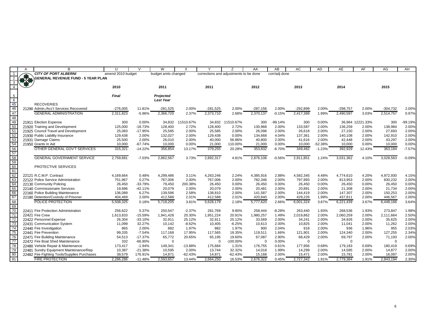|                                                                                                                                                         | $\overline{A}$ | <sub>B</sub>                                             | $\mathbf{U}$      | $\mathsf{V}$         | W                   | X                  | $\checkmark$                           | $\overline{z}$      | AA             | AB             | AC         | AD             | AE         | AF                        | AG         | AH             |
|---------------------------------------------------------------------------------------------------------------------------------------------------------|----------------|----------------------------------------------------------|-------------------|----------------------|---------------------|--------------------|----------------------------------------|---------------------|----------------|----------------|------------|----------------|------------|---------------------------|------------|----------------|
| $\overline{1}$                                                                                                                                          |                | <b>CITY OF PORT ALBERNI</b>                              | amend 2010 budget |                      | budget amts changed |                    | corrections and adjustments to be done |                     |                | corr/adj done  |            |                |            |                           |            |                |
| $\overline{2}$                                                                                                                                          |                | <b>GENERAL REVENUE FUND - 5 YEAR PLAN</b>                |                   |                      |                     |                    |                                        |                     |                |                |            |                |            |                           |            |                |
| 3                                                                                                                                                       |                |                                                          |                   |                      |                     |                    |                                        |                     |                |                |            |                |            |                           |            |                |
|                                                                                                                                                         |                |                                                          | 2010              |                      | 2011                |                    | 2011                                   |                     | 2012           |                | 2013       |                | 2014       |                           | 2015       |                |
|                                                                                                                                                         |                |                                                          |                   |                      |                     |                    |                                        |                     |                |                |            |                |            |                           |            |                |
| 5<br>$-6$                                                                                                                                               |                |                                                          | Final             |                      | Projected           |                    |                                        |                     |                |                |            |                |            |                           |            |                |
|                                                                                                                                                         |                | <b>RECOVERIES</b>                                        |                   |                      | <b>Last Year</b>    |                    |                                        |                     |                |                |            |                |            |                           |            |                |
| 45<br>$\frac{18}{46}$                                                                                                                                   |                | 21290 Admin./Acc't Services Recovered                    | $-276,005$        | 11.81%               | $-281,525$          | 2.00%              | $-281,525$                             | 2.00%               | $-287,156$     | 2.00%          | $-292,899$ | 2.00%          | $-298,757$ | 2.00%                     | $-304,732$ | 2.00%          |
| 47                                                                                                                                                      |                |                                                          |                   |                      |                     |                    |                                        |                     |                |                |            |                |            |                           |            |                |
|                                                                                                                                                         |                | <b>GENERAL ADMINISTRATION</b>                            | 2,311,823         | $-5.96%$             | 2,366,720           | 2.37%              | 2,373,710                              | 2.68%               | 2,370,137      | $-0.15%$       | 2,417,389  | 1.99%          | 2,490,597  | 3.03%                     | 2,514,757  | 0.97%          |
| $\frac{48}{49}$<br>50                                                                                                                                   |                |                                                          |                   | 0.00%                |                     | 11510.67%          |                                        |                     |                | $-99.14%$      | 300        | 0.00%          |            |                           | 300        | $-99.19%$      |
|                                                                                                                                                         |                | 21911 Election Expense<br>21920 Training and Development | 300<br>125,000    | $-18.73%$            | 34,832<br>128,400   | 2.72%              | 34.832<br>128,400                      | 11510.67%<br>2.72%  | 300<br>130,968 | 2.00%          | 133,587    | 2.00%          | 136,259    | 36.964 12221.33%<br>2.00% | 138,984    | 2.00%          |
| 51                                                                                                                                                      |                | 21925 Council Travel and Development                     | 25,083            | $-17.95%$            | 25,585              | 2.00%              | 25,585                                 | 2.00%               | 26,096         | 2.00%          | 26,618     | 2.00%          | 27,150     | 2.00%                     | 27,693     | 2.00%          |
| 52                                                                                                                                                      |                | 21930 Public Liability Insurance                         | 129,438           | 2.00%                | 132,027             | 2.00%              | 129,438                                | 0.00%               | 134,668        | 4.04%          | 137,361    | 2.00%          | 140,108    | 2.00%                     | 142,910    | 2.00%          |
|                                                                                                                                                         |                | 21931 Damage Claims                                      | 25,500            | 2.00%                | 26,010              | 2.00%              | 40.000                                 | 56.86%              | 40,800         | 2.00%          | 41,616     | 2.00%          | 42,448     | 2.00%                     | 43,297     | 2.00%          |
|                                                                                                                                                         |                | 21950 Grants In Aid                                      | 10,000            | $-67.74%$            | 10,000              | 0.00%              | 21,000                                 | 110.00%             | 21,000         | 0.00%          | 10,000     | $-52.38%$      | 10,000     | 0.00%                     | 10,000     | 0.00%          |
| $\begin{array}{r} \n \overline{\phantom{0}}\phantom{0}53 \\  \overline{\phantom{0}}\phantom{0}54 \\  \overline{\phantom{0}}\phantom{0}56\n \end{array}$ |                | OTHER GENERAL GOV'T SERVICES                             | 315,321           | $-14.22%$            | 356,854             | 13.17%             | 379,255                                | 20.28%              | 353,832        | $-6.70%$       | 349,482    | $-1.23%$       | 392,929    | 12.43%                    | 363,184    | $-7.57%$       |
| 57                                                                                                                                                      |                |                                                          |                   |                      |                     |                    |                                        |                     |                |                |            |                |            |                           |            |                |
| 58                                                                                                                                                      |                | <b>GENERAL GOVERNMENT SERVICE</b>                        | 2,759,681         | $-7.03%$             | 2,862,567           | 3.73%              | 2,892,317                              | 4.81%               | 2,876,106      | $-0.56%$       | 2,911,851  | 1.24%          | 3,031,362  | 4.10%                     | 3,028,563  | $-0.09%$       |
| 59                                                                                                                                                      |                |                                                          |                   |                      |                     |                    |                                        |                     |                |                |            |                |            |                           |            |                |
| 60                                                                                                                                                      |                | PROTECTIVE SERVICES                                      |                   |                      |                     |                    |                                        |                     |                |                |            |                |            |                           |            |                |
| 61                                                                                                                                                      |                |                                                          |                   |                      |                     |                    |                                        |                     |                |                |            |                |            |                           |            |                |
| 62                                                                                                                                                      |                | 22121 R.C.M.P. Contract                                  | 4.169.664         | 0.48%                | 4.299.486           | 3.11%              | 4,263,246                              | 2.24%               | 4,385,916      | 2.88%          | 4,582,345  | 4.48%          | 4,774,610  | 4.20%                     | 4,972,930  | 4.15%          |
| 63                                                                                                                                                      |                | 22122 Police Service Administration                      | 751,967           | 0.27%                | 767,006             | 2.00%              | 767,006                                | 2.00%               | 782,346        | 2.00%          | 797,993    | 2.00%          | 813,953    | 2.00%                     | 830,232    | 2.00%          |
| $\begin{array}{r} 64 \\ 65 \\ \hline 66 \end{array}$                                                                                                    |                | 22130 Community Policing                                 | 26,450            | $-33.79%$            | 79,450              | 200.38%            | 26,450                                 | 0.00%               | 26,450         | 0.00%          | 26,450     | 0.00%          | 26,450     | 0.00%                     | 26,450     | 0.00%          |
|                                                                                                                                                         |                | 22140 Commissionaire Services                            | 19,686            | $-42.11%$            | 20,079              | 2.00%              | 20,079                                 | 2.00%               | 20,481         | 2.00%          | 20,891     | 2.00%          | 21,308     | 2.00%                     | 21,734     | 2.00%          |
|                                                                                                                                                         |                | 22160 Police Building Maintenance                        | 136,089           | 6.27%                | 139,596             | 2.58%              | 138,810                                | 2.00%               | 141,587        | 2.00%          | 144,419    | 2.00%          | 147,307    | 2.00%                     | 150,253    | 2.00%          |
| 67                                                                                                                                                      |                | 22180 Detention/Custody of Prisoner                      | 404,469           | 2.00%                | 412,588             | 2.01%              | 412,588                                | 2.01%               | 420,840        | 2.00%          | 429,226    | 1.99%          | 437,811    | 2.00%                     | 446,567    | 2.00%          |
| 68                                                                                                                                                      |                | POLICE PROTECTION                                        | 5,508,325         | 0.18%                | 5,718,205           | 3.81%              | 5,628,179                              | 2.18%               | 5,777,620      | 2.66%          | 6,001,324  | 3.87%          | 6,221,439  | 3.67%                     | 6,448,166  | 3.64%          |
| 69                                                                                                                                                      |                |                                                          |                   |                      |                     |                    |                                        |                     |                |                |            |                |            |                           |            |                |
| 70                                                                                                                                                      |                | 22411 Fire Protection Administration                     | 256,622           | 5.37%                | 250,547             | $-2.37%$           | 281,769                                | 9.80%               | 258,444        | $-8.28%$       | 263,440    | 1.93%          | 268,536    | 1.93%                     | 273,847    | 1.98%          |
| 71                                                                                                                                                      |                | 22421 Fire Crew                                          | 1,613,833         | $-15.59%$            | 1,941,428           | 20.30%             | 1,951,224                              | 20.91%              | 1,980,257      | 1.49%          | 2,019,862  | 2.00%          | 2,060,259  | 2.00%                     | 2,111,664  | 2.50%          |
| 72                                                                                                                                                      |                | 22422 Personnel Expense                                  | 26,304            | $-33.10%$            | 32,911              | 25.12%             | 32,911                                 | 25.12%              | 33,569         | 2.00%          | 34,241     | 2.00%          | 34,926     | 2.00%                     | 35,625     | 2.00%          |
| 73                                                                                                                                                      |                | 22431 Communication System                               | 11,099            | 32.27%               | 10,142              | $-8.62%$           | 10,405                                 | $-6.25%$            | 10,613         | 2.00%          | 10,825     | 2.00%          | 11,041     | 2.00%                     | 11,262     | 2.00%          |
| 74                                                                                                                                                      |                | 22440 Fire Investigation                                 | 865               | 2.00%                | 882                 | 1.97%              | 882                                    | 1.97%               | 900            | 2.04%          | 918        | 2.00%          | 936        | 1.96%                     | 955        | 2.03%          |
| 75                                                                                                                                                      |                | 22441 Fire Prevention                                    | 99.335            | $-7.54%$             | 117,168             | 17.95%             | 117,565                                | 18.35%              | 119,511        | 1.66%          | 121,901    | 2.00%          | 124,340    | 2.00%                     | 127,255    | 2.34%          |
| 76                                                                                                                                                      |                | 22471 Fire Building Maintenance                          | 54,513            | $-17.37%$            | 65,772              | 20.65%             | 65,195                                 | 19.60%              | 67,087         | 2.90%          | 68,429     | 2.00%          | 69,797     | 2.00%                     | 71,193     | 2.00%          |
| 77                                                                                                                                                      |                | 22472 Fire Boat Shed Maintenance                         | 332               | $-66.90%$            | $\Omega$            |                    | $\Omega$                               | $-100.00\%$         | $\mathbf 0$    | 0.00%          | $\Omega$   |                | $\Omega$   |                           | $\Omega$   |                |
| 78<br>79                                                                                                                                                |                | 22480 Vehicle Repair & Maintenance                       | 173,417           | $-1.94%$             | 149,341             | $-13.88%$          | 175,684                                | 1.31%               | 176,755        | 0.61%          | 177,956    | 0.68%          | 179,183    | 0.69%                     | 180,419    | 0.69%          |
| 80                                                                                                                                                      |                | 22481 Sundry Equipment Maintenance/Rep                   | 10,387            | $-21.38%$<br>176.91% | 10,595<br>14,871    | 2.00%<br>$-62.43%$ | 13,744                                 | 32.32%<br>$-62.43%$ | 14,018         | 1.99%<br>2.00% | 14,299     | 2.00%<br>2.00% | 14,585     | 2.00%<br>2.00%            | 14,877     | 2.00%<br>2.00% |
| 81                                                                                                                                                      |                | 22482 Fire Fighting Tools/Supplies Purchases             | 39,579            |                      |                     |                    | 14,871<br>2,664,250                    |                     | 15,168         |                | 15,471     |                | 15,781     |                           | 16,097     |                |
|                                                                                                                                                         |                | <b>FIRE PROTECTION</b>                                   | 2,286,286         | $-11.48%$            | 2,593,657           | 13.44%             |                                        | 16.53%              | 2,676,322      | 0.45%          | 2,727,342  | 1.91%          | 2,779,384  | 1.91%                     | 2,843,194  | 2.30%          |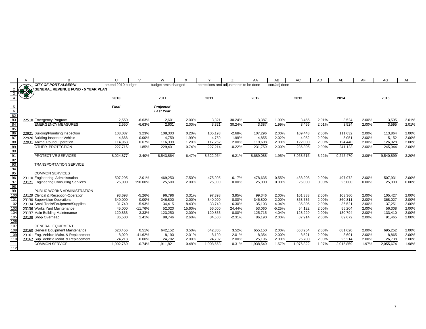|                                                                                                                                                     | A | B                                         | U                 | $\mathcal{U}$ | W                   | X              | $\checkmark$                           |          | AA               | AB             | <b>AC</b>        | <b>AD</b> | AE               | AF    | AG               | AH             |
|-----------------------------------------------------------------------------------------------------------------------------------------------------|---|-------------------------------------------|-------------------|---------------|---------------------|----------------|----------------------------------------|----------|------------------|----------------|------------------|-----------|------------------|-------|------------------|----------------|
| $\overline{1}$                                                                                                                                      |   | <b>CITY OF PORT ALBERNI</b>               | amend 2010 budget |               | budget amts changed |                | corrections and adjustments to be done |          |                  | corr/adj done  |                  |           |                  |       |                  |                |
|                                                                                                                                                     |   | <b>GENERAL REVENUE FUND - 5 YEAR PLAN</b> |                   |               |                     |                |                                        |          |                  |                |                  |           |                  |       |                  |                |
|                                                                                                                                                     |   |                                           |                   |               |                     |                |                                        |          |                  |                |                  |           |                  |       |                  |                |
|                                                                                                                                                     |   |                                           | 2010              |               | 2011                |                | 2011                                   |          | 2012             |                | 2013             |           | 2014             |       | 2015             |                |
|                                                                                                                                                     |   |                                           |                   |               |                     |                |                                        |          |                  |                |                  |           |                  |       |                  |                |
|                                                                                                                                                     |   |                                           | Final             |               | Projected           |                |                                        |          |                  |                |                  |           |                  |       |                  |                |
| 6                                                                                                                                                   |   |                                           |                   |               | <b>Last Year</b>    |                |                                        |          |                  |                |                  |           |                  |       |                  |                |
| $\frac{82}{83}$                                                                                                                                     |   |                                           |                   |               |                     |                |                                        |          |                  |                |                  |           |                  |       |                  |                |
|                                                                                                                                                     |   | 22510 Emergency Program                   | 2,550             | $-6.63%$      | 2,601               | 2.00%          | 3,321                                  | 30.24%   | 3,387            | 1.99%          | 3,455            | 2.01%     | 3,524            | 2.00% | 3,595            | 2.01%          |
| $\frac{84}{85}$                                                                                                                                     |   | <b>EMERGENCY MEASURES</b>                 | 2,550             | $-6.63%$      | 2,601               | 2.00%          | 3,321                                  | 30.24%   | 3,387            | 1.99%          | 3,455            | 2.01%     | 3.524            | 2.00% | 3,595            | 2.01%          |
| $\frac{1}{86}$                                                                                                                                      |   | 22921 Building/Plumbing Inspection        |                   | 3.23%         |                     |                |                                        | $-2.68%$ |                  |                |                  | 2.00%     |                  | 2.00% |                  |                |
| 87                                                                                                                                                  |   | 22926 Building Inspector Vehicle          | 108,087<br>4,666  | 0.00%         | 108,303<br>4,759    | 0.20%<br>1.99% | 105,193<br>4,759                       | 1.99%    | 107,296<br>4,855 | 2.00%<br>2.02% | 109,443<br>4,952 | 2.00%     | 111,632<br>5,051 | 2.00% | 113,864<br>5,152 | 2.00%<br>2.00% |
|                                                                                                                                                     |   | 22931 Animal Pound Operation              | 114,963           | 0.67%         | 116,339             | 1.20%          | 117,262                                | 2.00%    | 119,608          | 2.00%          | 122,000          | 2.00%     | 124,440          | 2.00% | 126,928          | 2.00%          |
| $\frac{88}{89}$                                                                                                                                     |   | OTHER PROTECTION                          | 227,716           | 1.85%         | 229,401             | 0.74%          | 227,214                                | $-0.22%$ | 231,759          | 2.00%          | 236,395          | 2.00%     | 241,123          | 2.00% | 245,944          | 2.00%          |
|                                                                                                                                                     |   |                                           |                   |               |                     |                |                                        |          |                  |                |                  |           |                  |       |                  |                |
| $\begin{array}{r} 90 \\ \hline 91 \\ \hline 92 \\ \hline 93 \\ \hline 94 \\ \hline 95 \\ \hline 96 \\ \hline 97 \\ \hline 98 \\ \hline \end{array}$ |   | <b>PROTECTIVE SERVICES</b>                | 8,024,877         | $-3.40%$      | 8,543,864           | 6.47%          | 8,522,964                              | 6.21%    | 8,689,088        | 1.95%          | 8,968,516        | 3.22%     | 9,245,470        | 3.09% | 9,540,899        | 3.20%          |
|                                                                                                                                                     |   |                                           |                   |               |                     |                |                                        |          |                  |                |                  |           |                  |       |                  |                |
|                                                                                                                                                     |   | <b>TRANSPORTATION SERVICE</b>             |                   |               |                     |                |                                        |          |                  |                |                  |           |                  |       |                  |                |
|                                                                                                                                                     |   |                                           |                   |               |                     |                |                                        |          |                  |                |                  |           |                  |       |                  |                |
|                                                                                                                                                     |   | <b>COMMON SERVICES</b>                    |                   |               |                     |                |                                        |          |                  |                |                  |           |                  |       |                  |                |
|                                                                                                                                                     |   | 23110 Engineering Administration          | 507,295           | $-2.01%$      | 469,250             | $-7.50%$       | 475,995                                | $-6.17%$ | 478,635          | 0.55%          | 488,208          | 2.00%     | 497,972          | 2.00% | 507,931          | 2.00%          |
|                                                                                                                                                     |   | 23121 Engineering Consulting Services     | 25,000            | 150.00%       | 25,500              | 2.00%          | 25,000                                 | 0.00%    | 25,000           | $0.00\%$       | 25,000           | 0.00%     | 25,000           | 0.00% | 25,000           | 0.00%          |
|                                                                                                                                                     |   |                                           |                   |               |                     |                |                                        |          |                  |                |                  |           |                  |       |                  |                |
| 99                                                                                                                                                  |   | PUBLIC WORKS ADMINISTRATION               |                   |               |                     |                |                                        |          |                  |                |                  |           |                  |       |                  |                |
| 10 <sub>0</sub>                                                                                                                                     |   | 23129 Clerical & Reception-Operation      | 93,698            | $-5.26%$      | 96,796              | 3.31%          | 97,398                                 | 3.95%    | 99,346           | 2.00%          | 101,333          | 2.00%     | 103,360          | 2.00% | 105,427          | 2.00%          |
| 101                                                                                                                                                 |   | 23130 Supervision Operations              | 340,000           | 0.00%         | 346,800             | 2.00%          | 340.000                                | 0.00%    | 346,800          | 2.00%          | 353,736          | 2.00%     | 360.811          | 2.00% | 368,027          | 2.00%          |
| 102                                                                                                                                                 |   | 23134 Small Tools/Equipment/Supplies      | 31,740            | $-5.93%$      | 34,415              | 8.43%          | 33,740                                 | 6.30%    | 35,103           | 4.04%          | 35,805           | 2.00%     | 36,521           | 2.00% | 37,251           | 2.00%          |
| 103                                                                                                                                                 |   | 23136 Works Yard Maintenance              | 45,000            | $-11.76%$     | 52,020              | 15.60%         | 56,000                                 | 24.44%   | 53,060           | $-5.25%$       | 54,122           | 2.00%     | 55,204           | 2.00% | 56,308           | 2.00%          |
| 10 <sup>2</sup>                                                                                                                                     |   | 23137 Main Building Maintenance           | 120,833           | $-3.33%$      | 123,250             | 2.00%          | 120,833                                | 0.00%    | 125,715          | 4.04%          | 128,229          | 2.00%     | 130,794          | 2.00% | 133,410          | 2.00%          |
| 105                                                                                                                                                 |   | 23138 Shop Overhead                       | 86,500            | 1.41%         | 88,746              | 2.60%          | 84,500                                 | $-2.31%$ | 86,190           | 2.00%          | 87,914           | 2.00%     | 89,672           | 2.00% | 91,465           | 2.00%          |
| 106                                                                                                                                                 |   |                                           |                   |               |                     |                |                                        |          |                  |                |                  |           |                  |       |                  |                |
| 107                                                                                                                                                 |   | <b>GENERAL EQUIPMENT</b>                  |                   |               |                     |                |                                        |          |                  |                |                  |           |                  |       |                  |                |
| 108                                                                                                                                                 |   | 23160 General Equipment Maintenance       | 620,456           | 0.51%         | 642,152             | 3.50%          | 642,305                                | 3.52%    | 655,150          | 2.00%          | 668,254          | 2.00%     | 681,620          | 2.00% | 695,252          | 2.00%          |
| 109                                                                                                                                                 |   | 23161 Eng. Vehicle Maint. & Replacement   | 8,029             | $-41.62%$     | 8,190               | 2.01%          | 8,190                                  | 2.01%    | 8,354            | 2.00%          | 8,521            | 2.00%     | 8,691            | 2.00% | 8,865            | 2.00%          |
| 11(                                                                                                                                                 |   | 23162 Sup. Vehicle Maint. & Replacement   | 24,218            | 0.00%         | 24,702              | 2.00%          | 24,702                                 | 2.00%    | 25,196           | 2.00%          | 25,700           | 2.00%     | 26,214           | 2.00% | 26,738           | 2.00%          |
| 111                                                                                                                                                 |   | <b>COMMON SERVICE</b>                     | 1,902,769         | $-0.74%$      | 1.911.821           | 0.48%          | 1,908,663                              | 0.31%    | 938,549          | 1.57%          | 1,976,822        | 1.97%     | 2,015,859        | 1.97% | 2,055,674        | 1.98%          |
| 112                                                                                                                                                 |   |                                           |                   |               |                     |                |                                        |          |                  |                |                  |           |                  |       |                  |                |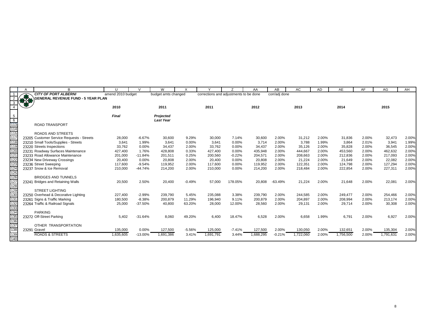|                 | $\overline{A}$ | <sub>R</sub>                              | $\cup$            | $\mathcal{U}$ | W                   | X        | $\checkmark$                           | 7        | AA        | AB            | AC        | AD    | AE        | AF    | AG        | AH    |
|-----------------|----------------|-------------------------------------------|-------------------|---------------|---------------------|----------|----------------------------------------|----------|-----------|---------------|-----------|-------|-----------|-------|-----------|-------|
|                 |                | <b>CITY OF PORT ALBERNI</b>               | amend 2010 budget |               | budget amts changed |          | corrections and adjustments to be done |          |           | corr/adj done |           |       |           |       |           |       |
|                 | <b>BACK</b>    | <b>GENERAL REVENUE FUND - 5 YEAR PLAN</b> |                   |               |                     |          |                                        |          |           |               |           |       |           |       |           |       |
|                 |                |                                           |                   |               |                     |          |                                        |          |           |               |           |       |           |       |           |       |
|                 |                |                                           | 2010              |               | 2011                |          | 2011                                   |          | 2012      |               | 2013      |       | 2014      |       | 2015      |       |
|                 |                |                                           |                   |               |                     |          |                                        |          |           |               |           |       |           |       |           |       |
| 5               |                |                                           | Final             |               | Projected           |          |                                        |          |           |               |           |       |           |       |           |       |
| 6               |                |                                           |                   |               | <b>Last Year</b>    |          |                                        |          |           |               |           |       |           |       |           |       |
| 113             |                | <b>ROAD TRANSPORT</b>                     |                   |               |                     |          |                                        |          |           |               |           |       |           |       |           |       |
| 114             |                |                                           |                   |               |                     |          |                                        |          |           |               |           |       |           |       |           |       |
| 115             |                | <b>ROADS AND STREETS</b>                  |                   |               |                     |          |                                        |          |           |               |           |       |           |       |           |       |
| 117             |                | 23205 Customer Service Requests - Streets | 28,000            | $-6.67%$      | 30,600              | 9.29%    | 30,000                                 | 7.14%    | 30,600    | 2.00%         | 31,212    | 2.00% | 31,836    | 2.00% | 32,473    | 2.00% |
| 118             |                | 23210 Small Tools/Supplies - Streets      | 3,641             | 1.99%         | 3,641               | 0.00%    | 3.641                                  | 0.00%    | 3,714     | 2.00%         | 3,788     | 1.99% | 3,864     | 2.01% | 3,941     | 1.99% |
| 119             |                | 23220 Streets Inspections                 | 33,762            | 0.00%         | 34,437              | 2.00%    | 33,762                                 | $0.00\%$ | 34,437    | 2.00%         | 35,126    | 2.00% | 35,828    | 2.00% | 36,545    | 2.00% |
| 120             |                | 23231 Roadway Surfaces Maintenance        | 427,400           | 1.76%         | 428,808             | 0.33%    | 427,400                                | 0.00%    | 435,948   | 2.00%         | 444,667   | 2.00% | 453,560   | 2.00% | 462,632   | 2.00% |
| 121             |                | 23233 Road Allowance Maintenance          | 201,000           | $-11.84%$     | 201,511             | 0.25%    | 200,560                                | $-0.22%$ | 204,571   | 2.00%         | 208,663   | 2.00% | 212,836   | 2.00% | 217,093   | 2.00% |
| 122             |                | 23234 New Driveway Crossings              | 20,400            | 0.00%         | 20,808              | 2.00%    | 20.400                                 | 0.00%    | 20,808    | 2.00%         | 21,224    | 2.00% | 21.649    | 2.00% | 22,082    | 2.00% |
| 123             |                | 23236 Street Sweeping                     | 117,600           | $-9.54%$      | 119,952             | 2.00%    | 117.600                                | 0.00%    | 119,952   | 2.00%         | 122,351   | 2.00% | 124,798   | 2.00% | 127,294   | 2.00% |
| 124             |                | 23237 Snow & Ice Removal                  | 210,000           | $-44.74%$     | 214,200             | 2.00%    | 210,000                                | 0.00%    | 214,200   | 2.00%         | 218,484   | 2.00% | 222,854   | 2.00% | 227,311   | 2.00% |
| 125             |                |                                           |                   |               |                     |          |                                        |          |           |               |           |       |           |       |           |       |
| 126             |                | <b>BRIDGES AND TUNNELS</b>                |                   |               |                     |          |                                        |          |           |               |           |       |           |       |           |       |
| 127             |                | 23241 Bridges and Retaining Walls         | 20,500            | 2.50%         | 20,400              | $-0.49%$ | 57,000                                 | 178.05%  | 20,808    | $-63.49%$     | 21,224    | 2.00% | 21,648    | 2.00% | 22,081    | 2.00% |
| 128             |                |                                           |                   |               |                     |          |                                        |          |           |               |           |       |           |       |           |       |
| 129             |                | <b>STREET LIGHTING</b>                    |                   |               |                     |          |                                        |          |           |               |           |       |           |       |           |       |
| 13 <sub>C</sub> |                | 23250 Overhead & Decorative Lighting      | 227,400           | $-2.99%$      | 239,790             | 5.45%    | 235,088                                | 3.38%    | 239,790   | 2.00%         | 244,585   | 2.00% | 249,477   | 2.00% | 254,466   | 2.00% |
| 131             |                | 23261 Signs & Traffic Marking             | 180,500           | $-8.38%$      | 200,879             | 11.29%   | 196.940                                | 9.11%    | 200,879   | 2.00%         | 204,897   | 2.00% | 208,994   | 2.00% | 213,174   | 2.00% |
| 132             |                | 23264 Traffic & Railroad Signals          | 25,000            | $-37.50%$     | 40,800              | 63.20%   | 28,000                                 | 12.00%   | 28,560    | 2.00%         | 29,131    | 2.00% | 29,714    | 2.00% | 30,308    | 2.00% |
| 133             |                |                                           |                   |               |                     |          |                                        |          |           |               |           |       |           |       |           |       |
| 134             |                | <b>PARKING</b>                            |                   |               |                     |          |                                        |          |           |               |           |       |           |       |           |       |
| 135             |                | 23272 Off-Street Parking                  | 5,402             | $-31.64%$     | 8,060               | 49.20%   | 6,400                                  | 18.47%   | 6,528     | 2.00%         | 6,658     | 1.99% | 6,791     | 2.00% | 6,927     | 2.00% |
| 136             |                |                                           |                   |               |                     |          |                                        |          |           |               |           |       |           |       |           |       |
| 137             |                | OTHER TRANSPORTATION                      |                   |               |                     |          |                                        |          |           |               |           |       |           |       |           |       |
| 138             |                | 23291 Gravel                              | 135,000           | 0.00%         | 127,500             | $-5.56%$ | 125,000                                | $-7.41%$ | 127,500   | 2.00%         | 130,050   | 2.00% | 132,651   | 2.00% | 135,304   | 2.00% |
| 139             |                | <b>ROADS &amp; STREETS</b>                | 1,635,605         | $-13.00%$     | 1,691,386           | 3.41%    | 1,691,791                              | 3.44%    | 1,688,295 | $-0.21%$      | 1,722,060 | 2.00% | 1,756,500 | 2.00% | 1,791,631 | 2.00% |
| 140             |                |                                           |                   |               |                     |          |                                        |          |           |               |           |       |           |       |           |       |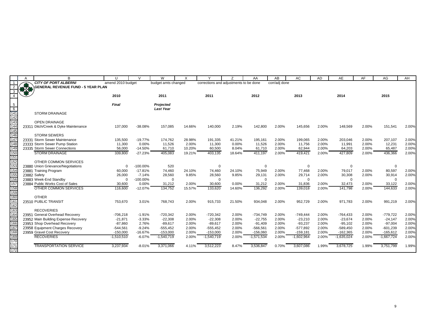| <b>CITY OF PORT ALBERNI</b><br>corr/adj done<br>amend 2010 budget<br>budget amts changed<br>corrections and adjustments to be done<br><b>13-20</b><br>GENERAL REVENUE FUND - 5 YEAR PLAN<br>2010<br>2011<br>2012<br>2013<br>2015<br>2011<br>2014<br>Final<br>$\frac{5}{6}$<br>Projected<br><b>Last Year</b><br>141<br><b>STORM DRAINAGE</b><br>142<br>143<br><b>OPEN DRAINAGE</b><br>144<br>2.19%<br>2.00%<br>2.00%<br>148,569<br>2.00%<br>Ditch/Creek & Dyke Maintenance<br>137,000<br>$-38.08%$<br>157,085<br>14.66%<br>140,000<br>142,800<br>145,656<br>151,541<br>2331<br>145<br>146<br><b>STORM SEWERS</b><br>147<br>$-19.77%$<br>2.00%<br>207,107<br><b>Storm Sewer Maintenance</b><br>135,500<br>174,762<br>28.98%<br>191,335<br>41.21%<br>195,161<br>2.00%<br>199,065<br>2.00%<br>203,046<br>23331<br>148<br>11,526<br>23333 Storm Sewer Pump Station<br>11,300<br>0.00%<br>2.00%<br>11,300<br>0.00%<br>11,526<br>2.00%<br>11,756<br>2.00%<br>11,991<br>2.00%<br>12,231<br>149<br>23335 Storm Sewer Connections<br>2.00%<br>$-14.50%$<br>61,710<br>10.20%<br>8.04%<br>61,710<br>2.00%<br>62,944<br>2.00%<br>64,203<br>65,487<br>56,000<br>60,500<br>150<br><b>STORM DRAINAGE</b><br>2.00%<br>427,809<br>2.00%<br>339,800<br>$-27.23%$<br>405,083<br>19.21%<br>403,135<br>18.64%<br>411,197<br>2.00%<br>419,421<br>436,366<br>151<br>152<br>OTHER COMMON SERVICES<br>153<br>23880 Union Grievance/Negotiations<br>520<br>$\Omega$<br>$-100.00\%$<br>0<br>$\mathbf 0$<br>0<br>0<br>$\Omega$<br>154<br>$-17.81%$<br>74,460<br>2.00%<br>77,468<br>2.00%<br>80,597<br>23881 Training Program<br>60,000<br>24.10%<br>74,460<br>24.10%<br>75,949<br>2.00%<br>79,017<br>155<br>2.00%<br>28,560<br>9.85%<br>28,560<br>9.85%<br>29,131<br>2.00%<br>29,714<br>30,308<br>2.00%<br>23882 Safety<br>26,000<br>$-7.14%$<br>30,914<br>156<br>23883 Week-End Standby<br>$-100.00\%$<br>$\Omega$<br>$\mathbf 0$<br>$\Omega$<br>$\mathbf 0$<br>$\mathbf 0$<br>$\Omega$<br>$\Omega$<br>157<br>23884 Public Works Cost of Sales<br>0.00%<br>31,212<br>2.00%<br>30,600<br>0.00%<br>31,212<br>2.00%<br>31,836<br>2.00%<br>32,473<br>2.00%<br>33,122<br>30,600<br>158<br>OTHER COMMON SERVICES<br>134,752<br>2.00%<br>141,798<br>2.00%<br>116,600<br>$-12.07%$<br>15.57%<br>133,620<br>14.60%<br>136,292<br>2.00%<br>139,018<br>144,633<br>159<br>160<br><b>OTHER</b><br>161<br>23510 PUBLIC TRANSIT<br>3.01%<br>21.50%<br>2.00%<br>2.00%<br>971,783<br>2.00%<br>753,670<br>768,743<br>2.00%<br>915,733<br>934,048<br>952,729<br>991,219<br>162<br>163<br><b>RECOVERIES</b><br>164<br>23951 General Overhead Recovery<br>2.00%<br>$-720,342$<br>2.00%<br>$-734,749$<br>2.00%<br>2.00%<br>2.00%<br>$-779,722$<br>$-706,218$<br>$-1.91%$<br>$-720,342$<br>$-749,444$<br>$-764,433$<br>165<br>23952 Main Building Expense Recovery<br>$-21,871$<br>$-3.33%$<br>$-22,308$<br>2.00%<br>$-22,308$<br>2.00%<br>$-22,755$<br>2.00%<br>$-23,210$<br>2.00%<br>$-23,674$<br>2.00%<br>$-24,147$<br>166<br>23953 Shop Overhead Recovery<br>$-93,237$<br>$-95,102$<br>$-97,004$<br>$-87,860$<br>2.76%<br>$-89,617$<br>2.00%<br>$-89,617$<br>2.00%<br>$-91,409$<br>2.00%<br>2.00%<br>2.00%<br>167<br>23958 Equipment Charges Recovery<br>$-544,561$<br>2.00%<br>$-555,452$<br>2.00%<br>$-566,561$<br>2.00%<br>$-577,892$<br>2.00%<br>$-589,450$<br>2.00%<br>$-601,239$<br>$-9.24%$<br>$-555,452$<br>168<br>169<br>23959 Gravel Cost Recovery<br>$-16.67%$<br>2.00%<br>2.00%<br>2.00%<br>$-150,000$<br>2.00%<br>$-153,000$<br>2.00%<br>$-156,060$<br>$-159,181$<br>$-162,365$<br>$-165,612$<br>$-153,000$<br><b>RECOVERIES</b><br>$-6.07%$<br>$-1,510,510$<br>$-1,540,719$<br>$-1,540,719$<br>2.00%<br>$-1,571,534$<br>2.00%<br>$-1,602,964$<br>2.00%<br>$-1,635,024$<br>2.00%<br>$-1,667,724$<br>2.00%<br>170<br>171<br>3,678,725<br><b>TRANSPORTATION SERVICE</b><br>3,237,934<br>$-8.01%$<br>3,371,066<br>3,512,223<br>8.47%<br>3,536,847<br>0.70%<br>3,607,086<br>1.99%<br>1.99%<br>3,751,799<br>4.11% |     | A | B | $\mathbf{U}$ | $\mathcal{U}$ | W | X |  | AA | AB | AC | <b>AD</b> | AE | AF | AG | AH    |
|----------------------------------------------------------------------------------------------------------------------------------------------------------------------------------------------------------------------------------------------------------------------------------------------------------------------------------------------------------------------------------------------------------------------------------------------------------------------------------------------------------------------------------------------------------------------------------------------------------------------------------------------------------------------------------------------------------------------------------------------------------------------------------------------------------------------------------------------------------------------------------------------------------------------------------------------------------------------------------------------------------------------------------------------------------------------------------------------------------------------------------------------------------------------------------------------------------------------------------------------------------------------------------------------------------------------------------------------------------------------------------------------------------------------------------------------------------------------------------------------------------------------------------------------------------------------------------------------------------------------------------------------------------------------------------------------------------------------------------------------------------------------------------------------------------------------------------------------------------------------------------------------------------------------------------------------------------------------------------------------------------------------------------------------------------------------------------------------------------------------------------------------------------------------------------------------------------------------------------------------------------------------------------------------------------------------------------------------------------------------------------------------------------------------------------------------------------------------------------------------------------------------------------------------------------------------------------------------------------------------------------------------------------------------------------------------------------------------------------------------------------------------------------------------------------------------------------------------------------------------------------------------------------------------------------------------------------------------------------------------------------------------------------------------------------------------------------------------------------------------------------------------------------------------------------------------------------------------------------------------------------------------------------------------------------------------------------------------------------------------------------------------------------------------------------------------------------------------------------------------------------------------------------------------------------------------------------------------------------------------------------------------------------------------------------------------------------------------------------------------------------------------------------------------------------------------------------------------------------------------------------------------------------------------------------------------------------------------------|-----|---|---|--------------|---------------|---|---|--|----|----|----|-----------|----|----|----|-------|
|                                                                                                                                                                                                                                                                                                                                                                                                                                                                                                                                                                                                                                                                                                                                                                                                                                                                                                                                                                                                                                                                                                                                                                                                                                                                                                                                                                                                                                                                                                                                                                                                                                                                                                                                                                                                                                                                                                                                                                                                                                                                                                                                                                                                                                                                                                                                                                                                                                                                                                                                                                                                                                                                                                                                                                                                                                                                                                                                                                                                                                                                                                                                                                                                                                                                                                                                                                                                                                                                                                                                                                                                                                                                                                                                                                                                                                                                                                                                                                            |     |   |   |              |               |   |   |  |    |    |    |           |    |    |    |       |
|                                                                                                                                                                                                                                                                                                                                                                                                                                                                                                                                                                                                                                                                                                                                                                                                                                                                                                                                                                                                                                                                                                                                                                                                                                                                                                                                                                                                                                                                                                                                                                                                                                                                                                                                                                                                                                                                                                                                                                                                                                                                                                                                                                                                                                                                                                                                                                                                                                                                                                                                                                                                                                                                                                                                                                                                                                                                                                                                                                                                                                                                                                                                                                                                                                                                                                                                                                                                                                                                                                                                                                                                                                                                                                                                                                                                                                                                                                                                                                            |     |   |   |              |               |   |   |  |    |    |    |           |    |    |    |       |
|                                                                                                                                                                                                                                                                                                                                                                                                                                                                                                                                                                                                                                                                                                                                                                                                                                                                                                                                                                                                                                                                                                                                                                                                                                                                                                                                                                                                                                                                                                                                                                                                                                                                                                                                                                                                                                                                                                                                                                                                                                                                                                                                                                                                                                                                                                                                                                                                                                                                                                                                                                                                                                                                                                                                                                                                                                                                                                                                                                                                                                                                                                                                                                                                                                                                                                                                                                                                                                                                                                                                                                                                                                                                                                                                                                                                                                                                                                                                                                            |     |   |   |              |               |   |   |  |    |    |    |           |    |    |    |       |
|                                                                                                                                                                                                                                                                                                                                                                                                                                                                                                                                                                                                                                                                                                                                                                                                                                                                                                                                                                                                                                                                                                                                                                                                                                                                                                                                                                                                                                                                                                                                                                                                                                                                                                                                                                                                                                                                                                                                                                                                                                                                                                                                                                                                                                                                                                                                                                                                                                                                                                                                                                                                                                                                                                                                                                                                                                                                                                                                                                                                                                                                                                                                                                                                                                                                                                                                                                                                                                                                                                                                                                                                                                                                                                                                                                                                                                                                                                                                                                            |     |   |   |              |               |   |   |  |    |    |    |           |    |    |    |       |
|                                                                                                                                                                                                                                                                                                                                                                                                                                                                                                                                                                                                                                                                                                                                                                                                                                                                                                                                                                                                                                                                                                                                                                                                                                                                                                                                                                                                                                                                                                                                                                                                                                                                                                                                                                                                                                                                                                                                                                                                                                                                                                                                                                                                                                                                                                                                                                                                                                                                                                                                                                                                                                                                                                                                                                                                                                                                                                                                                                                                                                                                                                                                                                                                                                                                                                                                                                                                                                                                                                                                                                                                                                                                                                                                                                                                                                                                                                                                                                            |     |   |   |              |               |   |   |  |    |    |    |           |    |    |    |       |
|                                                                                                                                                                                                                                                                                                                                                                                                                                                                                                                                                                                                                                                                                                                                                                                                                                                                                                                                                                                                                                                                                                                                                                                                                                                                                                                                                                                                                                                                                                                                                                                                                                                                                                                                                                                                                                                                                                                                                                                                                                                                                                                                                                                                                                                                                                                                                                                                                                                                                                                                                                                                                                                                                                                                                                                                                                                                                                                                                                                                                                                                                                                                                                                                                                                                                                                                                                                                                                                                                                                                                                                                                                                                                                                                                                                                                                                                                                                                                                            |     |   |   |              |               |   |   |  |    |    |    |           |    |    |    |       |
|                                                                                                                                                                                                                                                                                                                                                                                                                                                                                                                                                                                                                                                                                                                                                                                                                                                                                                                                                                                                                                                                                                                                                                                                                                                                                                                                                                                                                                                                                                                                                                                                                                                                                                                                                                                                                                                                                                                                                                                                                                                                                                                                                                                                                                                                                                                                                                                                                                                                                                                                                                                                                                                                                                                                                                                                                                                                                                                                                                                                                                                                                                                                                                                                                                                                                                                                                                                                                                                                                                                                                                                                                                                                                                                                                                                                                                                                                                                                                                            |     |   |   |              |               |   |   |  |    |    |    |           |    |    |    |       |
|                                                                                                                                                                                                                                                                                                                                                                                                                                                                                                                                                                                                                                                                                                                                                                                                                                                                                                                                                                                                                                                                                                                                                                                                                                                                                                                                                                                                                                                                                                                                                                                                                                                                                                                                                                                                                                                                                                                                                                                                                                                                                                                                                                                                                                                                                                                                                                                                                                                                                                                                                                                                                                                                                                                                                                                                                                                                                                                                                                                                                                                                                                                                                                                                                                                                                                                                                                                                                                                                                                                                                                                                                                                                                                                                                                                                                                                                                                                                                                            |     |   |   |              |               |   |   |  |    |    |    |           |    |    |    |       |
|                                                                                                                                                                                                                                                                                                                                                                                                                                                                                                                                                                                                                                                                                                                                                                                                                                                                                                                                                                                                                                                                                                                                                                                                                                                                                                                                                                                                                                                                                                                                                                                                                                                                                                                                                                                                                                                                                                                                                                                                                                                                                                                                                                                                                                                                                                                                                                                                                                                                                                                                                                                                                                                                                                                                                                                                                                                                                                                                                                                                                                                                                                                                                                                                                                                                                                                                                                                                                                                                                                                                                                                                                                                                                                                                                                                                                                                                                                                                                                            |     |   |   |              |               |   |   |  |    |    |    |           |    |    |    |       |
|                                                                                                                                                                                                                                                                                                                                                                                                                                                                                                                                                                                                                                                                                                                                                                                                                                                                                                                                                                                                                                                                                                                                                                                                                                                                                                                                                                                                                                                                                                                                                                                                                                                                                                                                                                                                                                                                                                                                                                                                                                                                                                                                                                                                                                                                                                                                                                                                                                                                                                                                                                                                                                                                                                                                                                                                                                                                                                                                                                                                                                                                                                                                                                                                                                                                                                                                                                                                                                                                                                                                                                                                                                                                                                                                                                                                                                                                                                                                                                            |     |   |   |              |               |   |   |  |    |    |    |           |    |    |    | 2.00% |
|                                                                                                                                                                                                                                                                                                                                                                                                                                                                                                                                                                                                                                                                                                                                                                                                                                                                                                                                                                                                                                                                                                                                                                                                                                                                                                                                                                                                                                                                                                                                                                                                                                                                                                                                                                                                                                                                                                                                                                                                                                                                                                                                                                                                                                                                                                                                                                                                                                                                                                                                                                                                                                                                                                                                                                                                                                                                                                                                                                                                                                                                                                                                                                                                                                                                                                                                                                                                                                                                                                                                                                                                                                                                                                                                                                                                                                                                                                                                                                            |     |   |   |              |               |   |   |  |    |    |    |           |    |    |    |       |
|                                                                                                                                                                                                                                                                                                                                                                                                                                                                                                                                                                                                                                                                                                                                                                                                                                                                                                                                                                                                                                                                                                                                                                                                                                                                                                                                                                                                                                                                                                                                                                                                                                                                                                                                                                                                                                                                                                                                                                                                                                                                                                                                                                                                                                                                                                                                                                                                                                                                                                                                                                                                                                                                                                                                                                                                                                                                                                                                                                                                                                                                                                                                                                                                                                                                                                                                                                                                                                                                                                                                                                                                                                                                                                                                                                                                                                                                                                                                                                            |     |   |   |              |               |   |   |  |    |    |    |           |    |    |    |       |
|                                                                                                                                                                                                                                                                                                                                                                                                                                                                                                                                                                                                                                                                                                                                                                                                                                                                                                                                                                                                                                                                                                                                                                                                                                                                                                                                                                                                                                                                                                                                                                                                                                                                                                                                                                                                                                                                                                                                                                                                                                                                                                                                                                                                                                                                                                                                                                                                                                                                                                                                                                                                                                                                                                                                                                                                                                                                                                                                                                                                                                                                                                                                                                                                                                                                                                                                                                                                                                                                                                                                                                                                                                                                                                                                                                                                                                                                                                                                                                            |     |   |   |              |               |   |   |  |    |    |    |           |    |    |    | 2.00% |
|                                                                                                                                                                                                                                                                                                                                                                                                                                                                                                                                                                                                                                                                                                                                                                                                                                                                                                                                                                                                                                                                                                                                                                                                                                                                                                                                                                                                                                                                                                                                                                                                                                                                                                                                                                                                                                                                                                                                                                                                                                                                                                                                                                                                                                                                                                                                                                                                                                                                                                                                                                                                                                                                                                                                                                                                                                                                                                                                                                                                                                                                                                                                                                                                                                                                                                                                                                                                                                                                                                                                                                                                                                                                                                                                                                                                                                                                                                                                                                            |     |   |   |              |               |   |   |  |    |    |    |           |    |    |    | 2.00% |
|                                                                                                                                                                                                                                                                                                                                                                                                                                                                                                                                                                                                                                                                                                                                                                                                                                                                                                                                                                                                                                                                                                                                                                                                                                                                                                                                                                                                                                                                                                                                                                                                                                                                                                                                                                                                                                                                                                                                                                                                                                                                                                                                                                                                                                                                                                                                                                                                                                                                                                                                                                                                                                                                                                                                                                                                                                                                                                                                                                                                                                                                                                                                                                                                                                                                                                                                                                                                                                                                                                                                                                                                                                                                                                                                                                                                                                                                                                                                                                            |     |   |   |              |               |   |   |  |    |    |    |           |    |    |    | 2.00% |
|                                                                                                                                                                                                                                                                                                                                                                                                                                                                                                                                                                                                                                                                                                                                                                                                                                                                                                                                                                                                                                                                                                                                                                                                                                                                                                                                                                                                                                                                                                                                                                                                                                                                                                                                                                                                                                                                                                                                                                                                                                                                                                                                                                                                                                                                                                                                                                                                                                                                                                                                                                                                                                                                                                                                                                                                                                                                                                                                                                                                                                                                                                                                                                                                                                                                                                                                                                                                                                                                                                                                                                                                                                                                                                                                                                                                                                                                                                                                                                            |     |   |   |              |               |   |   |  |    |    |    |           |    |    |    | 2.00% |
|                                                                                                                                                                                                                                                                                                                                                                                                                                                                                                                                                                                                                                                                                                                                                                                                                                                                                                                                                                                                                                                                                                                                                                                                                                                                                                                                                                                                                                                                                                                                                                                                                                                                                                                                                                                                                                                                                                                                                                                                                                                                                                                                                                                                                                                                                                                                                                                                                                                                                                                                                                                                                                                                                                                                                                                                                                                                                                                                                                                                                                                                                                                                                                                                                                                                                                                                                                                                                                                                                                                                                                                                                                                                                                                                                                                                                                                                                                                                                                            |     |   |   |              |               |   |   |  |    |    |    |           |    |    |    |       |
|                                                                                                                                                                                                                                                                                                                                                                                                                                                                                                                                                                                                                                                                                                                                                                                                                                                                                                                                                                                                                                                                                                                                                                                                                                                                                                                                                                                                                                                                                                                                                                                                                                                                                                                                                                                                                                                                                                                                                                                                                                                                                                                                                                                                                                                                                                                                                                                                                                                                                                                                                                                                                                                                                                                                                                                                                                                                                                                                                                                                                                                                                                                                                                                                                                                                                                                                                                                                                                                                                                                                                                                                                                                                                                                                                                                                                                                                                                                                                                            |     |   |   |              |               |   |   |  |    |    |    |           |    |    |    |       |
|                                                                                                                                                                                                                                                                                                                                                                                                                                                                                                                                                                                                                                                                                                                                                                                                                                                                                                                                                                                                                                                                                                                                                                                                                                                                                                                                                                                                                                                                                                                                                                                                                                                                                                                                                                                                                                                                                                                                                                                                                                                                                                                                                                                                                                                                                                                                                                                                                                                                                                                                                                                                                                                                                                                                                                                                                                                                                                                                                                                                                                                                                                                                                                                                                                                                                                                                                                                                                                                                                                                                                                                                                                                                                                                                                                                                                                                                                                                                                                            |     |   |   |              |               |   |   |  |    |    |    |           |    |    |    |       |
|                                                                                                                                                                                                                                                                                                                                                                                                                                                                                                                                                                                                                                                                                                                                                                                                                                                                                                                                                                                                                                                                                                                                                                                                                                                                                                                                                                                                                                                                                                                                                                                                                                                                                                                                                                                                                                                                                                                                                                                                                                                                                                                                                                                                                                                                                                                                                                                                                                                                                                                                                                                                                                                                                                                                                                                                                                                                                                                                                                                                                                                                                                                                                                                                                                                                                                                                                                                                                                                                                                                                                                                                                                                                                                                                                                                                                                                                                                                                                                            |     |   |   |              |               |   |   |  |    |    |    |           |    |    |    | 2.00% |
|                                                                                                                                                                                                                                                                                                                                                                                                                                                                                                                                                                                                                                                                                                                                                                                                                                                                                                                                                                                                                                                                                                                                                                                                                                                                                                                                                                                                                                                                                                                                                                                                                                                                                                                                                                                                                                                                                                                                                                                                                                                                                                                                                                                                                                                                                                                                                                                                                                                                                                                                                                                                                                                                                                                                                                                                                                                                                                                                                                                                                                                                                                                                                                                                                                                                                                                                                                                                                                                                                                                                                                                                                                                                                                                                                                                                                                                                                                                                                                            |     |   |   |              |               |   |   |  |    |    |    |           |    |    |    | 2.00% |
|                                                                                                                                                                                                                                                                                                                                                                                                                                                                                                                                                                                                                                                                                                                                                                                                                                                                                                                                                                                                                                                                                                                                                                                                                                                                                                                                                                                                                                                                                                                                                                                                                                                                                                                                                                                                                                                                                                                                                                                                                                                                                                                                                                                                                                                                                                                                                                                                                                                                                                                                                                                                                                                                                                                                                                                                                                                                                                                                                                                                                                                                                                                                                                                                                                                                                                                                                                                                                                                                                                                                                                                                                                                                                                                                                                                                                                                                                                                                                                            |     |   |   |              |               |   |   |  |    |    |    |           |    |    |    |       |
|                                                                                                                                                                                                                                                                                                                                                                                                                                                                                                                                                                                                                                                                                                                                                                                                                                                                                                                                                                                                                                                                                                                                                                                                                                                                                                                                                                                                                                                                                                                                                                                                                                                                                                                                                                                                                                                                                                                                                                                                                                                                                                                                                                                                                                                                                                                                                                                                                                                                                                                                                                                                                                                                                                                                                                                                                                                                                                                                                                                                                                                                                                                                                                                                                                                                                                                                                                                                                                                                                                                                                                                                                                                                                                                                                                                                                                                                                                                                                                            |     |   |   |              |               |   |   |  |    |    |    |           |    |    |    | 2.00% |
|                                                                                                                                                                                                                                                                                                                                                                                                                                                                                                                                                                                                                                                                                                                                                                                                                                                                                                                                                                                                                                                                                                                                                                                                                                                                                                                                                                                                                                                                                                                                                                                                                                                                                                                                                                                                                                                                                                                                                                                                                                                                                                                                                                                                                                                                                                                                                                                                                                                                                                                                                                                                                                                                                                                                                                                                                                                                                                                                                                                                                                                                                                                                                                                                                                                                                                                                                                                                                                                                                                                                                                                                                                                                                                                                                                                                                                                                                                                                                                            |     |   |   |              |               |   |   |  |    |    |    |           |    |    |    | 2.00% |
|                                                                                                                                                                                                                                                                                                                                                                                                                                                                                                                                                                                                                                                                                                                                                                                                                                                                                                                                                                                                                                                                                                                                                                                                                                                                                                                                                                                                                                                                                                                                                                                                                                                                                                                                                                                                                                                                                                                                                                                                                                                                                                                                                                                                                                                                                                                                                                                                                                                                                                                                                                                                                                                                                                                                                                                                                                                                                                                                                                                                                                                                                                                                                                                                                                                                                                                                                                                                                                                                                                                                                                                                                                                                                                                                                                                                                                                                                                                                                                            |     |   |   |              |               |   |   |  |    |    |    |           |    |    |    |       |
|                                                                                                                                                                                                                                                                                                                                                                                                                                                                                                                                                                                                                                                                                                                                                                                                                                                                                                                                                                                                                                                                                                                                                                                                                                                                                                                                                                                                                                                                                                                                                                                                                                                                                                                                                                                                                                                                                                                                                                                                                                                                                                                                                                                                                                                                                                                                                                                                                                                                                                                                                                                                                                                                                                                                                                                                                                                                                                                                                                                                                                                                                                                                                                                                                                                                                                                                                                                                                                                                                                                                                                                                                                                                                                                                                                                                                                                                                                                                                                            |     |   |   |              |               |   |   |  |    |    |    |           |    |    |    |       |
|                                                                                                                                                                                                                                                                                                                                                                                                                                                                                                                                                                                                                                                                                                                                                                                                                                                                                                                                                                                                                                                                                                                                                                                                                                                                                                                                                                                                                                                                                                                                                                                                                                                                                                                                                                                                                                                                                                                                                                                                                                                                                                                                                                                                                                                                                                                                                                                                                                                                                                                                                                                                                                                                                                                                                                                                                                                                                                                                                                                                                                                                                                                                                                                                                                                                                                                                                                                                                                                                                                                                                                                                                                                                                                                                                                                                                                                                                                                                                                            |     |   |   |              |               |   |   |  |    |    |    |           |    |    |    | 2.00% |
|                                                                                                                                                                                                                                                                                                                                                                                                                                                                                                                                                                                                                                                                                                                                                                                                                                                                                                                                                                                                                                                                                                                                                                                                                                                                                                                                                                                                                                                                                                                                                                                                                                                                                                                                                                                                                                                                                                                                                                                                                                                                                                                                                                                                                                                                                                                                                                                                                                                                                                                                                                                                                                                                                                                                                                                                                                                                                                                                                                                                                                                                                                                                                                                                                                                                                                                                                                                                                                                                                                                                                                                                                                                                                                                                                                                                                                                                                                                                                                            |     |   |   |              |               |   |   |  |    |    |    |           |    |    |    |       |
|                                                                                                                                                                                                                                                                                                                                                                                                                                                                                                                                                                                                                                                                                                                                                                                                                                                                                                                                                                                                                                                                                                                                                                                                                                                                                                                                                                                                                                                                                                                                                                                                                                                                                                                                                                                                                                                                                                                                                                                                                                                                                                                                                                                                                                                                                                                                                                                                                                                                                                                                                                                                                                                                                                                                                                                                                                                                                                                                                                                                                                                                                                                                                                                                                                                                                                                                                                                                                                                                                                                                                                                                                                                                                                                                                                                                                                                                                                                                                                            |     |   |   |              |               |   |   |  |    |    |    |           |    |    |    | 2.00% |
|                                                                                                                                                                                                                                                                                                                                                                                                                                                                                                                                                                                                                                                                                                                                                                                                                                                                                                                                                                                                                                                                                                                                                                                                                                                                                                                                                                                                                                                                                                                                                                                                                                                                                                                                                                                                                                                                                                                                                                                                                                                                                                                                                                                                                                                                                                                                                                                                                                                                                                                                                                                                                                                                                                                                                                                                                                                                                                                                                                                                                                                                                                                                                                                                                                                                                                                                                                                                                                                                                                                                                                                                                                                                                                                                                                                                                                                                                                                                                                            |     |   |   |              |               |   |   |  |    |    |    |           |    |    |    | 2.00% |
|                                                                                                                                                                                                                                                                                                                                                                                                                                                                                                                                                                                                                                                                                                                                                                                                                                                                                                                                                                                                                                                                                                                                                                                                                                                                                                                                                                                                                                                                                                                                                                                                                                                                                                                                                                                                                                                                                                                                                                                                                                                                                                                                                                                                                                                                                                                                                                                                                                                                                                                                                                                                                                                                                                                                                                                                                                                                                                                                                                                                                                                                                                                                                                                                                                                                                                                                                                                                                                                                                                                                                                                                                                                                                                                                                                                                                                                                                                                                                                            |     |   |   |              |               |   |   |  |    |    |    |           |    |    |    | 2.00% |
|                                                                                                                                                                                                                                                                                                                                                                                                                                                                                                                                                                                                                                                                                                                                                                                                                                                                                                                                                                                                                                                                                                                                                                                                                                                                                                                                                                                                                                                                                                                                                                                                                                                                                                                                                                                                                                                                                                                                                                                                                                                                                                                                                                                                                                                                                                                                                                                                                                                                                                                                                                                                                                                                                                                                                                                                                                                                                                                                                                                                                                                                                                                                                                                                                                                                                                                                                                                                                                                                                                                                                                                                                                                                                                                                                                                                                                                                                                                                                                            |     |   |   |              |               |   |   |  |    |    |    |           |    |    |    | 2.00% |
|                                                                                                                                                                                                                                                                                                                                                                                                                                                                                                                                                                                                                                                                                                                                                                                                                                                                                                                                                                                                                                                                                                                                                                                                                                                                                                                                                                                                                                                                                                                                                                                                                                                                                                                                                                                                                                                                                                                                                                                                                                                                                                                                                                                                                                                                                                                                                                                                                                                                                                                                                                                                                                                                                                                                                                                                                                                                                                                                                                                                                                                                                                                                                                                                                                                                                                                                                                                                                                                                                                                                                                                                                                                                                                                                                                                                                                                                                                                                                                            |     |   |   |              |               |   |   |  |    |    |    |           |    |    |    | 2.00% |
|                                                                                                                                                                                                                                                                                                                                                                                                                                                                                                                                                                                                                                                                                                                                                                                                                                                                                                                                                                                                                                                                                                                                                                                                                                                                                                                                                                                                                                                                                                                                                                                                                                                                                                                                                                                                                                                                                                                                                                                                                                                                                                                                                                                                                                                                                                                                                                                                                                                                                                                                                                                                                                                                                                                                                                                                                                                                                                                                                                                                                                                                                                                                                                                                                                                                                                                                                                                                                                                                                                                                                                                                                                                                                                                                                                                                                                                                                                                                                                            |     |   |   |              |               |   |   |  |    |    |    |           |    |    |    | 2.00% |
|                                                                                                                                                                                                                                                                                                                                                                                                                                                                                                                                                                                                                                                                                                                                                                                                                                                                                                                                                                                                                                                                                                                                                                                                                                                                                                                                                                                                                                                                                                                                                                                                                                                                                                                                                                                                                                                                                                                                                                                                                                                                                                                                                                                                                                                                                                                                                                                                                                                                                                                                                                                                                                                                                                                                                                                                                                                                                                                                                                                                                                                                                                                                                                                                                                                                                                                                                                                                                                                                                                                                                                                                                                                                                                                                                                                                                                                                                                                                                                            |     |   |   |              |               |   |   |  |    |    |    |           |    |    |    |       |
|                                                                                                                                                                                                                                                                                                                                                                                                                                                                                                                                                                                                                                                                                                                                                                                                                                                                                                                                                                                                                                                                                                                                                                                                                                                                                                                                                                                                                                                                                                                                                                                                                                                                                                                                                                                                                                                                                                                                                                                                                                                                                                                                                                                                                                                                                                                                                                                                                                                                                                                                                                                                                                                                                                                                                                                                                                                                                                                                                                                                                                                                                                                                                                                                                                                                                                                                                                                                                                                                                                                                                                                                                                                                                                                                                                                                                                                                                                                                                                            |     |   |   |              |               |   |   |  |    |    |    |           |    |    |    | 1.99% |
|                                                                                                                                                                                                                                                                                                                                                                                                                                                                                                                                                                                                                                                                                                                                                                                                                                                                                                                                                                                                                                                                                                                                                                                                                                                                                                                                                                                                                                                                                                                                                                                                                                                                                                                                                                                                                                                                                                                                                                                                                                                                                                                                                                                                                                                                                                                                                                                                                                                                                                                                                                                                                                                                                                                                                                                                                                                                                                                                                                                                                                                                                                                                                                                                                                                                                                                                                                                                                                                                                                                                                                                                                                                                                                                                                                                                                                                                                                                                                                            | 172 |   |   |              |               |   |   |  |    |    |    |           |    |    |    |       |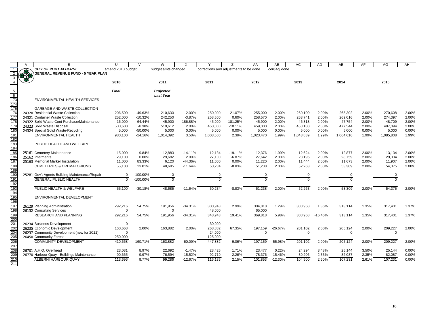|                                                            | A          | <sub>B</sub>                                   | $\mathbf{U}$      | $\mathsf{V}$ | W                   | X         | $\vee$                                 | 7          | AA        | AB            | AC        | <b>AD</b> | AE        | AF    | AG        | AH    |
|------------------------------------------------------------|------------|------------------------------------------------|-------------------|--------------|---------------------|-----------|----------------------------------------|------------|-----------|---------------|-----------|-----------|-----------|-------|-----------|-------|
| $\overline{1}$                                             |            | <b>CITY OF PORT ALBERNI</b>                    | amend 2010 budget |              | budget amts changed |           | corrections and adjustments to be done |            |           | corr/adj done |           |           |           |       |           |       |
|                                                            | <b>BLW</b> | <b>GENERAL REVENUE FUND - 5 YEAR PLAN</b>      |                   |              |                     |           |                                        |            |           |               |           |           |           |       |           |       |
|                                                            |            |                                                |                   |              |                     |           |                                        |            |           |               |           |           |           |       |           |       |
|                                                            |            |                                                | 2010              |              | 2011                |           | 2011                                   |            | 2012      |               | 2013      |           | 2014      |       | 2015      |       |
|                                                            |            |                                                |                   |              |                     |           |                                        |            |           |               |           |           |           |       |           |       |
|                                                            |            |                                                | Final             |              | Projected           |           |                                        |            |           |               |           |           |           |       |           |       |
| $\begin{array}{r} 5 \\ \hline 6 \\ \hline 173 \end{array}$ |            | ENVIRONMENTAL HEALTH SERVICES                  |                   |              | <b>Last Year</b>    |           |                                        |            |           |               |           |           |           |       |           |       |
| 174                                                        |            |                                                |                   |              |                     |           |                                        |            |           |               |           |           |           |       |           |       |
| 175                                                        |            | <b>GARBAGE AND WASTE COLLECTION</b>            |                   |              |                     |           |                                        |            |           |               |           |           |           |       |           |       |
| 176                                                        |            | 24320 Residential Waste Collection             | 206,500           | -49.63%      | 210,630             | 2.00%     | 250,000                                | 21.07%     | 255,000   | 2.00%         | 260,100   | 2.00%     | 265,302   | 2.00% | 270,608   | 2.00% |
| 177                                                        |            | 24321 Container Waste Collection               | 252,000           | $-10.32%$    | 242,250             | $-3.87%$  | 253,500                                | 0.60%      | 258,570   | 2.00%         | 263,741   | 2.00%     | 269,016   | 2.00% | 274,397   | 2.00% |
| 178                                                        |            | 24322 Solid Waste Cont Purchase/Maintenance    | 16,000            | $-64.44%$    | 45,900              | 186.88%   | 45,000                                 | 181.25%    | 45,900    | 2.00%         | 46,818    | 2.00%     | 47,754    | 2.00% | 48,709    | 2.00% |
| 179                                                        |            | 24323 Solid Waste Disposal                     | 500,600           | $-8.38%$     | 510,612             | 2.00%     | 450,000                                | $-10.11%$  | 459,000   | 2.00%         | 468,180   | 2.00%     | 477,544   | 2.00% | 487,094   | 2.00% |
| 180                                                        |            | 24324 Special Solid Waste-Recycling            | 5,000             | $-50.00%$    | 5,000               | 0.00%     | 5,000                                  | 0.00%      | 5,000     | 0.00%         | 5,000     | 0.00%     | 5,000     | 0.00% | 5,000     | 0.00% |
| 181                                                        |            | <b>ENVIRONMENTAL HEALTH</b>                    | 980.100           | $-24.16%$    | 1,014,392           | 3.50%     | 1,003,500                              | 2.39%      | 1,023,470 | 1.99%         | 1,043,839 | 1.99%     | 1,064,616 | 1.99% | 1,085,808 | 1.99% |
| 182                                                        |            |                                                |                   |              |                     |           |                                        |            |           |               |           |           |           |       |           |       |
| 183                                                        |            | PUBLIC HEALTH AND WELFARE                      |                   |              |                     |           |                                        |            |           |               |           |           |           |       |           |       |
| 184                                                        |            |                                                |                   |              |                     |           |                                        |            |           |               |           |           |           |       |           |       |
| 185                                                        | 25161      | <b>Cemetery Maintenance</b>                    | 15,000            | 9.84%        | 12.883              | $-14.11%$ | 12.134                                 | $-19.11\%$ | 12,376    | 1.99%         | 12,624    | 2.00%     | 12,877    | 2.00% | 13,134    | 2.00% |
| 186                                                        |            | 25162 Interments                               | 29,100            | 0.00%        | 29,682              | 2.00%     | 27,100                                 | $-6.87%$   | 27,642    | 2.00%         | 28,195    | 2.00%     | 28,759    | 2.00% | 29,334    | 2.00% |
| 187                                                        |            | 25163 Memorial Marker Installation             | 11,000            | 83.33%       | 6,120               | $-44.36%$ | 11,000                                 | 0.00%      | 11,220    | 2.00%         | 11,444    | 2.00%     | 11,673    | 2.00% | 11,907    | 2.00% |
| 188                                                        |            | <b>CEMETERIES &amp; CREMATORIUMS</b>           | 55,100            | 13.01%       | 48.685              | $-11.64%$ | 50.234                                 | $-8.83%$   | 51,238    | 2.00%         | 52,263    | 2.00%     | 53,309    | 2.00% | 54,375    | 2.00% |
| 189                                                        |            |                                                |                   |              |                     |           |                                        |            |           |               |           |           |           |       |           |       |
| 190<br>191                                                 |            | 25281 Gov't Agents Building Maintenance/Repair | $\mathbf 0$       | $-100.00\%$  | $\Omega$            |           | 0                                      |            | $\Omega$  |               | 0         |           | $\Omega$  |       | $\Omega$  |       |
|                                                            |            | <b>GENERAL PUBLIC HEALTH</b>                   | $\Omega$          | $-100.00\%$  |                     |           | U                                      |            | $\Omega$  |               |           |           |           |       | $\Omega$  |       |
| 192<br>192<br>193<br>194<br>195                            |            |                                                |                   |              |                     |           |                                        |            |           |               |           |           |           |       |           |       |
|                                                            |            | PUBLIC HEALTH & WELFARE                        | 55,100            | $-30.18%$    | 48,685              | $-11.64%$ | 50,234                                 | $-8.83%$   | 51,238    | 2.00%         | 52,263    | 2.00%     | 53,309    | 2.00% | 54,375    | 2.00% |
|                                                            |            |                                                |                   |              |                     |           |                                        |            |           |               |           |           |           |       |           |       |
| 196                                                        |            | ENVIRONMENTAL DEVELOPMENT                      |                   |              |                     |           |                                        |            |           |               |           |           |           |       |           |       |
| 197                                                        |            | 26129 Planning Administration                  | 292,216           | 54.75%       | 191,956             | $-34.31%$ | 300,943                                | 2.99%      | 304,818   | 1.29%         | 308,958   | 1.36%     | 313,114   | 1.35% | 317,401   | 1.37% |
| $\frac{18}{198}$                                           |            | 26132 Consulting Services                      | $\Omega$          |              | $\Omega$            |           | 48,000                                 |            | 65,000    |               |           |           |           |       |           |       |
| 199                                                        |            | <b>RESEARCH AND PLANNING</b>                   | 292,216           | 54.75%       | 191,956             | $-34.31%$ | 348.943                                | 19.41%     | 369,818   | 5.98%         | 308,958   | $-16.46%$ | 313,114   | 1.35% | 317,401   | 1.37% |
| 200                                                        |            |                                                |                   |              |                     |           |                                        |            |           |               |           |           |           |       |           |       |
|                                                            |            | 26234 Business Development                     | $\mathbf 0$       |              |                     |           | 30,000                                 |            |           |               |           |           |           |       |           |       |
| 201<br>202                                                 |            | 26235 Economic Development                     | 160,668           | 2.00%        | 163,882             | 2.00%     | 268,882                                | 67.35%     | 197,159   | $-26.67%$     | 201,102   | 2.00%     | 205,124   | 2.00% | 209,227   | 2.00% |
|                                                            |            | 26237 Community Development (new for 2011)     | $\Omega$          |              |                     |           | 24,000                                 |            | $\Omega$  |               | $\Omega$  |           | $\Omega$  |       | $\Omega$  |       |
|                                                            |            | 26450 Community Forest                         | 250,000           |              |                     |           | 125,000                                |            |           |               |           |           |           |       |           |       |
| 204<br>204<br>205                                          |            | <b>COMMUNITY DEVELOPMENT</b>                   | 410,668           | 160.71%      | 163,882             | -60.09%   | 447,882                                | 9.06%      | 197,159   | $-55.98%$     | 201,102   | 2.00%     | 205,124   | 2.00% | 209,227   | 2.00% |
| 207<br>208                                                 |            |                                                |                   |              |                     |           |                                        |            |           |               |           |           |           |       |           |       |
|                                                            |            | 26701 A.H.Q. Overhead                          | 23,031            | 8.97%        | 22,692              | $-1.47%$  | 23,425                                 | 1.71%      | 23,477    | 0.22%         | 24,294    | 3.48%     | 25,144    | 3.50% | 25,144    | 0.00% |
| 209                                                        |            | 26770 Harbour Quay - Buildings Maintenance     | 90,665            | 9.97%        | 76,594              | $-15.52%$ | 92,710                                 | 2.26%      | 78,376    | $-15.46%$     | 80,206    | 2.33%     | 82,087    | 2.35% | 82,087    | 0.00% |
| 210                                                        |            | ALBERNI HARBOUR QUAY                           | 113,696           | 9.77%        | 99.286              | $-12.67%$ | 116.135                                | 2.15%      | 101,853   | $-12.30%$     | 104,500   | 2.60%     | 107,231   | 2.61% | 107,231   | 0.00% |
| 211                                                        |            |                                                |                   |              |                     |           |                                        |            |           |               |           |           |           |       |           |       |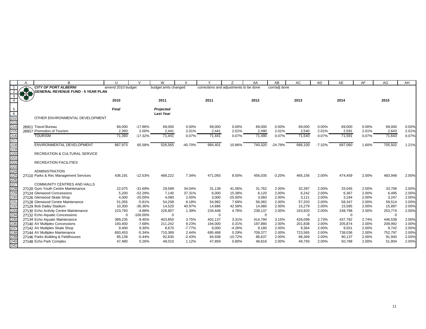|                                        | A   | B                                         | $\mathbf{U}$      | $\mathcal{U}$ | W                             | X         |                                        |            | AA       | AB            | <b>AC</b> | AD       | <b>AE</b> | AF    | <b>AG</b> | AH             |
|----------------------------------------|-----|-------------------------------------------|-------------------|---------------|-------------------------------|-----------|----------------------------------------|------------|----------|---------------|-----------|----------|-----------|-------|-----------|----------------|
|                                        |     | <b>CITY OF PORT ALBERNI</b>               | amend 2010 budget |               | budget amts changed           |           | corrections and adjustments to be done |            |          | corr/adj done |           |          |           |       |           |                |
|                                        | *** | <b>GENERAL REVENUE FUND - 5 YEAR PLAN</b> |                   |               |                               |           |                                        |            |          |               |           |          |           |       |           |                |
| $\mathbf{B}$                           |     |                                           |                   |               |                               |           |                                        |            |          |               |           |          |           |       |           |                |
|                                        |     |                                           | 2010              |               | 2011                          |           | 2011                                   |            | 2012     |               | 2013      |          | 2014      |       | 2015      |                |
|                                        |     |                                           |                   |               |                               |           |                                        |            |          |               |           |          |           |       |           |                |
| -5<br>6                                |     |                                           | <b>Final</b>      |               | Projected<br><b>Last Year</b> |           |                                        |            |          |               |           |          |           |       |           |                |
| $\frac{1}{212}$                        |     | OTHER ENVIRONMENTAL DEVELOPMENT           |                   |               |                               |           |                                        |            |          |               |           |          |           |       |           |                |
| 213                                    |     |                                           |                   |               |                               |           |                                        |            |          |               |           |          |           |       |           |                |
| 214                                    |     | 26911 Travel Bureau                       | 69,000            | $-17.86%$     | 69,000                        | 0.00%     | 69,000                                 | 0.00%      | 69,000   | 0.00%         | 69,000    | 0.00%    | 69,000    | 0.00% | 69,000    | 0.00%          |
| 215                                    |     | 26917 Promotion of Tourism                | 2,393             | 2.00%         | 2,441                         | 2.01%     | 2,441                                  | 2.01%      | 2,490    | 2.01%         | 2,540     | 2.01%    | 2,591     | 2.01% | 2,643     | 2.01%          |
| 216                                    |     | <b>TOURISM</b>                            | 71,393            | $-17.32%$     | 71,441                        | 0.07%     | 71,441                                 | 0.07%      | 71,490   | 0.07%         | 71,540    | 0.07%    | 71,591    | 0.07% | 71,643    | 0.07%          |
| 217                                    |     |                                           |                   |               |                               |           |                                        |            |          |               |           |          |           |       |           |                |
| 218                                    |     | ENVIRONMENTAL DEVELOPMENT                 | 887,973           | 65.58%        | 526,565                       | $-40.70%$ | 984,401                                | 10.86%     | 740,320  | $-24.79%$     | 686,100   | $-7.32%$ | 697,060   | 1.60% | 705,502   | 1.21%          |
| 219                                    |     |                                           |                   |               |                               |           |                                        |            |          |               |           |          |           |       |           |                |
|                                        |     | RECREATION & CULTURAL SERVICE             |                   |               |                               |           |                                        |            |          |               |           |          |           |       |           |                |
|                                        |     |                                           |                   |               |                               |           |                                        |            |          |               |           |          |           |       |           |                |
| 220<br>221<br>222<br>223<br>223<br>224 |     | <b>RECREATION FACILITIES</b>              |                   |               |                               |           |                                        |            |          |               |           |          |           |       |           |                |
|                                        |     |                                           |                   |               |                               |           |                                        |            |          |               |           |          |           |       |           |                |
|                                        |     | <b>ADMINISTRATION</b>                     |                   |               |                               |           |                                        |            |          |               |           |          |           |       |           |                |
| $\frac{225}{226}$                      |     | 27110 Parks & Rec Management Services     | 436,191           | $-12.53%$     | 468,222                       | 7.34%     | 471,093                                | 8.00%      | 456,035  | $-3.20%$      | 465,156   | 2.00%    | 474,459   | 2.00% | 483,948   | 2.00%          |
|                                        |     | <b>COMMUNITY CENTRES AND HALLS</b>        |                   |               |                               |           |                                        |            |          |               |           |          |           |       |           |                |
|                                        |     | 27120 Gyro Youth Centre Maintenance       | 22,075            | $-31.69%$     | 29,589                        | 34.04%    | 31,139                                 | 41.06%     | 31,762   | 2.00%         | 32,397    | 2.00%    | 33,045    | 2.00% | 33,706    | 2.00%          |
| $\frac{228}{229}$                      |     | 27124 Glenwood Concessions                | 5,200             | $-52.29%$     | 7,140                         | 37.31%    | 6,000                                  | 15.38%     | 6,120    | 2.00%         | 6,242     | 2.00%    | 6,367     | 2.00% | 6,495     | 2.00%          |
| 23 <sub>0</sub>                        |     | 27126 Glenwood Skate Shop                 | 4.000             | $-20.00\%$    | 4,080                         | 2.00%     | 3,000                                  | $-25.00\%$ | 3,060    | 2.00%         | 3,121     | 2.00%    | 3,184     | 2.00% | 3,247     | 2.00%          |
| 231                                    |     | 27128 Glenwood Centre Maintenance         | 51,055            | $-5.81%$      | 54,208                        | 6.18%     | 54,982                                 | 7.69%      | 56,082   | 2.00%         | 57,203    | 2.00%    | 58,347    | 2.00% | 59,514    | 2.00%          |
| 232<br>233                             |     | 27129 Bob Dailey Stadium                  | 10,300            | $-36.36%$     | 14,520                        | 40.97%    | 14,686                                 | 42.58%     | 14,980   | 2.00%         | 15,279    | 2.00%    | 15,585    | 2.00% | 15,897    | 2.00%          |
|                                        |     | 27130 Echo Activity Centre Maintenance    | 223,793           | $-4.88%$      | 226,907                       | 1.39%     | 234,448                                | 4.76%      | 239,137  | 2.00%         | 243,920   | 2.00%    | 248,798   | 2.00% | 253,774   | 2.00%          |
| 234                                    |     | 27132 Echo Aquatic Concessions            | $\mathbf 0$       | $-100.00\%$   | $\mathbf 0$                   |           | $\mathbf 0$                            |            | $\Omega$ |               | $\Omega$  |          | $\Omega$  |       | $\Omega$  |                |
| 235                                    |     | 27134 Echo Aquatic Maintenance            | 389,235           | $-9.45%$      | 403,850                       | 3.75%     | 402,137                                | 3.31%      | 414,794  | 3.15%         | 426,099   | 2.73%    | 437,782   | 2.74% | 446,538   | 2.00%          |
| 236                                    |     | 27140 AV Multiplex Concessions            | 193,400           | $-7.68%$      | 211,242                       | 9.23%     | 194,000                                | 0.31%      | 197,880  | 2.00%         | 201,838   | 2.00%    | 205,874   | 2.00% | 209,992   | 2.00%          |
| 237                                    |     | 27142 AV Multiplex Skate Shop             | 9,400             | 9.30%         | 8,670                         | $-7.77%$  | 9,000                                  | $-4.26%$   | 9,180    | 2.00%         | 9,364     | 2.00%    | 9,551     | 2.00% | 9,742     | 2.00%          |
| 238                                    |     | 27144 AV Multiplex Maintenance            | 693,453           | $-5.34%$      | 710,389                       | 2.44%     | 695,468                                | 0.29%      | 709,377  | 2.00%         | 723,565   | 2.00%    | 738,036   | 2.00% | 752,797   | 2.00%          |
| 239<br>240                             |     | 27146 Parks Building & Fieldhouses        | 95,139            | $-0.44%$      | 92,830                        | $-2.43%$  | 84,938                                 | $-10.72%$  | 86,637   | 2.00%         | 88,369    | 2.00%    | 90,137    | 2.00% | 91,940    | 2.00%<br>2.00% |
| 241                                    |     | 27148 Echo Park Complex                   | 47,480            | 0.26%         | 48,010                        | 1.12%     | 47,859                                 | 0.80%      | 48,816   | 2.00%         | 49,793    | 2.00%    | 50,788    | 2.00% | 51,804    |                |
|                                        |     |                                           |                   |               |                               |           |                                        |            |          |               |           |          |           |       |           |                |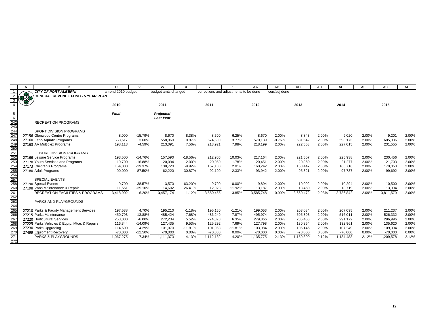| <b>CITY OF PORT ALBERNI</b><br>amend 2010 budget<br>corrections and adjustments to be done<br>corr/adj done<br>budget amts changed<br>- 1<br>810<br><b>GENERAL REVENUE FUND - 5 YEAR PLAN</b><br>2010<br>2011<br>2015<br>2011<br>2012<br>2013<br>2014<br>Final<br>$\frac{5}{6}$<br>$\frac{242}{243}$<br>$\frac{243}{244}$<br>Projected<br><b>Last Year</b><br><b>RECREATION PROGRAMS</b><br>SPORT DIVISION PROGRAMS<br>247<br>8,670<br>9,201<br>27156 Glenwood Centre Programs<br>8,000<br>$-15.79%$<br>8,670<br>8.38%<br>8,500<br>6.25%<br>2.00%<br>8,843<br>2.00%<br>9,020<br>2.00%<br>248<br>3.77%<br>$-0.76%$<br>0.97%<br>570,139<br>581,542<br>2.00%<br>593,173<br>2.00%<br>605,036<br>27160 Echo Aquatic Programs<br>553,617<br>3.60%<br>558,960<br>574,500<br>249<br>250<br>2.00%<br>2.00%<br>27163 AV Multiplex Programs<br>198,113<br>$-4.59%$<br>7.56%<br>7.98%<br>218,199<br>2.00%<br>222,563<br>227,015<br>231,555<br>213,091<br>213,921<br>$\frac{1}{251}$<br>LEISURE DIVISION PROGRAMS<br>252<br>27166 Leisure Service Programs<br>$-14.76%$<br>157,590<br>$-18.56%$<br>10.03%<br>217,164<br>2.00%<br>221,507<br>2.00%<br>225,938<br>2.00%<br>230,456<br>193,500<br>212,906<br>$\frac{1}{253}$<br>2.00%<br>2.00%<br>21,277<br>2.00%<br>21,703<br>27170 Youth Services and Programs<br>19,700<br>$-16.88%$<br>20,094<br>2.00%<br>20,050<br>1.78%<br>20,451<br>20,860<br>$\frac{254}{255}$<br>27173 Children's Programs<br>$-9.92%$<br>2.01%<br>160,242<br>2.00%<br>2.00%<br>166,716<br>2.00%<br>170,050<br>154,000<br>$-19.37%$<br>138,720<br>157,100<br>163,447<br>90,000<br>87.50%<br>62,220<br>$-30.87%$<br>2.33%<br>93,942<br>2.00%<br>95,821<br>2.00%<br>97,737<br>2.00%<br>99,692<br>27180 Adult Programs<br>92,100<br><b>SPECIAL EVENTS</b><br>$\frac{258}{260}$<br>27190 Special Events<br>2.00%<br>9,700<br>38.57%<br>3,570<br>$-63.20%$<br>9,700<br>0.00%<br>9,894<br>2.00%<br>10,092<br>2.00%<br>10,294<br>10,500<br>2.00%<br>2.00%<br>2.00%<br>2.00%<br>11,551<br>$-35.10%$<br>14,602<br>26.41%<br>12,928<br>11.92%<br>13,187<br>13,450<br>13,719<br>13,994<br>27198 Vans Maintenance & Repair<br>261<br><b>RECREATION FACILITIES &amp; PROGRAMS</b><br>3,418,902<br>$-6.20%$<br>3,457,174<br>3,550,455<br>3,585,748<br>0.99%<br>3,660,472<br>2.08%<br>3,736,842<br>2.09%<br>3,811,579<br>1.12%<br>3.85%<br>262<br>263<br>PARKS AND PLAYGROUNDS<br>264<br>$\frac{265}{266}$<br>211,237<br>4.70%<br>195,210<br>$-1.18%$<br>$-1.21%$<br>199,053<br>2.00%<br>203,034<br>2.00%<br>207,095<br>2.00%<br>27210 Parks & Facility Management Services<br>197,538<br>195,150<br>27215 Parks Maintenance<br>450,793<br>485,424<br>7.68%<br>486,249<br>7.87%<br>495,974<br>2.00%<br>505,893<br>2.00%<br>516,011<br>2.00%<br>526,332<br>$-13.88%$<br>267<br>258,000<br>$-6.00%$<br>272,234<br>5.52%<br>274,378<br>6.35%<br>279,866<br>2.00%<br>285,463<br>2.00%<br>291,172<br>2.00%<br>296,996<br>27220 Horticultural Services<br>$\frac{268}{268}$<br>$\frac{269}{270}$<br>9.53%<br>125,292<br>7.69%<br>127,798<br>2.00%<br>2.00%<br>132,961<br>2.00%<br>135,620<br>27225 Parks Vehicles & Equip. Mtce. & Repairs<br>116,344<br>$-14.09%$<br>127,435<br>130,354<br>2.00%<br>2.00%<br>2.00%<br>27230 Parks Upgrading<br>114,600<br>4.29%<br>101,070<br>$-11.81%$<br>101,063<br>$-11.81%$<br>103,084<br>105,146<br>107,249<br>109,394<br>$-12.50%$<br>0.00%<br>0.00%<br>0.00%<br>0.00%<br>0.00%<br>$-70,000$<br>27499 Equipment Recovery<br>$-70,000$<br>$-70,000$<br>$-70,000$<br>$-70,000$<br>$-70,000$<br>$-70,000$<br>$\frac{1}{271}$<br><b>PARKS &amp; PLAYGROUNDS</b><br>1,067,275<br>1,135,775<br>1,159,890<br>1,184,488<br>2.12%<br>1,209,578<br>$-7.34%$<br>1,111,373<br>4.13%<br>1,112,132<br>4.20%<br>2.13%<br>2.12%<br>272 |  | U | W | $\times$ |  | AA | AB | AC | <b>AD</b> | AE | AF | AG | AH    |
|---------------------------------------------------------------------------------------------------------------------------------------------------------------------------------------------------------------------------------------------------------------------------------------------------------------------------------------------------------------------------------------------------------------------------------------------------------------------------------------------------------------------------------------------------------------------------------------------------------------------------------------------------------------------------------------------------------------------------------------------------------------------------------------------------------------------------------------------------------------------------------------------------------------------------------------------------------------------------------------------------------------------------------------------------------------------------------------------------------------------------------------------------------------------------------------------------------------------------------------------------------------------------------------------------------------------------------------------------------------------------------------------------------------------------------------------------------------------------------------------------------------------------------------------------------------------------------------------------------------------------------------------------------------------------------------------------------------------------------------------------------------------------------------------------------------------------------------------------------------------------------------------------------------------------------------------------------------------------------------------------------------------------------------------------------------------------------------------------------------------------------------------------------------------------------------------------------------------------------------------------------------------------------------------------------------------------------------------------------------------------------------------------------------------------------------------------------------------------------------------------------------------------------------------------------------------------------------------------------------------------------------------------------------------------------------------------------------------------------------------------------------------------------------------------------------------------------------------------------------------------------------------------------------------------------------------------------------------------------------------------------------------------------------------------------------------------------------------------------------------------------------------------------------------------------------------------------------------------------------------------------------------------------------------------------------------------------------------------------------------------------------------------------------------------------------------------------------------------------------------------------------------------------------------------------------------------------------------------------------------------------------------------------------------------------------------------------------------------------------------------|--|---|---|----------|--|----|----|----|-----------|----|----|----|-------|
|                                                                                                                                                                                                                                                                                                                                                                                                                                                                                                                                                                                                                                                                                                                                                                                                                                                                                                                                                                                                                                                                                                                                                                                                                                                                                                                                                                                                                                                                                                                                                                                                                                                                                                                                                                                                                                                                                                                                                                                                                                                                                                                                                                                                                                                                                                                                                                                                                                                                                                                                                                                                                                                                                                                                                                                                                                                                                                                                                                                                                                                                                                                                                                                                                                                                                                                                                                                                                                                                                                                                                                                                                                                                                                                                                   |  |   |   |          |  |    |    |    |           |    |    |    |       |
|                                                                                                                                                                                                                                                                                                                                                                                                                                                                                                                                                                                                                                                                                                                                                                                                                                                                                                                                                                                                                                                                                                                                                                                                                                                                                                                                                                                                                                                                                                                                                                                                                                                                                                                                                                                                                                                                                                                                                                                                                                                                                                                                                                                                                                                                                                                                                                                                                                                                                                                                                                                                                                                                                                                                                                                                                                                                                                                                                                                                                                                                                                                                                                                                                                                                                                                                                                                                                                                                                                                                                                                                                                                                                                                                                   |  |   |   |          |  |    |    |    |           |    |    |    |       |
|                                                                                                                                                                                                                                                                                                                                                                                                                                                                                                                                                                                                                                                                                                                                                                                                                                                                                                                                                                                                                                                                                                                                                                                                                                                                                                                                                                                                                                                                                                                                                                                                                                                                                                                                                                                                                                                                                                                                                                                                                                                                                                                                                                                                                                                                                                                                                                                                                                                                                                                                                                                                                                                                                                                                                                                                                                                                                                                                                                                                                                                                                                                                                                                                                                                                                                                                                                                                                                                                                                                                                                                                                                                                                                                                                   |  |   |   |          |  |    |    |    |           |    |    |    |       |
|                                                                                                                                                                                                                                                                                                                                                                                                                                                                                                                                                                                                                                                                                                                                                                                                                                                                                                                                                                                                                                                                                                                                                                                                                                                                                                                                                                                                                                                                                                                                                                                                                                                                                                                                                                                                                                                                                                                                                                                                                                                                                                                                                                                                                                                                                                                                                                                                                                                                                                                                                                                                                                                                                                                                                                                                                                                                                                                                                                                                                                                                                                                                                                                                                                                                                                                                                                                                                                                                                                                                                                                                                                                                                                                                                   |  |   |   |          |  |    |    |    |           |    |    |    |       |
|                                                                                                                                                                                                                                                                                                                                                                                                                                                                                                                                                                                                                                                                                                                                                                                                                                                                                                                                                                                                                                                                                                                                                                                                                                                                                                                                                                                                                                                                                                                                                                                                                                                                                                                                                                                                                                                                                                                                                                                                                                                                                                                                                                                                                                                                                                                                                                                                                                                                                                                                                                                                                                                                                                                                                                                                                                                                                                                                                                                                                                                                                                                                                                                                                                                                                                                                                                                                                                                                                                                                                                                                                                                                                                                                                   |  |   |   |          |  |    |    |    |           |    |    |    |       |
|                                                                                                                                                                                                                                                                                                                                                                                                                                                                                                                                                                                                                                                                                                                                                                                                                                                                                                                                                                                                                                                                                                                                                                                                                                                                                                                                                                                                                                                                                                                                                                                                                                                                                                                                                                                                                                                                                                                                                                                                                                                                                                                                                                                                                                                                                                                                                                                                                                                                                                                                                                                                                                                                                                                                                                                                                                                                                                                                                                                                                                                                                                                                                                                                                                                                                                                                                                                                                                                                                                                                                                                                                                                                                                                                                   |  |   |   |          |  |    |    |    |           |    |    |    |       |
|                                                                                                                                                                                                                                                                                                                                                                                                                                                                                                                                                                                                                                                                                                                                                                                                                                                                                                                                                                                                                                                                                                                                                                                                                                                                                                                                                                                                                                                                                                                                                                                                                                                                                                                                                                                                                                                                                                                                                                                                                                                                                                                                                                                                                                                                                                                                                                                                                                                                                                                                                                                                                                                                                                                                                                                                                                                                                                                                                                                                                                                                                                                                                                                                                                                                                                                                                                                                                                                                                                                                                                                                                                                                                                                                                   |  |   |   |          |  |    |    |    |           |    |    |    |       |
|                                                                                                                                                                                                                                                                                                                                                                                                                                                                                                                                                                                                                                                                                                                                                                                                                                                                                                                                                                                                                                                                                                                                                                                                                                                                                                                                                                                                                                                                                                                                                                                                                                                                                                                                                                                                                                                                                                                                                                                                                                                                                                                                                                                                                                                                                                                                                                                                                                                                                                                                                                                                                                                                                                                                                                                                                                                                                                                                                                                                                                                                                                                                                                                                                                                                                                                                                                                                                                                                                                                                                                                                                                                                                                                                                   |  |   |   |          |  |    |    |    |           |    |    |    | 2.00% |
|                                                                                                                                                                                                                                                                                                                                                                                                                                                                                                                                                                                                                                                                                                                                                                                                                                                                                                                                                                                                                                                                                                                                                                                                                                                                                                                                                                                                                                                                                                                                                                                                                                                                                                                                                                                                                                                                                                                                                                                                                                                                                                                                                                                                                                                                                                                                                                                                                                                                                                                                                                                                                                                                                                                                                                                                                                                                                                                                                                                                                                                                                                                                                                                                                                                                                                                                                                                                                                                                                                                                                                                                                                                                                                                                                   |  |   |   |          |  |    |    |    |           |    |    |    | 2.00% |
|                                                                                                                                                                                                                                                                                                                                                                                                                                                                                                                                                                                                                                                                                                                                                                                                                                                                                                                                                                                                                                                                                                                                                                                                                                                                                                                                                                                                                                                                                                                                                                                                                                                                                                                                                                                                                                                                                                                                                                                                                                                                                                                                                                                                                                                                                                                                                                                                                                                                                                                                                                                                                                                                                                                                                                                                                                                                                                                                                                                                                                                                                                                                                                                                                                                                                                                                                                                                                                                                                                                                                                                                                                                                                                                                                   |  |   |   |          |  |    |    |    |           |    |    |    | 2.00% |
|                                                                                                                                                                                                                                                                                                                                                                                                                                                                                                                                                                                                                                                                                                                                                                                                                                                                                                                                                                                                                                                                                                                                                                                                                                                                                                                                                                                                                                                                                                                                                                                                                                                                                                                                                                                                                                                                                                                                                                                                                                                                                                                                                                                                                                                                                                                                                                                                                                                                                                                                                                                                                                                                                                                                                                                                                                                                                                                                                                                                                                                                                                                                                                                                                                                                                                                                                                                                                                                                                                                                                                                                                                                                                                                                                   |  |   |   |          |  |    |    |    |           |    |    |    |       |
|                                                                                                                                                                                                                                                                                                                                                                                                                                                                                                                                                                                                                                                                                                                                                                                                                                                                                                                                                                                                                                                                                                                                                                                                                                                                                                                                                                                                                                                                                                                                                                                                                                                                                                                                                                                                                                                                                                                                                                                                                                                                                                                                                                                                                                                                                                                                                                                                                                                                                                                                                                                                                                                                                                                                                                                                                                                                                                                                                                                                                                                                                                                                                                                                                                                                                                                                                                                                                                                                                                                                                                                                                                                                                                                                                   |  |   |   |          |  |    |    |    |           |    |    |    | 2.00% |
|                                                                                                                                                                                                                                                                                                                                                                                                                                                                                                                                                                                                                                                                                                                                                                                                                                                                                                                                                                                                                                                                                                                                                                                                                                                                                                                                                                                                                                                                                                                                                                                                                                                                                                                                                                                                                                                                                                                                                                                                                                                                                                                                                                                                                                                                                                                                                                                                                                                                                                                                                                                                                                                                                                                                                                                                                                                                                                                                                                                                                                                                                                                                                                                                                                                                                                                                                                                                                                                                                                                                                                                                                                                                                                                                                   |  |   |   |          |  |    |    |    |           |    |    |    | 2.00% |
|                                                                                                                                                                                                                                                                                                                                                                                                                                                                                                                                                                                                                                                                                                                                                                                                                                                                                                                                                                                                                                                                                                                                                                                                                                                                                                                                                                                                                                                                                                                                                                                                                                                                                                                                                                                                                                                                                                                                                                                                                                                                                                                                                                                                                                                                                                                                                                                                                                                                                                                                                                                                                                                                                                                                                                                                                                                                                                                                                                                                                                                                                                                                                                                                                                                                                                                                                                                                                                                                                                                                                                                                                                                                                                                                                   |  |   |   |          |  |    |    |    |           |    |    |    | 2.00% |
|                                                                                                                                                                                                                                                                                                                                                                                                                                                                                                                                                                                                                                                                                                                                                                                                                                                                                                                                                                                                                                                                                                                                                                                                                                                                                                                                                                                                                                                                                                                                                                                                                                                                                                                                                                                                                                                                                                                                                                                                                                                                                                                                                                                                                                                                                                                                                                                                                                                                                                                                                                                                                                                                                                                                                                                                                                                                                                                                                                                                                                                                                                                                                                                                                                                                                                                                                                                                                                                                                                                                                                                                                                                                                                                                                   |  |   |   |          |  |    |    |    |           |    |    |    | 2.00% |
|                                                                                                                                                                                                                                                                                                                                                                                                                                                                                                                                                                                                                                                                                                                                                                                                                                                                                                                                                                                                                                                                                                                                                                                                                                                                                                                                                                                                                                                                                                                                                                                                                                                                                                                                                                                                                                                                                                                                                                                                                                                                                                                                                                                                                                                                                                                                                                                                                                                                                                                                                                                                                                                                                                                                                                                                                                                                                                                                                                                                                                                                                                                                                                                                                                                                                                                                                                                                                                                                                                                                                                                                                                                                                                                                                   |  |   |   |          |  |    |    |    |           |    |    |    |       |
|                                                                                                                                                                                                                                                                                                                                                                                                                                                                                                                                                                                                                                                                                                                                                                                                                                                                                                                                                                                                                                                                                                                                                                                                                                                                                                                                                                                                                                                                                                                                                                                                                                                                                                                                                                                                                                                                                                                                                                                                                                                                                                                                                                                                                                                                                                                                                                                                                                                                                                                                                                                                                                                                                                                                                                                                                                                                                                                                                                                                                                                                                                                                                                                                                                                                                                                                                                                                                                                                                                                                                                                                                                                                                                                                                   |  |   |   |          |  |    |    |    |           |    |    |    |       |
|                                                                                                                                                                                                                                                                                                                                                                                                                                                                                                                                                                                                                                                                                                                                                                                                                                                                                                                                                                                                                                                                                                                                                                                                                                                                                                                                                                                                                                                                                                                                                                                                                                                                                                                                                                                                                                                                                                                                                                                                                                                                                                                                                                                                                                                                                                                                                                                                                                                                                                                                                                                                                                                                                                                                                                                                                                                                                                                                                                                                                                                                                                                                                                                                                                                                                                                                                                                                                                                                                                                                                                                                                                                                                                                                                   |  |   |   |          |  |    |    |    |           |    |    |    | 2.00% |
|                                                                                                                                                                                                                                                                                                                                                                                                                                                                                                                                                                                                                                                                                                                                                                                                                                                                                                                                                                                                                                                                                                                                                                                                                                                                                                                                                                                                                                                                                                                                                                                                                                                                                                                                                                                                                                                                                                                                                                                                                                                                                                                                                                                                                                                                                                                                                                                                                                                                                                                                                                                                                                                                                                                                                                                                                                                                                                                                                                                                                                                                                                                                                                                                                                                                                                                                                                                                                                                                                                                                                                                                                                                                                                                                                   |  |   |   |          |  |    |    |    |           |    |    |    |       |
|                                                                                                                                                                                                                                                                                                                                                                                                                                                                                                                                                                                                                                                                                                                                                                                                                                                                                                                                                                                                                                                                                                                                                                                                                                                                                                                                                                                                                                                                                                                                                                                                                                                                                                                                                                                                                                                                                                                                                                                                                                                                                                                                                                                                                                                                                                                                                                                                                                                                                                                                                                                                                                                                                                                                                                                                                                                                                                                                                                                                                                                                                                                                                                                                                                                                                                                                                                                                                                                                                                                                                                                                                                                                                                                                                   |  |   |   |          |  |    |    |    |           |    |    |    | 2.00% |
|                                                                                                                                                                                                                                                                                                                                                                                                                                                                                                                                                                                                                                                                                                                                                                                                                                                                                                                                                                                                                                                                                                                                                                                                                                                                                                                                                                                                                                                                                                                                                                                                                                                                                                                                                                                                                                                                                                                                                                                                                                                                                                                                                                                                                                                                                                                                                                                                                                                                                                                                                                                                                                                                                                                                                                                                                                                                                                                                                                                                                                                                                                                                                                                                                                                                                                                                                                                                                                                                                                                                                                                                                                                                                                                                                   |  |   |   |          |  |    |    |    |           |    |    |    |       |
|                                                                                                                                                                                                                                                                                                                                                                                                                                                                                                                                                                                                                                                                                                                                                                                                                                                                                                                                                                                                                                                                                                                                                                                                                                                                                                                                                                                                                                                                                                                                                                                                                                                                                                                                                                                                                                                                                                                                                                                                                                                                                                                                                                                                                                                                                                                                                                                                                                                                                                                                                                                                                                                                                                                                                                                                                                                                                                                                                                                                                                                                                                                                                                                                                                                                                                                                                                                                                                                                                                                                                                                                                                                                                                                                                   |  |   |   |          |  |    |    |    |           |    |    |    | 2.00% |
|                                                                                                                                                                                                                                                                                                                                                                                                                                                                                                                                                                                                                                                                                                                                                                                                                                                                                                                                                                                                                                                                                                                                                                                                                                                                                                                                                                                                                                                                                                                                                                                                                                                                                                                                                                                                                                                                                                                                                                                                                                                                                                                                                                                                                                                                                                                                                                                                                                                                                                                                                                                                                                                                                                                                                                                                                                                                                                                                                                                                                                                                                                                                                                                                                                                                                                                                                                                                                                                                                                                                                                                                                                                                                                                                                   |  |   |   |          |  |    |    |    |           |    |    |    | 2.00% |
|                                                                                                                                                                                                                                                                                                                                                                                                                                                                                                                                                                                                                                                                                                                                                                                                                                                                                                                                                                                                                                                                                                                                                                                                                                                                                                                                                                                                                                                                                                                                                                                                                                                                                                                                                                                                                                                                                                                                                                                                                                                                                                                                                                                                                                                                                                                                                                                                                                                                                                                                                                                                                                                                                                                                                                                                                                                                                                                                                                                                                                                                                                                                                                                                                                                                                                                                                                                                                                                                                                                                                                                                                                                                                                                                                   |  |   |   |          |  |    |    |    |           |    |    |    | 2.00% |
|                                                                                                                                                                                                                                                                                                                                                                                                                                                                                                                                                                                                                                                                                                                                                                                                                                                                                                                                                                                                                                                                                                                                                                                                                                                                                                                                                                                                                                                                                                                                                                                                                                                                                                                                                                                                                                                                                                                                                                                                                                                                                                                                                                                                                                                                                                                                                                                                                                                                                                                                                                                                                                                                                                                                                                                                                                                                                                                                                                                                                                                                                                                                                                                                                                                                                                                                                                                                                                                                                                                                                                                                                                                                                                                                                   |  |   |   |          |  |    |    |    |           |    |    |    | 2.00% |
|                                                                                                                                                                                                                                                                                                                                                                                                                                                                                                                                                                                                                                                                                                                                                                                                                                                                                                                                                                                                                                                                                                                                                                                                                                                                                                                                                                                                                                                                                                                                                                                                                                                                                                                                                                                                                                                                                                                                                                                                                                                                                                                                                                                                                                                                                                                                                                                                                                                                                                                                                                                                                                                                                                                                                                                                                                                                                                                                                                                                                                                                                                                                                                                                                                                                                                                                                                                                                                                                                                                                                                                                                                                                                                                                                   |  |   |   |          |  |    |    |    |           |    |    |    | 2.00% |
|                                                                                                                                                                                                                                                                                                                                                                                                                                                                                                                                                                                                                                                                                                                                                                                                                                                                                                                                                                                                                                                                                                                                                                                                                                                                                                                                                                                                                                                                                                                                                                                                                                                                                                                                                                                                                                                                                                                                                                                                                                                                                                                                                                                                                                                                                                                                                                                                                                                                                                                                                                                                                                                                                                                                                                                                                                                                                                                                                                                                                                                                                                                                                                                                                                                                                                                                                                                                                                                                                                                                                                                                                                                                                                                                                   |  |   |   |          |  |    |    |    |           |    |    |    | 0.00% |
|                                                                                                                                                                                                                                                                                                                                                                                                                                                                                                                                                                                                                                                                                                                                                                                                                                                                                                                                                                                                                                                                                                                                                                                                                                                                                                                                                                                                                                                                                                                                                                                                                                                                                                                                                                                                                                                                                                                                                                                                                                                                                                                                                                                                                                                                                                                                                                                                                                                                                                                                                                                                                                                                                                                                                                                                                                                                                                                                                                                                                                                                                                                                                                                                                                                                                                                                                                                                                                                                                                                                                                                                                                                                                                                                                   |  |   |   |          |  |    |    |    |           |    |    |    | 2.12% |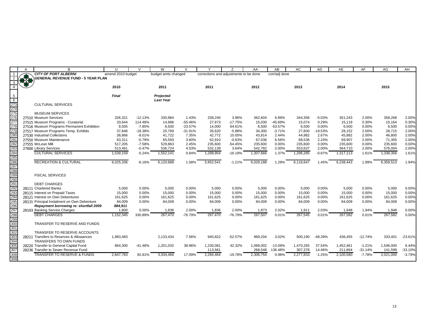|                        | $\overline{A}$ | B                                                                    | $\mathbf{U}$      | $\mathsf{V}$          | W                   | X                  | $\checkmark$                           | $\overline{z}$     | AA               | AB                | AC               | <b>AD</b>          | AE               | AF             | AG               | AH             |
|------------------------|----------------|----------------------------------------------------------------------|-------------------|-----------------------|---------------------|--------------------|----------------------------------------|--------------------|------------------|-------------------|------------------|--------------------|------------------|----------------|------------------|----------------|
| $\overline{1}$         |                | <b>CITY OF PORT ALBERNI</b>                                          | amend 2010 budget |                       | budget amts changed |                    | corrections and adjustments to be done |                    |                  | corr/adj done     |                  |                    |                  |                |                  |                |
| $\overline{2}$         |                | <b>GENERAL REVENUE FUND - 5 YEAR PLAN</b>                            |                   |                       |                     |                    |                                        |                    |                  |                   |                  |                    |                  |                |                  |                |
|                        |                |                                                                      |                   |                       |                     |                    |                                        |                    |                  |                   |                  |                    |                  |                |                  |                |
|                        |                |                                                                      | 2010              |                       | 2011                |                    | 2011                                   |                    | 2012             |                   | 2013             |                    | 2014             |                | 2015             |                |
|                        |                |                                                                      |                   |                       |                     |                    |                                        |                    |                  |                   |                  |                    |                  |                |                  |                |
| 5                      |                |                                                                      | <b>Final</b>      |                       | Projected           |                    |                                        |                    |                  |                   |                  |                    |                  |                |                  |                |
| $6\overline{6}$        |                |                                                                      |                   |                       | <b>Last Year</b>    |                    |                                        |                    |                  |                   |                  |                    |                  |                |                  |                |
| 273                    |                | <b>CULTURAL SERVICES</b>                                             |                   |                       |                     |                    |                                        |                    |                  |                   |                  |                    |                  |                |                  |                |
| 274                    |                |                                                                      |                   |                       |                     |                    |                                        |                    |                  |                   |                  |                    |                  |                |                  |                |
| 275                    |                | <b>MUSEUM SERVICES</b>                                               |                   |                       |                     |                    |                                        |                    |                  |                   |                  |                    |                  |                |                  |                |
| 276                    |                | 27510 Museum Services                                                | 326,321           | $-12.13%$             | 330,984             | 1.43%              | 339,240                                | 3.96%              | 362,604          | 6.89%             | 344,356          | $-5.03%$           | 351,243          | 2.00%          | 358,268          | 2.00%          |
| 277                    |                | 27515 Museum Programs - Curatorial                                   | 33,644            | 114.48%               | 14,986              | $-55.46%$          | 27.673                                 | $-17.75%$          | 15,030           | $-45.69%$         | 15,074           | 0.29%              | 15,119           | 0.30%          | 15,164           | 0.30%          |
| 278<br>27 <sub>S</sub> |                | 27516 Museum Programs Permanent Exhibition                           | 8,505             | $-7.85%$              | 6,500               | $-23.57%$          | 14,000                                 | 64.61%             | 6,500            | $-53.57%$         | 6,500            | 0.00%              | 6,500            | 0.00%          | 6,500            | 0.00%          |
| 280                    |                | 27517 Museum Programs Temp. Exhibits<br>27530 Industrial Collections | 37,846<br>38,866  | $-18.38%$<br>$-8.01%$ | 25,769<br>41,722    | $-31.91%$<br>7.35% | 35,620<br>42,772                       | $-5.88%$<br>10.05% | 34,300<br>43,814 | $-3.71%$<br>2.44% | 27,600<br>44,982 | $-19.53%$<br>2.67% | 28,152<br>45,882 | 2.00%<br>2.00% | 28,715<br>46,800 | 2.00%<br>2.00% |
| 281                    |                | 27550 Museum Maintenance                                             | 63,311            | $-0.79%$              | 65,593              | 3.60%              | 62,910                                 | $-0.63%$           | 67,036           | 6.56%             | 68,536           | 2.24%              | 69,907           | 2.00%          | 71,305           | 2.00%          |
| 282                    |                | 27555 McLean Mill                                                    | 517,205           | $-7.58%$              | 529,863             | 2.45%              | 235,600                                | $-54.45%$          | 235,600          | 0.00%             | 235,600          | 0.00%              | 235,600          | 0.00%          | 235,600          | 0.00%          |
| 283                    |                | 27600 Library Services                                               | 513,461           | $-0.47%$              | 536,724             | 4.53%              | 532,139                                | 3.64%              | 542,782          | 2.00%             | 553,637          | 2.00%              | 564,710          | 2.00%          | 576,004          | 2.00%          |
| 284                    |                | <b>CULTURAL SERVICES</b>                                             | 1,539,159         | $-5.24%$              | 1,552,141           | 0.84%              | 1,289,954                              | $-16.19%$          | 1,307,666        | 1.37%             | 1,296,285        | $-0.87%$           | 1,317,113        | 1.61%          | 1,338,356        | 1.61%          |
| 285                    |                |                                                                      |                   |                       |                     |                    |                                        |                    |                  |                   |                  |                    |                  |                |                  |                |
| 286                    |                | <b>RECREATION &amp; CULTURAL</b>                                     | 6,025,336         | $-6.16%$              | 6,120,688           | 1.58%              | 5,952,541                              | $-1.21%$           | 6,029,188        | 1.29%             | 6,116,647        | 1.45%              | 6,238,443        | 1.99%          | 6,359,513        | 1.94%          |
| 287                    |                |                                                                      |                   |                       |                     |                    |                                        |                    |                  |                   |                  |                    |                  |                |                  |                |
| 288                    |                |                                                                      |                   |                       |                     |                    |                                        |                    |                  |                   |                  |                    |                  |                |                  |                |
| 289                    |                | <b>FISCAL SERVICES</b>                                               |                   |                       |                     |                    |                                        |                    |                  |                   |                  |                    |                  |                |                  |                |
|                        |                |                                                                      |                   |                       |                     |                    |                                        |                    |                  |                   |                  |                    |                  |                |                  |                |
| 290<br>291             |                | <b>DEBT CHARGES</b>                                                  |                   |                       |                     |                    |                                        |                    |                  |                   |                  |                    |                  |                |                  |                |
| 292                    |                | 28111 Chartered Banks                                                | 5,000             | 0.00%                 | 5,000               | 0.00%              | 5,000                                  | 0.00%              | 5,000            | 0.00%             | 5,000            | 0.00%              | 5,000            | 0.00%          | 5,000            | 0.00%          |
| $\frac{293}{294}$      |                | 28115 Interest on Prepaid Taxes                                      | 15,000            | 0.00%                 | 15,000              | 0.00%              | 15,000                                 | 0.00%              | 15,000           | 0.00%             | 15,000           | 0.00%              | 15,000           | 0.00%          | 15,000           | 0.00%          |
|                        |                | 28121 Interest on Own Debentures                                     | 161,625           | 0.00%                 | 161,625             | 0.00%              | 161,625                                | 0.00%              | 161,625          | 0.00%             | 161,625          | 0.00%              | 161,625          | 0.00%          | 161,625          | 0.00%          |
| 295<br>296             |                | 28131 Principal Instalment on Own Debenture                          | 84,009            | 0.00%                 | 84,009              | 0.00%              | 84,009                                 | 0.00%              | 84,009           | 0.00%             | 84,009           | 0.00%              | 84,009           | 0.00%          | 84,009           | 0.00%          |
|                        |                | Repayment borrowing re: shortfall 2009                               | 884,911           |                       |                     |                    |                                        |                    |                  |                   |                  |                    |                  |                |                  |                |
| 297                    |                | 28193 Banking Service Charges                                        | 1.800             | 0.00%                 | 1.836               | 2.00%              | 1,836                                  | 2.00%              | 1,873            | 2.02%             | 1,911            | 2.03%              | 1,948            | 1.94%          | 1,948            | 0.00%          |
| 298                    |                | <b>DEBT CHARGES</b>                                                  | 1,152,345         | 330.89%               | 267,470             | -76.79%            | 267,470                                | $-76.79%$          | 267,507          | 0.01%             | 267,545          | 0.01%              | 267,582          | 0.01%          | 267,582          | 0.00%          |
| 299                    |                |                                                                      |                   |                       |                     |                    |                                        |                    |                  |                   |                  |                    |                  |                |                  |                |
| 300<br>301             |                | TRANSFER TO RESERVE AND FUNDS                                        |                   |                       |                     |                    |                                        |                    |                  |                   |                  |                    |                  |                |                  |                |
| 302                    |                | TRANSFER TO RESERVE ACCOUNTS                                         |                   |                       |                     |                    |                                        |                    |                  |                   |                  |                    |                  |                |                  |                |
| 303                    |                | 28211 Transfers to Reserves & Allowances                             |                   |                       |                     |                    |                                        |                    |                  | 3.02%             |                  |                    |                  |                |                  |                |
| 304                    |                | <b>TRANSFERS TO OWN FUNDS</b>                                        | 1,983,483         |                       | 2,133,434           | 7.56%              | 940,822                                | $-52.57%$          | 969,204          |                   | 500,190          | $-48.39%$          | 436,455          | $-12.74%$      | 333,401          | $-23.61%$      |
| 305                    |                | 28220 Transfer to General Capital Fund                               | 864,300           | $-41.48%$             | 1,201,032           | 38.96%             | 1,230,081                              | 42.32%             | 1,069,002        | $-13.09%$         | 1,470,265        | 37.54%             | 1.452.461        | $-1.21%$       | 1,546,000        | 6.44%          |
| 307                    |                | 28236 Transfer to Sewer Revenue Fund                                 |                   |                       |                     |                    | 113,561                                |                    | 268,548          | 136.48%           | 307,378          | 14.46%             | 211,664          | $-31.14%$      | 141,599          | $-33.10%$      |
| 308                    |                | <b>TRANSFER TO RESERVE &amp; FUNDS</b>                               | 2,847,783         | 92.81%                | 3.334.466           | 17.09%             | 2,284,464                              | $-19.78%$          | 2,306,754        | 0.98%             | 2,277,833        | $-1.25%$           | 2,100,580        | $-7.78%$       | 2,021,000        | $-3.79%$       |
| 309                    |                |                                                                      |                   |                       |                     |                    |                                        |                    |                  |                   |                  |                    |                  |                |                  |                |
|                        |                |                                                                      |                   |                       |                     |                    |                                        |                    |                  |                   |                  |                    |                  |                |                  |                |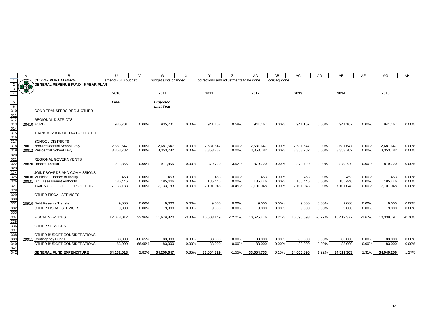|                                                                                         | A     | <sub>B</sub>                              | $\mathbf{U}$      | $\sqrt{ }$ | W                   | X        | $\checkmark$                           | $\overline{z}$ | AA         | AB            | AC         | AD       | AE         | AF       | AG         | AH       |
|-----------------------------------------------------------------------------------------|-------|-------------------------------------------|-------------------|------------|---------------------|----------|----------------------------------------|----------------|------------|---------------|------------|----------|------------|----------|------------|----------|
|                                                                                         |       | <b>CITY OF PORT ALBERNI</b>               | amend 2010 budget |            | budget amts changed |          | corrections and adjustments to be done |                |            | corr/adj done |            |          |            |          |            |          |
|                                                                                         | 好好    | <b>GENERAL REVENUE FUND - 5 YEAR PLAN</b> |                   |            |                     |          |                                        |                |            |               |            |          |            |          |            |          |
|                                                                                         |       |                                           |                   |            |                     |          |                                        |                |            |               |            |          |            |          |            |          |
|                                                                                         |       |                                           | 2010              |            | 2011                |          | 2011                                   |                | 2012       |               | 2013       |          | 2014       |          | 2015       |          |
| 5                                                                                       |       |                                           | Final             |            | Projected           |          |                                        |                |            |               |            |          |            |          |            |          |
| $\overline{6}$                                                                          |       |                                           |                   |            | <b>Last Year</b>    |          |                                        |                |            |               |            |          |            |          |            |          |
| 310                                                                                     |       | <b>COND TRANSFERS REG &amp; OTHER</b>     |                   |            |                     |          |                                        |                |            |               |            |          |            |          |            |          |
| $\overline{311}$                                                                        |       |                                           |                   |            |                     |          |                                        |                |            |               |            |          |            |          |            |          |
| 312                                                                                     |       | <b>REGIONAL DISTRICTS</b>                 |                   |            |                     |          |                                        |                |            |               |            |          |            |          |            |          |
| 313                                                                                     |       | 28410 ACRD                                | 935.701           | 0.00%      | 935,701             | 0.00%    | 941,167                                | 0.58%          | 941.167    | 0.00%         | 941,167    | 0.00%    | 941,167    | 0.00%    | 941,167    | 0.00%    |
| 314                                                                                     |       | <b>TRANSMISSION OF TAX COLLECTED</b>      |                   |            |                     |          |                                        |                |            |               |            |          |            |          |            |          |
| 315<br>316                                                                              |       |                                           |                   |            |                     |          |                                        |                |            |               |            |          |            |          |            |          |
| 317                                                                                     |       | <b>SCHOOL DISTRICTS</b>                   |                   |            |                     |          |                                        |                |            |               |            |          |            |          |            |          |
| 318                                                                                     | 28811 | Non-Residential School Levy               | 2,681,647         | 0.00%      | 2,681,647           | $0.00\%$ | 2,681,647                              | 0.00%          | 2,681,647  | 0.00%         | 2,681,647  | 0.00%    | 2,681,647  | 0.00%    | 2,681,647  | 0.00%    |
| 319<br>320<br>321                                                                       |       | 28812 Residential School Levy             | 3,353,782         | 0.00%      | 3,353,782           | 0.00%    | 3,353,782                              | $0.00\%$       | 3,353,782  | 0.00%         | 3,353,782  | 0.00%    | 3,353,782  | 0.00%    | 3,353,782  | 0.00%    |
|                                                                                         |       |                                           |                   |            |                     |          |                                        |                |            |               |            |          |            |          |            |          |
|                                                                                         |       | <b>REGIONAL GOVERNMENTS</b>               |                   |            |                     |          |                                        |                |            |               |            |          |            |          |            |          |
|                                                                                         |       | 28820 Hospital District                   | 911,855           | 0.00%      | 911,855             | 0.00%    | 879,720                                | $-3.52%$       | 879,720    | 0.00%         | 879,720    | 0.00%    | 879,720    | 0.00%    | 879,720    | 0.00%    |
|                                                                                         |       | JOINT BOARDS AND COMMISSIONS              |                   |            |                     |          |                                        |                |            |               |            |          |            |          |            |          |
|                                                                                         |       | 28830 Municipal Finance Authority         | 453               | 0.00%      | 453                 | 0.00%    | 453                                    | 0.00%          | 453        | 0.00%         | 453        | 0.00%    | 453        | 0.00%    | 453        | 0.00%    |
|                                                                                         |       | 28831 B.C. Assessment Authority           | 185,446           | 0.00%      | 185,446             | 0.00%    | 185,446                                | 0.00%          | 185,446    | 0.00%         | 185,446    | 0.00%    | 185,446    | 0.00%    | 185,446    | 0.00%    |
| 322<br>323<br>324<br>325<br>326<br>327<br>327                                           |       | <b>TAXES COLLECTED FOR OTHERS</b>         | 7.133.183         | 0.00%      | 7,133,183           | 0.00%    | 7.101.048                              | $-0.45%$       | 7,101,048  | 0.00%         | 7,101,048  | 0.00%    | 7,101,048  | 0.00%    | 7,101,048  | 0.00%    |
|                                                                                         |       |                                           |                   |            |                     |          |                                        |                |            |               |            |          |            |          |            |          |
|                                                                                         |       | OTHER FISCAL SERVICES                     |                   |            |                     |          |                                        |                |            |               |            |          |            |          |            |          |
|                                                                                         |       | 28910 Debt Reserve Transfer               | 9,000             | 0.00%      | 9,000               | 0.00%    | 9,000                                  | 0.00%          | 9,000      | 0.00%         | 9,000      | 0.00%    | 9,000      | 0.00%    | 9,000      | 0.00%    |
|                                                                                         |       | <b>OTHER FISCAL SERVICES</b>              | 9,000             | 0.00%      | 9,000               | 0.00%    | 9,000                                  | 0.00%          | 9,000      | 0.00%         | 9,000      | 0.00%    | 9,000      | 0.00%    | 9,000      | 0.00%    |
|                                                                                         |       |                                           |                   |            |                     |          |                                        |                |            |               |            |          |            |          |            |          |
|                                                                                         |       | <b>FISCAL SERVICES</b>                    | 12,078,012        | 22.96%     | 11,679,820          | $-3.30%$ | 10,603,149                             | $-12.21%$      | 10,625,476 | 0.21%         | 10,596,593 | $-0.27%$ | 10,419,377 | $-1.67%$ | 10,339,797 | $-0.76%$ |
|                                                                                         |       |                                           |                   |            |                     |          |                                        |                |            |               |            |          |            |          |            |          |
|                                                                                         |       | <b>OTHER SERVICES</b>                     |                   |            |                     |          |                                        |                |            |               |            |          |            |          |            |          |
|                                                                                         |       | OTHER BUDGET CONSIDERATIONS               |                   |            |                     |          |                                        |                |            |               |            |          |            |          |            |          |
|                                                                                         |       | 29911 Contingency Funds                   | 83,000            | $-66.65%$  | 83,000              | 0.00%    | 83,000                                 | 0.00%          | 83,000     | 0.00%         | 83,000     | 0.00%    | 83,000     | 0.00%    | 83,000     | 0.00%    |
|                                                                                         |       | OTHER BUDGET CONSIDERATIONS               | 83.000            | $-66.65%$  | 83.000              | 0.00%    | 83.000                                 | 0.00%          | 83,000     | 0.00%         | 83,000     | 0.00%    | 83,000     | 0.00%    | 83,000     | 0.00%    |
| 329<br>330<br>331<br>332<br>332<br>333<br>335<br>336<br>336<br>338<br>338<br>338<br>338 |       |                                           |                   |            |                     |          |                                        |                |            |               |            |          |            |          |            |          |
| 342                                                                                     |       | <b>GENERAL FUND EXPENDITURE</b>           | 34,132,013        | 2.82%      | 34,250,647          | 0.35%    | 33,604,329                             | $-1.55%$       | 33,654,733 | 0.15%         | 34,065,896 | 1.22%    | 34,511,363 | 1.31%    | 34,949,256 | 1.27%    |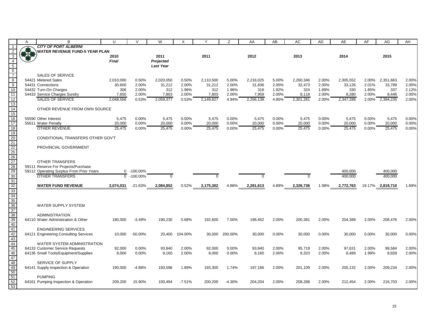|                                                                                        | A           | В                                        | U            | $\vee$      | W                | X        | Y         | Ζ        | AA        | AB    | AC        | <b>AD</b> | AE        | AF     | AG        | AH    |
|----------------------------------------------------------------------------------------|-------------|------------------------------------------|--------------|-------------|------------------|----------|-----------|----------|-----------|-------|-----------|-----------|-----------|--------|-----------|-------|
|                                                                                        |             | <b>CITY OF PORT ALBERNI</b>              |              |             |                  |          |           |          |           |       |           |           |           |        |           |       |
| $\overline{2}$                                                                         | <b>B-28</b> | <b>WATER REVENUE FUND-5 YEAR PLAN</b>    |              |             |                  |          |           |          |           |       |           |           |           |        |           |       |
| $\frac{3}{4}$                                                                          |             |                                          | 2010         |             | 2011             |          | 2011      |          | 2012      |       | 2013      |           | 2014      |        | 2015      |       |
|                                                                                        |             |                                          | <b>Final</b> |             | Projected        |          |           |          |           |       |           |           |           |        |           |       |
| $rac{5}{6}$<br>$rac{6}{7}$<br>$rac{8}{9}$<br>$rac{9}{10}$                              |             |                                          |              |             | <b>Last Year</b> |          |           |          |           |       |           |           |           |        |           |       |
|                                                                                        |             | <b>SALES OF SERVICE</b>                  |              |             |                  |          |           |          |           |       |           |           |           |        |           |       |
|                                                                                        |             | 54421 Metered Sales                      | 2,010,000    | 0.50%       | 2,020,050        | 0.50%    | 2,110,500 | 5.00%    | 2,216,025 | 5.00% | 2,260,346 | 2.00%     | 2,305,552 | 2.00%  | 2,351,663 | 2.00% |
|                                                                                        |             | 54431 Connections                        | 30,600       | 2.00%       | 31,212           | 2.00%    | 31,212    | 2.00%    | 31,836    | 2.00% | 32,473    | 2.00%     | 33,126    | 2.01%  | 33,789    | 2.00% |
|                                                                                        |             | 54432 Turn-On Charges                    | 306          | 2.00%       | 312              | 1.96%    | 312       | 1.96%    | 318       | 1.92% | 324       | 1.89%     | 330       | 1.85%  | 337       | 2.12% |
| 11                                                                                     |             | 54433 Service Charges Sundry             | 7,650        | 2.00%       | 7,803            | 2.00%    | 7,803     | 2.00%    | 7,959     | 2.00% | 8,118     | 2.00%     | 8,280     | 2.00%  | 8,446     | 2.00% |
|                                                                                        |             | <b>SALES OF SERVICE</b>                  | 2,048,556    | 0.53%       | 2,059,377        | 0.53%    | 2,149,827 | 4.94%    | 2,256,138 | 4.95% | 2,301,261 | 2.00%     | 2,347,288 | 2.00%  | 2,394,235 | 2.00% |
|                                                                                        |             |                                          |              |             |                  |          |           |          |           |       |           |           |           |        |           |       |
|                                                                                        |             | OTHER REVENUE FROM OWN SOURCE            |              |             |                  |          |           |          |           |       |           |           |           |        |           |       |
| $\frac{12}{13}$<br>$\frac{14}{15}$<br>$\frac{16}{17}$                                  |             |                                          |              |             |                  |          |           |          |           |       |           |           |           |        |           |       |
|                                                                                        |             | 55590 Other Interest                     | 5,475        | 0.00%       | 5,475            | 0.00%    | 5,475     | 0.00%    | 5,475     | 0.00% | 5,475     | 0.00%     | 5,475     | 0.00%  | 5,475     | 0.00% |
|                                                                                        |             | 55611 Water Penalty                      | 20,000       | 0.00%       | 20,000           | 0.00%    | 20,000    | 0.00%    | 20,000    | 0.00% | 20,000    | 0.00%     | 20,000    | 0.00%  | 20,000    | 0.00% |
| 18<br>19                                                                               |             | <b>OTHER REVENUE</b>                     | 25,475       | 0.00%       | 25,475           | 0.00%    | 25,475    | 0.00%    | 25,475    | 0.00% | 25,475    | 0.00%     | 25,475    | 0.00%  | 25,475    | 0.00% |
|                                                                                        |             |                                          |              |             |                  |          |           |          |           |       |           |           |           |        |           |       |
|                                                                                        |             | CONDITIONAL TRANSFERS OTHER GOV'T        |              |             |                  |          |           |          |           |       |           |           |           |        |           |       |
|                                                                                        |             | PROVINCIAL GOVERNMENT                    |              |             |                  |          |           |          |           |       |           |           |           |        |           |       |
|                                                                                        |             |                                          |              |             |                  |          |           |          |           |       |           |           |           |        |           |       |
|                                                                                        |             |                                          |              |             |                  |          |           |          |           |       |           |           |           |        |           |       |
|                                                                                        |             | <b>OTHER TRANSFERS</b>                   |              |             |                  |          |           |          |           |       |           |           |           |        |           |       |
|                                                                                        |             | 59111 Reserve For Projects/Purchase      |              |             |                  |          |           |          |           |       |           |           |           |        |           |       |
|                                                                                        |             | 59112 Operating Surplus From Prior Years | $\mathbf{0}$ | $-100.00\%$ |                  |          |           |          |           |       |           |           | 400,000   |        | 400,000   |       |
|                                                                                        |             | <b>OTHER TRANSFERS</b>                   | $\Omega$     | $-100.00\%$ | $\Omega$         |          |           |          | $\Omega$  |       | $\Omega$  |           | 400.000   |        | 400.000   |       |
|                                                                                        |             |                                          |              |             |                  |          |           |          |           |       |           |           |           |        |           |       |
|                                                                                        |             | <b>WATER FUND REVENUE</b>                | 2,074,031    | $-21.63%$   | 2,084,852        | 0.52%    | 2,175,302 | 4.88%    | 2,281,613 | 4.89% | 2,326,736 | 1.98%     | 2,772,763 | 19.17% | 2,819,710 | 1.69% |
|                                                                                        |             |                                          |              |             |                  |          |           |          |           |       |           |           |           |        |           |       |
|                                                                                        |             |                                          |              |             |                  |          |           |          |           |       |           |           |           |        |           |       |
|                                                                                        |             |                                          |              |             |                  |          |           |          |           |       |           |           |           |        |           |       |
|                                                                                        |             | <b>WATER SUPPLY SYSTEM</b>               |              |             |                  |          |           |          |           |       |           |           |           |        |           |       |
|                                                                                        |             | <b>ADMINISTRATION</b>                    |              |             |                  |          |           |          |           |       |           |           |           |        |           |       |
|                                                                                        |             | 64110 Water Administration & Other       | 180,000      | $-3.49%$    | 190,230          | 5.68%    | 192,600   | 7.00%    | 196,452   | 2.00% | 200,381   | 2.00%     | 204,389   | 2.00%  | 208,476   | 2.00% |
|                                                                                        |             |                                          |              |             |                  |          |           |          |           |       |           |           |           |        |           |       |
|                                                                                        |             | <b>ENGINEERING SERVICES</b>              |              |             |                  |          |           |          |           |       |           |           |           |        |           |       |
|                                                                                        |             | 64121 Engineering Consulting Services    | 10,000       | $-50.00\%$  | 20,400           | 104.00%  | 30,000    | 200.00%  | 30,000    | 0.00% | 30,000    | 0.00%     | 30,000    | 0.00%  | 30,000    | 0.00% |
|                                                                                        |             |                                          |              |             |                  |          |           |          |           |       |           |           |           |        |           |       |
|                                                                                        |             | WATER SYSTEM ADMINISTRATION              |              |             |                  |          |           |          |           |       |           |           |           |        |           |       |
|                                                                                        |             | 64133 Customer Service Requests          | 92,000       | 0.00%       | 93,840           | 2.00%    | 92,000    | 0.00%    | 93,840    | 2.00% | 95,719    | 2.00%     | 97,631    | 2.00%  | 99,584    | 2.00% |
|                                                                                        |             | 64136 Small Tools/Equipment/Supplies     | 8,000        | 0.00%       | 8,160            | 2.00%    | 8,000     | 0.00%    | 8,160     | 2.00% | 8,323     | 2.00%     | 8,489     | 1.99%  | 8,659     | 2.00% |
| 20 21 22 23 22 23 30 31 32 33 34 35 36 77 38 39 40 41 42 43 44 45 46 47 48 49 50 51 52 |             | SERVICE OF SUPPLY                        |              |             |                  |          |           |          |           |       |           |           |           |        |           |       |
|                                                                                        |             | 64141 Supply Inspection & Operation      | 190,000      | $-4.88%$    | 193,596          | 1.89%    | 193,300   | 1.74%    | 197,166   | 2.00% | 201,109   | 2.00%     | 205,132   | 2.00%  | 209,234   | 2.00% |
|                                                                                        |             |                                          |              |             |                  |          |           |          |           |       |           |           |           |        |           |       |
|                                                                                        |             | <b>PUMPING</b>                           |              |             |                  |          |           |          |           |       |           |           |           |        |           |       |
|                                                                                        |             | 64161 Pumping Inspection & Operation     | 209,200      | 15.90%      | 193,494          | $-7.51%$ | 200,200   | $-4.30%$ | 204,204   | 2.00% | 208,288   | 2.00%     | 212,454   | 2.00%  | 216,703   | 2.00% |
| 53                                                                                     |             |                                          |              |             |                  |          |           |          |           |       |           |           |           |        |           |       |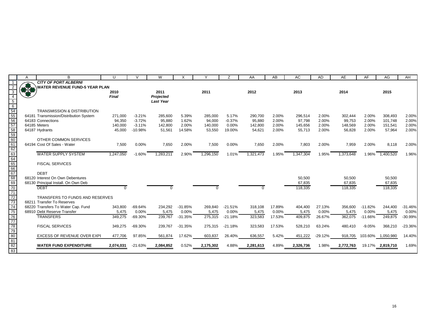|                                                                                      | А             | B                                      | $\cup$    | $\mathcal{U}$ | W                |           | Y         | Z         | AA        | AB     | AC        | <b>AD</b> | AE        | AF        | AG               | AH        |
|--------------------------------------------------------------------------------------|---------------|----------------------------------------|-----------|---------------|------------------|-----------|-----------|-----------|-----------|--------|-----------|-----------|-----------|-----------|------------------|-----------|
|                                                                                      |               | <b>CITY OF PORT ALBERNI</b>            |           |               |                  |           |           |           |           |        |           |           |           |           |                  |           |
| $\overline{2}$                                                                       | $\frac{1}{2}$ | <b>WATER REVENUE FUND-5 YEAR PLAN</b>  |           |               |                  |           |           |           |           |        |           |           |           |           |                  |           |
| $\overline{3}$                                                                       |               |                                        | 2010      |               | 2011             |           | 2011      |           | 2012      |        | 2013      |           | 2014      |           | 2015             |           |
| $\overline{4}$                                                                       |               |                                        | Final     |               | Projected        |           |           |           |           |        |           |           |           |           |                  |           |
| $\frac{5}{6}$<br>$\frac{6}{54}$<br>$\frac{54}{56}$                                   |               |                                        |           |               | <b>Last Year</b> |           |           |           |           |        |           |           |           |           |                  |           |
|                                                                                      |               |                                        |           |               |                  |           |           |           |           |        |           |           |           |           |                  |           |
|                                                                                      |               | <b>TRANSMISSION &amp; DISTRIBUTION</b> |           |               |                  |           |           |           |           |        |           |           |           |           |                  |           |
|                                                                                      |               | 64181 Transmission/Distribution System | 271,000   | $-3.21%$      | 285,600          | 5.39%     | 285,000   | 5.17%     | 290,700   | 2.00%  | 296,514   | 2.00%     | 302,444   | 2.00%     | 308,493          | 2.00%     |
|                                                                                      |               | 64183 Connections                      | 94,350    | $-3.72%$      | 95,880           | 1.62%     | 94,000    | $-0.37%$  | 95,880    | 2.00%  | 97,798    | 2.00%     | 99,753    | 2.00%     | 101,748          | 2.00%     |
|                                                                                      |               | 64185 Meters                           | 140,000   | $-3.11%$      | 142,800          | 2.00%     | 140,000   | 0.00%     | 142,800   | 2.00%  | 145,656   | 2.00%     | 148,569   | 2.00%     | 151,541          | 2.00%     |
|                                                                                      |               | 64187 Hydrants                         | 45,000    | $-10.98%$     | 51,561           | 14.58%    | 53,550    | 19.00%    | 54,621    | 2.00%  | 55,713    | 2.00%     | 56,828    | 2.00%     | 57,964           | 2.00%     |
|                                                                                      |               |                                        |           |               |                  |           |           |           |           |        |           |           |           |           |                  |           |
|                                                                                      |               | OTHER COMMON SERVICES                  |           |               |                  |           |           |           |           |        |           |           |           |           |                  |           |
|                                                                                      |               | 64194 Cost Of Sales - Water            | 7,500     | 0.00%         | 7,650            | 2.00%     | 7,500     | 0.00%     | 7.650     | 2.00%  | 7,803     | 2.00%     | 7,959     | 2.00%     | 8,118            | 2.00%     |
| 57<br>58<br>59<br>60<br>61<br>62<br>63<br>66<br>66<br>66<br>66<br>68<br>8            |               |                                        |           |               |                  |           |           |           |           |        |           |           |           |           |                  |           |
|                                                                                      |               | <b>WATER SUPPLY SYSTEM</b>             | 1,247,050 | $-1.60%$      | .283.211         | 2.90%     | ,296,150  | 1.01%     | 1,321,473 | 1.95%  | 1,347,304 | 1.95%     | 1,373,648 | 1.96%     | 1,400,520        | 1.96%     |
|                                                                                      |               |                                        |           |               |                  |           |           |           |           |        |           |           |           |           |                  |           |
|                                                                                      |               | <b>FISCAL SERVICES</b>                 |           |               |                  |           |           |           |           |        |           |           |           |           |                  |           |
|                                                                                      |               |                                        |           |               |                  |           |           |           |           |        |           |           |           |           |                  |           |
|                                                                                      |               | <b>DEBT</b>                            |           |               |                  |           |           |           |           |        |           |           |           |           |                  |           |
|                                                                                      |               | 68120 Interest On Own Debentures       |           |               |                  |           |           |           |           |        | 50,500    |           | 50,500    |           | 50,500           |           |
|                                                                                      |               | 68130 Principal Install. On Own Deb    |           |               |                  |           |           |           |           |        | 67.835    |           | 67,835    |           | 67,835           |           |
| $\frac{1}{70}$                                                                       |               | <b>DEBT</b>                            | $\Omega$  |               | $\Omega$         |           |           |           | $\Omega$  |        | 118,335   |           | 118,335   |           | 118,335          |           |
| 71                                                                                   |               |                                        |           |               |                  |           |           |           |           |        |           |           |           |           |                  |           |
| 72                                                                                   |               | TRANSFERS TO FUNDS AND RESERVES        |           |               |                  |           |           |           |           |        |           |           |           |           |                  |           |
| 73                                                                                   |               | 68211 Transfer To Reserves             |           |               |                  |           |           |           |           |        |           |           |           |           |                  |           |
| 74                                                                                   |               | 68220 Transfers To Water Cap. Fund     | 343.800   | $-69.64%$     | 234.292          | $-31.85%$ | 269,840   | $-21.51%$ | 318.108   | 17.89% | 404.400   | 27.13%    | 356.600   | $-11.82%$ | 244.400          | $-31.46%$ |
|                                                                                      |               | 68910 Debt Reserve Transfer            | 5,475     | 0.00%         | 5,475            | 0.00%     | 5,475     | 0.00%     | 5,475     | 0.00%  | 5,475     | 0.00%     | 5,475     | 0.00%     | 5,475            | 0.00%     |
|                                                                                      |               | <b>TRANSFERS</b>                       | 349,275   | $-69.30%$     | 239,767          | $-31.35%$ | 275,315   | $-21.18%$ | 323,583   | 17.53% | 409,875   | 26.67%    | 362,075   | $-11.66%$ | 249,875          | $-30.99%$ |
|                                                                                      |               |                                        |           |               |                  |           |           |           |           |        |           |           |           |           |                  |           |
|                                                                                      |               | <b>FISCAL SERVICES</b>                 | 349,275   | $-69.30%$     | 239,767          | $-31.35%$ | 275,315   | $-21.18%$ | 323,583   | 17.53% | 528,210   | 63.24%    | 480,410   | $-9.05%$  | 368,210          | $-23.36%$ |
|                                                                                      |               |                                        |           |               |                  |           |           |           |           |        |           |           |           |           |                  |           |
|                                                                                      |               | EXCESS OF REVENUE OVER EXPI            | 477,706   | 97.85%        | 561,874          | 17.62%    | 603,837   | 26.40%    | 636,557   | 5.42%  | 451,222   | $-29.12%$ | 918,705   | 103.60%   | 1,050,980        | 14.40%    |
| $\frac{75}{76} \frac{77}{78} \frac{79}{78} \frac{1}{80} \frac{81}{81} \frac{1}{82}}$ |               |                                        |           |               |                  |           |           |           |           |        |           |           |           |           |                  |           |
|                                                                                      |               | <b>WATER FUND EXPENDITURE</b>          | 2,074,031 | $-21.63%$     | 2,084,852        | 0.52%     | 2,175,302 | 4.88%     | 2,281,613 | 4.89%  | 2,326,736 | 1.98%     | 2,772,763 |           | 19.17% 2,819,710 | 1.69%     |
|                                                                                      |               |                                        |           |               |                  |           |           |           |           |        |           |           |           |           |                  |           |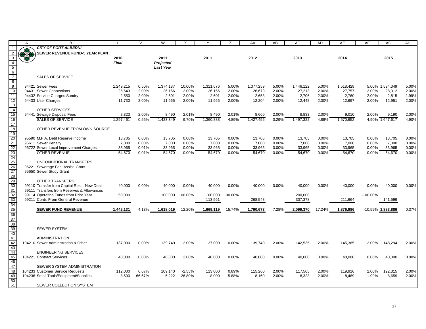|                                                                  | A          | R                                                                          | $\cup$              | $\vee$         | W                   | X               | Y                   | Z              | AA                  | AB             | AC                  | <b>AD</b>      | <b>AE</b>           | AF             | AG                        | AH             |
|------------------------------------------------------------------|------------|----------------------------------------------------------------------------|---------------------|----------------|---------------------|-----------------|---------------------|----------------|---------------------|----------------|---------------------|----------------|---------------------|----------------|---------------------------|----------------|
|                                                                  |            | <b>CITY OF PORT ALBERNI</b>                                                |                     |                |                     |                 |                     |                |                     |                |                     |                |                     |                |                           |                |
|                                                                  | <b>BIB</b> | SEWER REVENUE FUND-5 YEAR PLAN                                             |                     |                |                     |                 |                     |                |                     |                |                     |                |                     |                |                           |                |
|                                                                  |            |                                                                            | 2010                |                | 2011                |                 | 2011                |                | 2012                |                | 2013                |                | 2014                |                | 2015                      |                |
| $\frac{3}{4}$<br>$\frac{4}{5}$<br>$\frac{6}{8}$<br>$\frac{7}{9}$ |            |                                                                            | <b>Final</b>        |                | <b>Projected</b>    |                 |                     |                |                     |                |                     |                |                     |                |                           |                |
|                                                                  |            |                                                                            |                     |                | <b>Last Year</b>    |                 |                     |                |                     |                |                     |                |                     |                |                           |                |
|                                                                  |            |                                                                            |                     |                |                     |                 |                     |                |                     |                |                     |                |                     |                |                           |                |
|                                                                  |            | <b>SALES OF SERVICE</b>                                                    |                     |                |                     |                 |                     |                |                     |                |                     |                |                     |                |                           |                |
|                                                                  |            |                                                                            |                     |                |                     |                 |                     |                |                     |                |                     |                |                     |                |                           |                |
| 10                                                               |            | 94421 Sewer Fees<br>94431 Sewer Connections                                | 1,249,215<br>25,643 | 0.50%<br>2.00% | 1,374,137<br>26,156 | 10.00%<br>2.00% | 1,311,676<br>26,156 | 5.00%<br>2.00% | 1,377,259<br>26,679 | 5.00%<br>2.00% | 1,446,122<br>27,213 | 5.00%<br>2.00% | 1,518,428<br>27,757 | 2.00%          | 5.00% 1,594,349<br>28,312 | 5.00%<br>2.00% |
| 11                                                               |            | 94432 Service Charges Sundry                                               | 2,550               | 2.00%          | 2,601               | 2.00%           | 2,601               | 2.00%          | 2,653               | 2.00%          | 2,706               | 2.00%          | 2,760               | 2.00%          | 2,815                     | 1.99%          |
| 12                                                               |            | 94433 User Charges                                                         | 11,730              | 2.00%          | 11,965              | 2.00%           | 11,965              | 2.00%          | 12,204              | 2.00%          | 12,448              | 2.00%          | 12,697              | 2.00%          | 12,951                    | 2.00%          |
| $\overline{13}$                                                  |            |                                                                            |                     |                |                     |                 |                     |                |                     |                |                     |                |                     |                |                           |                |
|                                                                  |            | <b>OTHER SERVICES</b>                                                      |                     |                |                     |                 |                     |                |                     |                |                     |                |                     |                |                           |                |
|                                                                  |            | 94441 Sewage Disposal Fees                                                 | 8,323               | 2.00%          | 8,490               | 2.01%           | 8,490               | 2.01%          | 8,660               | 2.00%          | 8,833               | 2.00%          | 9,010               | 2.00%          | 9,190                     | 2.00%          |
| $\frac{14}{15}$<br>$\frac{16}{17}$                               |            | <b>SALES OF SERVICE</b>                                                    | 1.297.461           | 0.55%          | 1,423,349           | 9.70%           | 1,360,888           | 4.89%          | 1,427,455           | 0.29%          | 1,497,322           | 4.89%          | 1,570,652           |                | 4.90% 1,647,617           | 4.90%          |
|                                                                  |            |                                                                            |                     |                |                     |                 |                     |                |                     |                |                     |                |                     |                |                           |                |
| 18                                                               |            | OTHER REVENUE FROM OWN SOURCE                                              |                     |                |                     |                 |                     |                |                     |                |                     |                |                     |                |                           |                |
|                                                                  |            |                                                                            |                     |                |                     |                 |                     |                |                     |                |                     |                |                     |                |                           |                |
|                                                                  |            | 95590 M.F.A. Debt Reserve Income                                           | 13,705              | 0.00%          | 13,705              | 0.00%<br>0.00%  | 13,705              | 0.00%<br>0.00% | 13,705              | 0.00%          | 13,705              | 0.00%          | 13,705              | 0.00%          | 13,705                    | 0.00%          |
|                                                                  |            | 95611 Sewer Penalty<br>95722 Sewer Local Improvement Charges               | 7,000<br>33,965     | 0.00%<br>0.01% | 7,000<br>33,965     | 0.00%           | 7,000<br>33,965     | 0.00%          | 7,000<br>33,965     | 0.00%<br>0.00% | 7,000<br>33,965     | 0.00%<br>0.00% | 7,000<br>33,965     | 0.00%<br>0.00% | 7,000<br>33,965           | 0.00%<br>0.00% |
|                                                                  |            | <b>OTHER REVENUE</b>                                                       | 54,670              | 0.01%          | 54,670              | 0.00%           | 54,670              | 0.00%          | 54,670              | 0.00%          | 54,670              | 0.00%          | 54,670              | 0.00%          | 54,670                    | 0.00%          |
|                                                                  |            |                                                                            |                     |                |                     |                 |                     |                |                     |                |                     |                |                     |                |                           |                |
|                                                                  |            | UNCONDITIONAL TRANSFERS                                                    |                     |                |                     |                 |                     |                |                     |                |                     |                |                     |                |                           |                |
|                                                                  |            | 96221 Sewerage Fac. Assist. Grant                                          |                     |                |                     |                 |                     |                |                     |                |                     |                |                     |                |                           |                |
|                                                                  |            | 95650 Sewer Study Grant                                                    |                     |                |                     |                 |                     |                |                     |                |                     |                |                     |                |                           |                |
|                                                                  |            |                                                                            |                     |                |                     |                 |                     |                |                     |                |                     |                |                     |                |                           |                |
| 19 20 21 22 23 24 25 26 27 28 29 30 31 32                        |            | <b>OTHER TRANSFERS</b>                                                     |                     |                |                     |                 |                     |                |                     |                |                     |                |                     |                |                           |                |
|                                                                  |            | 99110 Transfer from Capital Res. - New Deal                                | 40,000              | 0.00%          | 40,000              | 0.00%           | 40,000              | 0.00%          | 40,000              | 0.00%          | 40,000              | 0.00%          | 40,000              | 0.00%          | 40,000                    | 0.00%          |
|                                                                  |            | 99111 Transfers from Reserves & Allowances                                 |                     |                |                     |                 |                     |                |                     |                |                     |                |                     |                |                           |                |
|                                                                  |            | 99114 Operating Funds from Prior Year<br>99211 Contr. From General Revenue | 50,000              |                | 100,000             | 100.00%         | 100,000<br>113,561  | 100.00%        | 268,548             |                | 200,000<br>307,378  |                | 211,664             | $-100.00\%$    | 141,599                   |                |
|                                                                  |            |                                                                            |                     |                |                     |                 |                     |                |                     |                |                     |                |                     |                |                           |                |
|                                                                  |            | <b>SEWER FUND REVENUE</b>                                                  | 1,442,131           | 4.13%          | 1,618,019           | 12.20%          | 1,669,119           | 15.74%         | 1,790,673           | 7.28%          | 2,099,370           | 17.24%         | 1,876,986           |                | $-10.59\%$ 1,883,886      | 0.37%          |
|                                                                  |            |                                                                            |                     |                |                     |                 |                     |                |                     |                |                     |                |                     |                |                           |                |
|                                                                  |            |                                                                            |                     |                |                     |                 |                     |                |                     |                |                     |                |                     |                |                           |                |
|                                                                  |            |                                                                            |                     |                |                     |                 |                     |                |                     |                |                     |                |                     |                |                           |                |
|                                                                  |            | <b>SEWER SYSTEM</b>                                                        |                     |                |                     |                 |                     |                |                     |                |                     |                |                     |                |                           |                |
|                                                                  |            |                                                                            |                     |                |                     |                 |                     |                |                     |                |                     |                |                     |                |                           |                |
|                                                                  |            | <b>ADMINISTRATION</b>                                                      |                     |                |                     |                 |                     |                |                     |                |                     |                |                     |                |                           |                |
|                                                                  |            | 104210 Sewer Administration & Other                                        | 137,000             | 0.00%          | 139,740             | 2.00%           | 137,000             | 0.00%          | 139,740             | 2.00%          | 142,535             | 2.00%          | 145,385             | 2.00%          | 148,294                   | 2.00%          |
|                                                                  |            | <b>ENGINEERING SERVICES</b>                                                |                     |                |                     |                 |                     |                |                     |                |                     |                |                     |                |                           |                |
|                                                                  |            | 104221 Contract Services                                                   | 40,000              | 0.00%          | 40,800              | 2.00%           | 40,000              | 0.00%          | 40,000              | 0.00%          | 40,000              | 0.00%          | 40,000              | 0.00%          | 40,000                    | 0.00%          |
|                                                                  |            |                                                                            |                     |                |                     |                 |                     |                |                     |                |                     |                |                     |                |                           |                |
|                                                                  |            | SEWER SYSTEM ADMINISTRATION                                                |                     |                |                     |                 |                     |                |                     |                |                     |                |                     |                |                           |                |
|                                                                  |            | 104233 Customer Service Requests                                           | 112,000             | 6.67%          | 109.140             | $-2.55%$        | 113,000             | 0.89%          | 115.260             | 2.00%          | 117.565             | 2.00%          | 119,916             | 2.00%          | 122,315                   | 2.00%          |
|                                                                  |            | 104236 Small Tools/Equipment/Supplies                                      | 8,500               | 66.67%         | 6,222               | $-26.80%$       | 8,000               | $-5.88%$       | 8,160               | 2.00%          | 8,323               | 2.00%          | 8,489               | 1.99%          | 8,659                     | 2.00%          |
| $50\,$                                                           |            |                                                                            |                     |                |                     |                 |                     |                |                     |                |                     |                |                     |                |                           |                |
| 51                                                               |            | SEWER COLLECTION SYSTEM                                                    |                     |                |                     |                 |                     |                |                     |                |                     |                |                     |                |                           |                |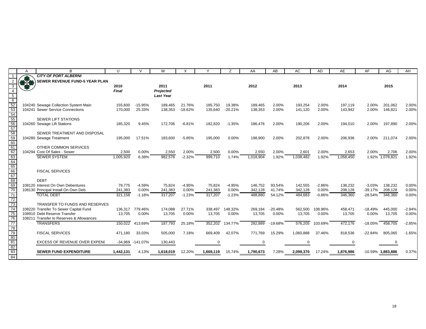|                                                                 | A           | R                                        | U            | $\mathcal{U}$   | W                | X         | Y         | Z         | AA        | AB        | AC        | AD       | AE        | AF        | AG                   | AH       |
|-----------------------------------------------------------------|-------------|------------------------------------------|--------------|-----------------|------------------|-----------|-----------|-----------|-----------|-----------|-----------|----------|-----------|-----------|----------------------|----------|
|                                                                 |             | <b>CITY OF PORT ALBERNI</b>              |              |                 |                  |           |           |           |           |           |           |          |           |           |                      |          |
|                                                                 | <b>OPEN</b> | SEWER REVENUE FUND-5 YEAR PLAN           |              |                 |                  |           |           |           |           |           |           |          |           |           |                      |          |
| 3                                                               |             |                                          | 2010         |                 | 2011             |           | 2011      |           | 2012      |           | 2013      |          | 2014      |           | 2015                 |          |
| $\overline{4}$                                                  |             |                                          | <b>Final</b> |                 | Projected        |           |           |           |           |           |           |          |           |           |                      |          |
|                                                                 |             |                                          |              |                 | <b>Last Year</b> |           |           |           |           |           |           |          |           |           |                      |          |
|                                                                 |             |                                          |              |                 |                  |           |           |           |           |           |           |          |           |           |                      |          |
|                                                                 |             | 104240 Sewage Collection System Main     | 155.600      | $-15.95%$       | 189,465          | 21.76%    | 185,750   | 19.38%    | 189,465   | 2.00%     | 193,254   | 2.00%    | 197,119   | 2.00%     | 201,062              | 2.00%    |
|                                                                 |             | 104241 Sewer Service Connections         | 170,000      | 25.33%          | 138,353          | $-18.62%$ | 135,640   | $-20.21%$ | 138,353   | 2.00%     | 141,120   | 2.00%    | 143,942   | 2.00%     | 146,821              | 2.00%    |
|                                                                 |             |                                          |              |                 |                  |           |           |           |           |           |           |          |           |           |                      |          |
|                                                                 |             | <b>SEWER LIFT STATIONS</b>               |              |                 |                  |           |           |           |           |           |           |          |           |           |                      |          |
|                                                                 |             | 104260 Sewage Lift Stations              | 185,320      | 9.45%           | 172,706          | $-6.81%$  | 182,820   | $-1.35%$  | 186,476   | 2.00%     | 190,206   | 2.00%    | 194,010   | 2.00%     | 197,890              | 2.00%    |
|                                                                 |             |                                          |              |                 |                  |           |           |           |           |           |           |          |           |           |                      |          |
|                                                                 |             | SEWER TREATMENT AND DISPOSAL             |              |                 |                  |           |           |           |           |           |           |          |           |           |                      |          |
|                                                                 |             | 104280 Sewage Treatment                  | 195,000      | 17.51%          | 183,600          | $-5.85%$  | 195,000   | 0.00%     | 198,900   | 2.00%     | 202,878   | 2.00%    | 206,936   | 2.00%     | 211,074              | 2.00%    |
|                                                                 |             |                                          |              |                 |                  |           |           |           |           |           |           |          |           |           |                      |          |
|                                                                 |             | OTHER COMMON SERVICES                    |              |                 |                  |           |           |           |           |           |           |          |           |           |                      |          |
|                                                                 |             | 104294 Cost Of Sales - Sewer             | 2,500        | 0.00%           | 2,550            | 2.00%     | 2,500     | 0.00%     | 2,550     | 2.00%     | 2,601     | 2.00%    | 2,653     | 2.00%     | 2,706                | 2.00%    |
|                                                                 |             | <b>SEWER SYSTEM</b>                      | 1,005,920    | 6.38%           | 982,576          | $-2.32%$  | 999,710   | 1.74%     | 1,018,904 | 1.92%     | 1,038,482 | 1.92%    | 1,058,450 |           | 1.92% 1,078,821      | 1.92%    |
|                                                                 |             |                                          |              |                 |                  |           |           |           |           |           |           |          |           |           |                      |          |
|                                                                 |             |                                          |              |                 |                  |           |           |           |           |           |           |          |           |           |                      |          |
|                                                                 |             | <b>FISCAL SERVICES</b>                   |              |                 |                  |           |           |           |           |           |           |          |           |           |                      |          |
|                                                                 |             |                                          |              |                 |                  |           |           |           |           |           |           |          |           |           |                      |          |
|                                                                 |             | <b>DEBT</b>                              |              |                 |                  |           |           |           |           |           |           |          |           |           |                      |          |
|                                                                 |             | 108120 Interest On Own Debentures        | 79.775       | $-4.59%$        | 75.824           | $-4.95%$  | 75,824    | $-4.95%$  | 146.752   | 93.54%    | 142,555   | $-2.86%$ | 138,232   | $-3.03%$  | 138,232              | 0.00%    |
|                                                                 |             | 108130 Principal Install On Own Deb.     | 241,383      | 0.00%           | 241,383          | 0.00%     | 241,383   | 0.00%     | 342,128   | 41.74%    | 342,128   | $0.00\%$ | 208,128   | $-39.17%$ | 208,128              | 0.00%    |
| $\overline{71}$                                                 |             | <b>TOTAL DEBT</b>                        | 321,158      | $-1.18%$        | 317,207          | $-1.23%$  | 317,207   | $-1.23%$  | 488,880   | 54.12%    | 484,683   | $-0.86%$ | 346,360   | $-28.54%$ | 346,360              | 0.00%    |
| 72<br>73                                                        |             |                                          |              |                 |                  |           |           |           |           |           |           |          |           |           |                      |          |
|                                                                 |             | TRANSFER TO FUNDS AND RESERVES           |              |                 |                  |           |           |           |           |           |           |          |           |           |                      |          |
| $\overline{74}$                                                 |             | 108220 Transfer To Sewer Capital Fund    |              | 136.317 779.46% | 174,088          | 27.71%    | 338,497   | 148.32%   | 269,184   | $-20.48%$ | 562,500   | 108.96%  | 458,471   | $-18.49%$ | 445,000              | $-2.94%$ |
| 75                                                              |             | 108910 Debt Reserve Transfer             | 13,705       | 0.00%           | 13,705           | 0.00%     | 13,705    | 0.00%     | 13,705    | 0.00%     | 13,705    | 0.00%    | 13,705    | 0.00%     | 13,705               | 0.00%    |
| 76                                                              |             | 108211 Transfer to Reserves & Allowances |              |                 |                  |           |           |           |           |           |           |          |           |           |                      |          |
| $\frac{1}{77}$                                                  |             | <b>TRANSFERS</b>                         | 150,022      | 413.69%         | 187,793          | 25.18%    | 352,202   | 134.77%   | 282.889   | $-19.68%$ | 576,205   | 103.69%  | 472,176   | $-18.05%$ | 458,705              | $-2.85%$ |
|                                                                 |             |                                          |              |                 |                  |           |           |           |           |           |           |          |           |           |                      |          |
|                                                                 |             | <b>FISCAL SERVICES</b>                   | 471.180      | 33.03%          | 505,000          | 7.18%     | 669.409   | 42.07%    | 771.769   | 15.29%    | 1,060,888 | 37.46%   | 818,536   | $-22.84%$ | 805,065              | $-1.65%$ |
| $\frac{78}{79}$ $\frac{80}{81}$ $\frac{82}{83}$ $\frac{83}{84}$ |             |                                          |              |                 |                  |           |           |           |           |           |           |          |           |           |                      |          |
|                                                                 |             | EXCESS OF REVENUE OVER EXPENI            | $-34,969$    | $-141.07%$      | 130,443          |           |           |           |           |           |           |          | ∩         |           | 0                    |          |
|                                                                 |             |                                          |              |                 |                  |           |           |           |           |           |           |          |           |           |                      |          |
|                                                                 |             | <b>SEWER FUND EXPENDITURE</b>            | 1,442,131    | 4.13%           | 1,618,019        | 12.20%    | 1,669,119 | 15.74%    | 1,790,673 | 7.28%     | 2,099,370 | 17.24%   | 1,876,986 |           | $-10.59\%$ 1,883,886 | 0.37%    |
|                                                                 |             |                                          |              |                 |                  |           |           |           |           |           |           |          |           |           |                      |          |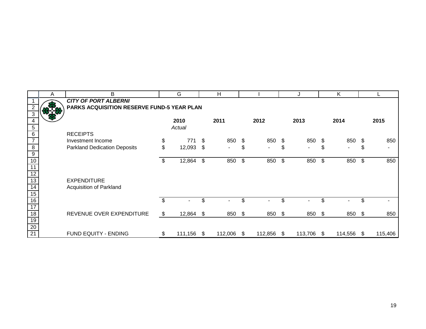|                 | A | B                                          |    | G       |     | H              |      |                |      |         |                | K          |     |         |
|-----------------|---|--------------------------------------------|----|---------|-----|----------------|------|----------------|------|---------|----------------|------------|-----|---------|
|                 |   | <b>CITY OF PORT ALBERNI</b>                |    |         |     |                |      |                |      |         |                |            |     |         |
|                 |   | PARKS ACQUISITION RESERVE FUND-5 YEAR PLAN |    |         |     |                |      |                |      |         |                |            |     |         |
|                 |   |                                            |    |         |     |                |      |                |      |         |                |            |     |         |
|                 |   |                                            |    | 2010    |     | 2011           |      | 2012           |      | 2013    |                | 2014       |     | 2015    |
| 5               |   |                                            |    | Actual  |     |                |      |                |      |         |                |            |     |         |
| 6               |   | <b>RECEIPTS</b>                            |    |         |     |                |      |                |      |         |                |            |     |         |
| $\overline{7}$  |   | Investment Income                          | \$ | 771     | -S  | 850            | \$   | 850            | \$   | 850     | - \$           | 850 \$     |     | 850     |
| 8               |   | <b>Parkland Dedication Deposits</b>        | \$ | 12,093  | \$  | $\blacksquare$ | \$   | $\blacksquare$ | \$   | $\sim$  | \$             | ۰.         | \$  |         |
| $\overline{9}$  |   |                                            |    |         |     |                |      |                |      |         |                |            |     |         |
| 10              |   |                                            | \$ | 12,864  | \$  | 850            | \$   | 850            | \$   | 850     | \$             | 850        | \$  | 850     |
| 11              |   |                                            |    |         |     |                |      |                |      |         |                |            |     |         |
| $\overline{12}$ |   |                                            |    |         |     |                |      |                |      |         |                |            |     |         |
| 13              |   | <b>EXPENDITURE</b>                         |    |         |     |                |      |                |      |         |                |            |     |         |
| 14              |   | Acquisition of Parkland                    |    |         |     |                |      |                |      |         |                |            |     |         |
| 15              |   |                                            |    |         |     |                |      |                |      |         |                |            |     |         |
| 16              |   |                                            | \$ |         |     |                | \$.  |                | \$   |         | \$.            |            | \$. |         |
| 17              |   |                                            |    |         |     |                |      |                |      |         |                |            |     |         |
| 18              |   | REVENUE OVER EXPENDITURE                   | S. | 12,864  | -\$ | 850            | -\$  | 850 \$         |      | 850     | $\mathfrak{S}$ | 850 \$     |     | 850     |
| $\overline{19}$ |   |                                            |    |         |     |                |      |                |      |         |                |            |     |         |
| $\frac{20}{21}$ |   |                                            |    |         |     |                |      |                |      |         |                |            |     |         |
|                 |   | FUND EQUITY - ENDING                       | \$ | 111,156 | \$  | 112,006        | - \$ | 112,856        | - \$ | 113,706 | - \$           | 114,556 \$ |     | 115,406 |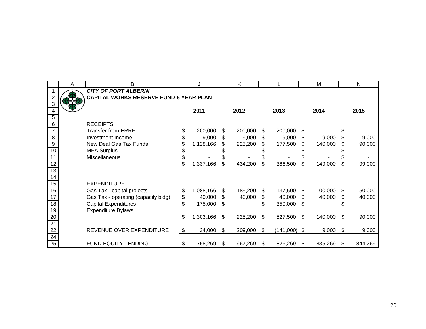|                 | A | В                                      |    | J         |     | K       |     |                |     | м       |     | N       |
|-----------------|---|----------------------------------------|----|-----------|-----|---------|-----|----------------|-----|---------|-----|---------|
|                 |   | <b>CITY OF PORT ALBERNI</b>            |    |           |     |         |     |                |     |         |     |         |
| $\overline{2}$  |   | CAPITAL WORKS RESERVE FUND-5 YEAR PLAN |    |           |     |         |     |                |     |         |     |         |
| $\overline{3}$  |   |                                        |    |           |     |         |     |                |     |         |     |         |
| 4               |   |                                        |    | 2011      |     | 2012    |     | 2013           |     | 2014    |     | 2015    |
| $\overline{5}$  |   |                                        |    |           |     |         |     |                |     |         |     |         |
| 6               |   | <b>RECEIPTS</b>                        |    |           |     |         |     |                |     |         |     |         |
|                 |   | <b>Transfer from ERRF</b>              | \$ | 200,000   | \$  | 200,000 | S   | 200,000        | S   |         |     |         |
| $\overline{8}$  |   | Investment Income                      | \$ | 9,000     | \$  | 9,000   | \$  | 9,000          | \$  | 9,000   | \$  | 9,000   |
| $\overline{9}$  |   | New Deal Gas Tax Funds                 |    | 1,128,166 | \$  | 225,200 | \$  | 177,500        | \$  | 140,000 |     | 90,000  |
| 10              |   | <b>MFA Surplus</b>                     | S  |           |     |         |     |                |     |         |     |         |
| 11              |   | Miscellaneous                          |    |           |     |         |     |                |     |         |     |         |
| $\overline{12}$ |   |                                        | \$ | 1,337,166 | \$  | 434,200 | \$  | 386,500        | \$  | 149,000 | \$  | 99,000  |
| 13              |   |                                        |    |           |     |         |     |                |     |         |     |         |
| $\overline{14}$ |   |                                        |    |           |     |         |     |                |     |         |     |         |
| 15              |   | <b>EXPENDITURE</b>                     |    |           |     |         |     |                |     |         |     |         |
| 16              |   | Gas Tax - capital projects             | \$ | 1,088,166 | \$  | 185,200 | S   | 137,500        | \$. | 100,000 | \$. | 50,000  |
| 17              |   | Gas Tax - operating (capacity bldg)    | \$ | 40,000    | \$  | 40,000  | \$  | 40,000         | \$  | 40,000  | \$  | 40,000  |
| 18              |   | <b>Capital Expenditures</b>            | \$ | 175,000   | \$  |         |     | 350,000        | \$  |         |     |         |
| 19              |   | <b>Expenditure Bylaws</b>              |    |           |     |         |     |                |     |         |     |         |
| $\overline{20}$ |   |                                        | \$ | 1,303,166 | \$  | 225,200 | \$  | 527,500        | \$  | 140,000 | \$  | 90,000  |
| 21              |   |                                        |    |           |     |         |     |                |     |         |     |         |
| $\overline{22}$ |   | REVENUE OVER EXPENDITURE               | \$ | 34,000    | \$. | 209,000 | \$  | $(141,000)$ \$ |     | 9,000   | -\$ | 9,000   |
| $\overline{24}$ |   |                                        |    |           |     |         |     |                |     |         |     |         |
| 25              |   | FUND EQUITY - ENDING                   | \$ | 758,269   | S.  | 967,269 | \$. | 826,269        | S   | 835,269 | -SS | 844,269 |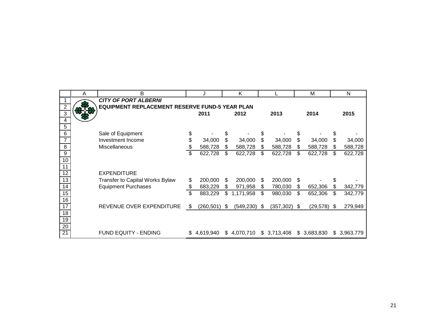|                 | A | B                                                     |    | J          |    | K          |    |             | M               |    | N            |
|-----------------|---|-------------------------------------------------------|----|------------|----|------------|----|-------------|-----------------|----|--------------|
|                 |   | <b>CITY OF PORT ALBERNI</b>                           |    |            |    |            |    |             |                 |    |              |
| $\overline{2}$  |   | <b>EQUIPMENT REPLACEMENT RESERVE FUND-5 YEAR PLAN</b> |    |            |    |            |    |             |                 |    |              |
| $\overline{3}$  |   |                                                       |    | 2011       |    | 2012       |    | 2013        | 2014            |    | 2015         |
| 4               |   |                                                       |    |            |    |            |    |             |                 |    |              |
| 5               |   |                                                       |    |            |    |            |    |             |                 |    |              |
| 6               |   | Sale of Equipment                                     | \$ |            |    |            |    |             |                 | S  |              |
| $\overline{7}$  |   | Investment Income                                     | \$ | 34,000     | \$ | 34,000     | \$ | 34,000      | \$<br>34,000    | S  | 34,000       |
| 8               |   | Miscellaneous                                         | \$ | 588,728    | \$ | 588,728    | \$ | 588,728     | \$<br>588,728   |    | 588,728      |
| 9               |   |                                                       | \$ | 622,728    | \$ | 622,728    | \$ | 622,728     | \$<br>622,728   | \$ | 622,728      |
| 10              |   |                                                       |    |            |    |            |    |             |                 |    |              |
| 11              |   |                                                       |    |            |    |            |    |             |                 |    |              |
| 12              |   | <b>EXPENDITURE</b>                                    |    |            |    |            |    |             |                 |    |              |
| 13              |   | <b>Transfer to Capital Works Bylaw</b>                | \$ | 200,000    | S  | 200,000    | \$ | 200,000     | \$              | \$ |              |
| 14              |   | <b>Equipment Purchases</b>                            | \$ | 683,229    | \$ | 971,958    | \$ | 780,030     | \$<br>652,306   | \$ | 342,779      |
| 15              |   |                                                       | \$ | 883,229    | \$ | 1,171,958  | \$ | 980,030     | \$<br>652,306   | \$ | 342,779      |
| $\overline{16}$ |   |                                                       |    |            |    |            |    |             |                 |    |              |
| 17              |   | REVENUE OVER EXPENDITURE                              | \$ | (260, 501) | \$ | (549, 230) | S  | (357, 302)  | \$<br>(29, 578) | S  | 279,949      |
| 18              |   |                                                       |    |            |    |            |    |             |                 |    |              |
| 19              |   |                                                       |    |            |    |            |    |             |                 |    |              |
| $\overline{20}$ |   |                                                       |    |            |    |            |    |             |                 |    |              |
| $\overline{21}$ |   | <b>FUND EQUITY - ENDING</b>                           | S  | 4,619,940  | \$ | 4,070,710  |    | \$3,713,408 | \$3,683,830     |    | \$ 3,963,779 |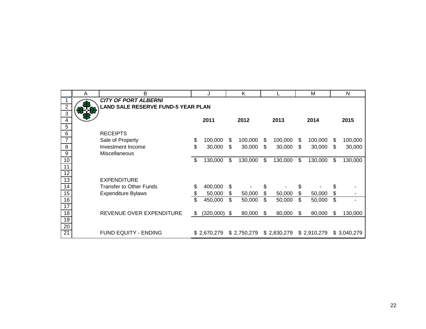|                     | Α | B                                         | J                    |    | K           |               |    | M           |    | N           |
|---------------------|---|-------------------------------------------|----------------------|----|-------------|---------------|----|-------------|----|-------------|
|                     |   | <b>CITY OF PORT ALBERNI</b>               |                      |    |             |               |    |             |    |             |
| $\overline{2}$      |   | <b>LAND SALE RESERVE FUND-5 YEAR PLAN</b> |                      |    |             |               |    |             |    |             |
| $\overline{\omega}$ |   |                                           |                      |    |             |               |    |             |    |             |
| 4                   |   |                                           | 2011                 |    | 2012        | 2013          |    | 2014        |    | 2015        |
| 5                   |   |                                           |                      |    |             |               |    |             |    |             |
| $\,6$               |   | <b>RECEIPTS</b>                           |                      |    |             |               |    |             |    |             |
| $\overline{7}$      |   | Sale of Property                          | \$<br>100,000        | S  | 100,000     | \$<br>100,000 | S  | 100,000     | S  | 100,000     |
| 8                   |   | Investment Income                         | \$<br>30,000         | \$ | 30,000      | \$<br>30,000  | \$ | 30,000      | S  | 30,000      |
| $\overline{9}$      |   | Miscellaneous                             |                      |    |             |               |    |             |    |             |
| $10$                |   |                                           | \$<br>130,000        | \$ | 130,000     | \$<br>130,000 | \$ | 130,000     | \$ | 130,000     |
| 11                  |   |                                           |                      |    |             |               |    |             |    |             |
| 12                  |   |                                           |                      |    |             |               |    |             |    |             |
| 13                  |   | <b>EXPENDITURE</b>                        |                      |    |             |               |    |             |    |             |
| $\overline{14}$     |   | <b>Transfer to Other Funds</b>            | \$<br>400,000        | \$ |             | \$            | \$ |             | \$ |             |
| 15                  |   | <b>Expenditure Bylaws</b>                 | \$<br>50,000         | \$ | 50,000      | \$<br>50,000  | \$ | 50,000      | \$ |             |
| 16                  |   |                                           | \$<br>450,000        | \$ | 50,000      | \$<br>50,000  | \$ | 50,000      | \$ |             |
| $\overline{17}$     |   |                                           |                      |    |             |               |    |             |    |             |
| $\overline{18}$     |   | REVENUE OVER EXPENDITURE                  | \$<br>$(320,000)$ \$ |    | 80,000      | \$<br>80,000  | S  | 80,000      | \$ | 130,000     |
| 19                  |   |                                           |                      |    |             |               |    |             |    |             |
| $\overline{20}$     |   |                                           |                      |    |             |               |    |             |    |             |
| $\overline{21}$     |   | <b>FUND EQUITY - ENDING</b>               | \$2,670,279          |    | \$2,750,279 | \$2,830,279   |    | \$2,910,279 |    | \$3,040,279 |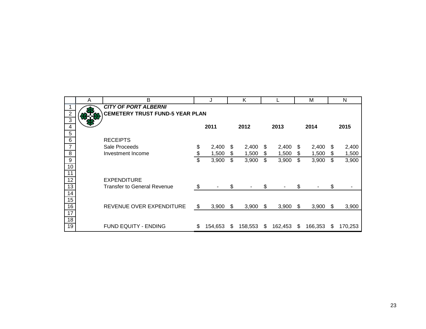|                  | Α | B                                      |    |         |    | K       |    |         |    | M       |     | N       |
|------------------|---|----------------------------------------|----|---------|----|---------|----|---------|----|---------|-----|---------|
|                  |   | <b>CITY OF PORT ALBERNI</b>            |    |         |    |         |    |         |    |         |     |         |
| $\overline{2}$   |   | <b>CEMETERY TRUST FUND-5 YEAR PLAN</b> |    |         |    |         |    |         |    |         |     |         |
| $\overline{3}$   |   |                                        |    |         |    |         |    |         |    |         |     |         |
| 4                |   |                                        |    | 2011    |    | 2012    |    | 2013    |    | 2014    |     | 2015    |
| $\sqrt{5}$       |   |                                        |    |         |    |         |    |         |    |         |     |         |
| $\,6$            |   | <b>RECEIPTS</b>                        |    |         |    |         |    |         |    |         |     |         |
| $\overline{7}$   |   | Sale Proceeds                          | \$ | 2,400   | \$ | 2,400   | S. | 2,400   | S. | 2,400   | S   | 2,400   |
| $\, 8$           |   | Investment Income                      | \$ | 1,500   | S. | 1,500   | \$ | 1,500   | \$ | 1,500   | \$  | 1,500   |
| $\boldsymbol{9}$ |   |                                        | \$ | 3,900   | \$ | 3,900   | \$ | 3,900   | \$ | 3,900   | \$  | 3,900   |
| 10               |   |                                        |    |         |    |         |    |         |    |         |     |         |
| $\overline{11}$  |   |                                        |    |         |    |         |    |         |    |         |     |         |
| $\overline{12}$  |   | <b>EXPENDITURE</b>                     |    |         |    |         |    |         |    |         |     |         |
| $\overline{13}$  |   | <b>Transfer to General Revenue</b>     | S. |         | \$ |         | \$ |         | \$ |         | \$  |         |
| $\overline{14}$  |   |                                        |    |         |    |         |    |         |    |         |     |         |
| 15               |   |                                        |    |         |    |         |    |         |    |         |     |         |
| 16               |   | REVENUE OVER EXPENDITURE               | \$ | 3,900   | \$ | 3,900   | \$ | 3,900   | S. | 3,900   | \$. | 3,900   |
| $\overline{17}$  |   |                                        |    |         |    |         |    |         |    |         |     |         |
| $\overline{18}$  |   |                                        |    |         |    |         |    |         |    |         |     |         |
| 19               |   | <b>FUND EQUITY - ENDING</b>            | \$ | 154,653 | S. | 158,553 | S. | 162,453 | \$ | 166,353 | S   | 170,253 |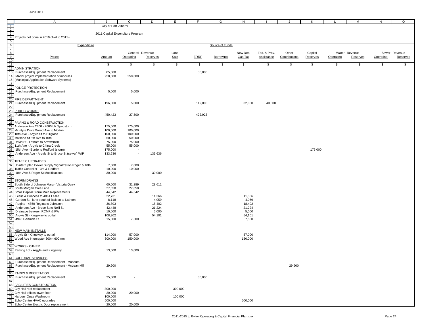|                                              | $\mathsf{A}$                                                                                                                         | В                                | $\mathsf{C}$       | D               | Ε.      | F.      | G               | H        | $\mathbf{I}$ | J             | K        | L         | M             | N         | $\circ$       |
|----------------------------------------------|--------------------------------------------------------------------------------------------------------------------------------------|----------------------------------|--------------------|-----------------|---------|---------|-----------------|----------|--------------|---------------|----------|-----------|---------------|-----------|---------------|
| $\overline{1}$                               |                                                                                                                                      | City of Port Alberni             |                    |                 |         |         |                 |          |              |               |          |           |               |           |               |
|                                              | $\frac{2}{3}$<br>$\frac{3}{4}$ Projects not done in 2010 cfwd to 2011+                                                               |                                  |                    |                 |         |         |                 |          |              |               |          |           |               |           |               |
|                                              |                                                                                                                                      | 2011 Capital Expenditure Program |                    |                 |         |         |                 |          |              |               |          |           |               |           |               |
|                                              |                                                                                                                                      |                                  |                    |                 |         |         |                 |          |              |               |          |           |               |           |               |
| $5\overline{)}$                              |                                                                                                                                      |                                  |                    |                 |         |         |                 |          |              |               |          |           |               |           |               |
| $\frac{1}{10}$ $\frac{1}{10}$ $\frac{1}{10}$ | Expenditure                                                                                                                          |                                  |                    |                 |         |         | Source of Funds |          |              |               |          |           |               |           |               |
|                                              |                                                                                                                                      |                                  |                    |                 |         |         |                 |          |              |               |          |           |               |           |               |
|                                              |                                                                                                                                      |                                  |                    | General Revenue | Land    |         |                 | New Deal | Fed. & Prov. | Other         | Capital  |           | Water Revenue |           | Sewer Revenue |
|                                              | Project                                                                                                                              | Amount                           | Operating          | Reserves        | Sale    | ERRF    | Borrowing       | Gas Tax  | Assistance   | Contributions | Reserves | Operating | Reserves      | Operating | Reserves      |
| 11                                           |                                                                                                                                      | \$                               | \$                 | \$              | \$      | \$      | \$              | \$       | \$           | \$            | \$       | \$        | \$            | \$        | \$            |
| 12                                           | <b>ADMINISTRATION</b>                                                                                                                |                                  |                    |                 |         |         |                 |          |              |               |          |           |               |           |               |
|                                              | 13 Purchases/Equipment Replacement                                                                                                   | 85,000                           |                    |                 |         | 85,000  |                 |          |              |               |          |           |               |           |               |
|                                              | 14 MASS project implementation of modules                                                                                            | 250,000                          | 250,000            |                 |         |         |                 |          |              |               |          |           |               |           |               |
| 15                                           | (Municipal Application Software Systems)                                                                                             |                                  |                    |                 |         |         |                 |          |              |               |          |           |               |           |               |
| 16                                           |                                                                                                                                      |                                  |                    |                 |         |         |                 |          |              |               |          |           |               |           |               |
| 17                                           | POLICE PROTECTION                                                                                                                    |                                  |                    |                 |         |         |                 |          |              |               |          |           |               |           |               |
| 18                                           | Purchases/Equipment Replacement                                                                                                      | 5,000                            | 5,000              |                 |         |         |                 |          |              |               |          |           |               |           |               |
| 19                                           |                                                                                                                                      |                                  |                    |                 |         |         |                 |          |              |               |          |           |               |           |               |
| 20                                           | FIRE DEPARTMENT                                                                                                                      |                                  |                    |                 |         |         |                 |          |              |               |          |           |               |           |               |
|                                              | 21 Purchases/Equipment Replacement                                                                                                   | 196,000                          | 5,000              |                 |         | 119,000 |                 | 32,000   | 40,000       |               |          |           |               |           |               |
| 22                                           |                                                                                                                                      |                                  |                    |                 |         |         |                 |          |              |               |          |           |               |           |               |
| 23                                           | <b>PUBLIC WORKS</b>                                                                                                                  |                                  |                    |                 |         |         |                 |          |              |               |          |           |               |           |               |
|                                              | 24 Purchases/Equipment Replacement<br>25                                                                                             | 450,423                          | 27,500             |                 |         | 422,923 |                 |          |              |               |          |           |               |           |               |
|                                              |                                                                                                                                      |                                  |                    |                 |         |         |                 |          |              |               |          |           |               |           |               |
|                                              | 26 PAVING & ROAD CONSTRUCTION                                                                                                        |                                  |                    |                 |         |         |                 |          |              |               |          |           |               |           |               |
|                                              | 27 Anderson Ave 2400 - 2600 blk Spot storm                                                                                           | 175,000                          | 175,000            |                 |         |         |                 |          |              |               |          |           |               |           |               |
|                                              | 28 McIntyre Drive Wood Ave to Morton<br>29 18th Ave - Argyle St to Hillgrass                                                         | 100,000                          | 100,000<br>100,000 |                 |         |         |                 |          |              |               |          |           |               |           |               |
|                                              | 30 Maitland St 8th Ave to 10th                                                                                                       | 100,000<br>50,000                | 50,000             |                 |         |         |                 |          |              |               |          |           |               |           |               |
|                                              | 31 David St - Lathom to Arrowsmith                                                                                                   | 75,000                           | 75,000             |                 |         |         |                 |          |              |               |          |           |               |           |               |
|                                              | 32 11th Ave - Argyle to China Creek                                                                                                  | 55,000                           | 55,000             |                 |         |         |                 |          |              |               |          |           |               |           |               |
| 33                                           | 15th Ave - Burde to Redford (storm)                                                                                                  | 175,000                          |                    |                 |         |         |                 |          |              |               | 175,000  |           |               |           |               |
|                                              |                                                                                                                                      | 133,636                          |                    | 133,636         |         |         |                 |          |              |               |          |           |               |           |               |
|                                              | 34 Anderson Ave - Argyle St to Bruce St (sewer) WIP<br>35                                                                            |                                  |                    |                 |         |         |                 |          |              |               |          |           |               |           |               |
|                                              | 36 TRAFFIC UPGRADES                                                                                                                  |                                  |                    |                 |         |         |                 |          |              |               |          |           |               |           |               |
|                                              | 37 Uninterrupted Power Supply Signalization Roger & 10th                                                                             | 7,000                            | 7,000              |                 |         |         |                 |          |              |               |          |           |               |           |               |
|                                              | 38 Traffic Controller - 3rd & Redford                                                                                                | 10,000                           | 10,000             |                 |         |         |                 |          |              |               |          |           |               |           |               |
| 39                                           | 10th Ave & Roger St Modifications                                                                                                    | 30,000                           | $\sim$             | 30,000          |         |         |                 |          |              |               |          |           |               |           |               |
| 40                                           |                                                                                                                                      |                                  |                    |                 |         |         |                 |          |              |               |          |           |               |           |               |
|                                              | 41 STORM DRAINS                                                                                                                      |                                  |                    |                 |         |         |                 |          |              |               |          |           |               |           |               |
|                                              | 42 South Side of Johnson Marg - Victoria Quay                                                                                        | 60,000                           | 31,389             | 28,611          |         |         |                 |          |              |               |          |           |               |           |               |
|                                              | 43 South Morgan Cres Lane                                                                                                            | 27,050                           | 27,050             |                 |         |         |                 |          |              |               |          |           |               |           |               |
|                                              | 44 Small Capital Storm Main Replacements                                                                                             | 44,642                           | 44,642             |                 |         |         |                 |          |              |               |          |           |               |           |               |
|                                              | 45 Leslie & Princess to 4861 Leslie                                                                                                  | 22,731                           |                    | 11,366          |         |         |                 | 11,366   |              |               |          |           |               |           |               |
|                                              | 46 Gordon St - lane south of Ballson to Lathom                                                                                       | 8,118                            |                    | 4,059           |         |         |                 | 4,059    |              |               |          |           |               |           |               |
|                                              | 47 Regina - 4850 Regina to Johnston                                                                                                  | 36,803                           |                    | 18,402          |         |         |                 | 18,402   |              |               |          |           |               |           |               |
|                                              | 48 Anderson Ave - Bruce St to Neill St                                                                                               | 42,448                           |                    | 21,224          |         |         |                 | 21,224   |              |               |          |           |               |           |               |
|                                              | <b>49</b> Drainage between RCMP & PW<br><b>49</b> Drainage between RCMP & PW<br>50 Argyle St - Kingsway to outfall<br>52<br>53<br>53 | 10,000                           |                    | 5,000           |         |         |                 | 5,000    |              |               |          |           |               |           |               |
|                                              |                                                                                                                                      | 108,202                          |                    | 54,101          |         |         |                 | 54,101   |              |               |          |           |               |           |               |
|                                              |                                                                                                                                      | 15,000                           | 7,500              |                 |         |         |                 | 7,500    |              |               |          |           |               |           |               |
|                                              |                                                                                                                                      |                                  |                    |                 |         |         |                 |          |              |               |          |           |               |           |               |
| 54                                           | <b>NEW MAIN INSTALLS</b>                                                                                                             |                                  |                    |                 |         |         |                 |          |              |               |          |           |               |           |               |
| 55                                           | Argyle St - Kingsway to outfall                                                                                                      | 114,000                          | 57,000             |                 |         |         |                 | 57,000   |              |               |          |           |               |           |               |
|                                              | 56 Wood Ave Interceptor 600m 600mm                                                                                                   | 300,000                          | 150,000            |                 |         |         |                 | 150,000  |              |               |          |           |               |           |               |
| 57                                           |                                                                                                                                      |                                  |                    |                 |         |         |                 |          |              |               |          |           |               |           |               |
|                                              | 58 WORKS - OTHER                                                                                                                     |                                  |                    |                 |         |         |                 |          |              |               |          |           |               |           |               |
|                                              | 59 Parking Lot - Argyle and Kingsway                                                                                                 | 13,000                           | 13,000             |                 |         |         |                 |          |              |               |          |           |               |           |               |
| 60                                           |                                                                                                                                      |                                  |                    |                 |         |         |                 |          |              |               |          |           |               |           |               |
|                                              | 61 CULTURAL SERVICES                                                                                                                 |                                  |                    |                 |         |         |                 |          |              |               |          |           |               |           |               |
|                                              | 62 Purchases/Equipment Replacement - Museum                                                                                          |                                  |                    |                 |         |         |                 |          |              |               |          |           |               |           |               |
|                                              | 63<br>Burchases/Equipment Replacement - McLean Mill<br>64<br>65 PARKS & RECREATION                                                   | 29,900                           |                    |                 |         |         |                 |          |              | 29,900        |          |           |               |           |               |
|                                              |                                                                                                                                      |                                  |                    |                 |         |         |                 |          |              |               |          |           |               |           |               |
|                                              |                                                                                                                                      |                                  |                    |                 |         |         |                 |          |              |               |          |           |               |           |               |
|                                              | 66 Purchases/Equipment Replacement                                                                                                   | 35,000                           |                    |                 |         | 35,000  |                 |          |              |               |          |           |               |           |               |
|                                              |                                                                                                                                      |                                  |                    |                 |         |         |                 |          |              |               |          |           |               |           |               |
|                                              | 68 FACILITIES CONSTRUCTION                                                                                                           |                                  |                    |                 |         |         |                 |          |              |               |          |           |               |           |               |
|                                              | 69 City Hall roof replacement                                                                                                        | 300,000                          |                    |                 | 300,000 |         |                 |          |              |               |          |           |               |           |               |
|                                              | 70 City Hall offices lower floor                                                                                                     | 20,000                           | 20,000             |                 |         |         |                 |          |              |               |          |           |               |           |               |
|                                              | 71 Harbour Quay Washroom                                                                                                             | 100,000                          |                    |                 | 100,000 |         |                 |          |              |               |          |           |               |           |               |
|                                              | 72 Echo Centre HVAC upgrades                                                                                                         | 500,000                          |                    |                 |         |         |                 | 500,000  |              |               |          |           |               |           |               |
|                                              | 73 Echo Centre Electric Door replacement                                                                                             | 20,000                           | 20,000             |                 |         |         |                 |          |              |               |          |           |               |           |               |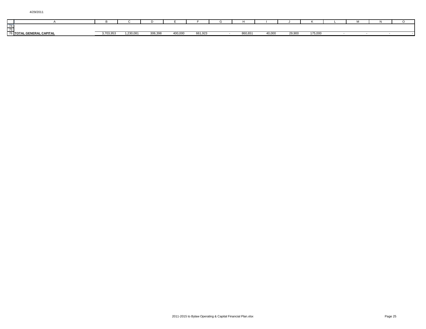|                                    |                                       |                        |        |        |         |                |         |                 |                 |                   | 1VI |  |
|------------------------------------|---------------------------------------|------------------------|--------|--------|---------|----------------|---------|-----------------|-----------------|-------------------|-----|--|
| 741                                |                                       |                        |        |        |         |                |         |                 |                 |                   |     |  |
| $\overline{\phantom{a}}$<br>$\sim$ |                                       |                        |        |        |         |                |         |                 |                 |                   |     |  |
|                                    | . CAPITAL<br><b>CENEDAL</b><br>6 TOTA | 202000<br><u> 5335</u> | 0.0000 | 000000 | 400.000 | 361.023<br>JZ. | 860,651 | $\sim$<br>40.UU | 00.000<br>29.99 | 175,000<br>179.UU |     |  |
|                                    |                                       |                        |        |        |         |                |         |                 |                 |                   |     |  |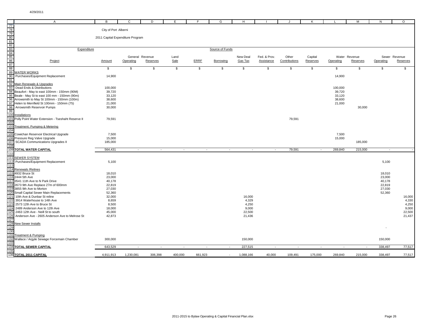|                                                    | $\mathsf{A}$                                                                                 | В                                | $\mathbf{C}$             | D                        | E.      | F.          | G               | H         |                   |                          | K        |                  | м             | N         | $\circ$       |
|----------------------------------------------------|----------------------------------------------------------------------------------------------|----------------------------------|--------------------------|--------------------------|---------|-------------|-----------------|-----------|-------------------|--------------------------|----------|------------------|---------------|-----------|---------------|
| 77                                                 |                                                                                              |                                  |                          |                          |         |             |                 |           |                   |                          |          |                  |               |           |               |
|                                                    |                                                                                              | City of Port Alberni             |                          |                          |         |             |                 |           |                   |                          |          |                  |               |           |               |
|                                                    |                                                                                              | 2011 Capital Expenditure Program |                          |                          |         |             |                 |           |                   |                          |          |                  |               |           |               |
|                                                    |                                                                                              |                                  |                          |                          |         |             |                 |           |                   |                          |          |                  |               |           |               |
|                                                    |                                                                                              |                                  |                          |                          |         |             |                 |           |                   |                          |          |                  |               |           |               |
| <u>လူ လူ တို လူ လူ ထို ထို ထို လူ</u><br>လူ လူ ထို | Expenditure                                                                                  |                                  |                          |                          |         |             | Source of Funds |           |                   |                          |          |                  |               |           |               |
|                                                    |                                                                                              |                                  |                          |                          |         |             |                 |           |                   |                          |          |                  |               |           |               |
|                                                    |                                                                                              |                                  |                          | General Revenue          | Land    |             |                 | New Deal  | Fed. & Prov.      | Other                    | Capital  |                  | Water Revenue |           | Sewer Revenue |
|                                                    | Project                                                                                      | Amount                           | Operating                | Reserves                 | Sale    | <b>ERRE</b> | Borrowing       | Gas Tax   | <b>Assistance</b> | Contributions            | Reserves | Operating        | Reserves      | Operating | Reserves      |
|                                                    |                                                                                              |                                  |                          |                          |         |             |                 |           |                   |                          |          |                  |               |           |               |
|                                                    |                                                                                              | \$                               | \$                       | \$                       | \$      | \$          | \$              | \$        | \$                | \$                       | \$       | \$               | \$            | \$        | \$            |
| 89                                                 | <b>WATER WORKS</b>                                                                           |                                  |                          |                          |         |             |                 |           |                   |                          |          |                  |               |           |               |
| 90                                                 | Purchases/Equipment Replacement                                                              | 14,900                           |                          |                          |         |             |                 |           |                   |                          |          | 14,900           |               |           |               |
| 91                                                 |                                                                                              |                                  |                          |                          |         |             |                 |           |                   |                          |          |                  |               |           |               |
| 92                                                 | Main Renewals & Upgrades                                                                     |                                  |                          |                          |         |             |                 |           |                   |                          |          |                  |               |           |               |
| 93                                                 | Dead Ends & Distributions                                                                    | 100,000                          |                          |                          |         |             |                 |           |                   |                          |          | 100,000          |               |           |               |
|                                                    | 94 Beaufort - May to east 100mm - 150mm (90M)                                                | 39,720                           |                          |                          |         |             |                 |           |                   |                          |          | 39,720           |               |           |               |
|                                                    | 95 Beale - May St to east 100 mm - 150mm (90m)                                               | 33,120                           |                          |                          |         |             |                 |           |                   |                          |          | 33,120           |               |           |               |
|                                                    | 96 Arrowsmith to May St 100mm - 150mm (100m)<br>97 Helen to Merrifield St 100mm - 150mm (75) | 38,600<br>21,000                 |                          |                          |         |             |                 |           |                   |                          |          | 38,600<br>21,000 |               |           |               |
| 98                                                 | Arrowsmith Reservoir Pumps                                                                   | 30,000                           |                          |                          |         |             |                 |           |                   |                          |          |                  | 30,000        |           |               |
| 99                                                 |                                                                                              |                                  |                          |                          |         |             |                 |           |                   |                          |          |                  |               |           |               |
| 100                                                | Installations                                                                                |                                  |                          |                          |         |             |                 |           |                   |                          |          |                  |               |           |               |
|                                                    | 101 Polly Point Water Extension - Tseshaht Reserve II                                        | 79,591                           |                          |                          |         |             |                 |           |                   | 79,591                   |          |                  |               |           |               |
| 102                                                |                                                                                              |                                  |                          |                          |         |             |                 |           |                   |                          |          |                  |               |           |               |
| 103                                                | Treatment, Pumping & Metering                                                                |                                  |                          |                          |         |             |                 |           |                   |                          |          |                  |               |           |               |
| 104                                                |                                                                                              |                                  |                          |                          |         |             |                 |           |                   |                          |          |                  |               |           |               |
| 105                                                | Cowichan Reservoir Electrical Upgrade                                                        | 7,500                            |                          |                          |         |             |                 |           |                   |                          |          | 7,500            |               |           |               |
|                                                    | 106 Pressure Reg Valve Upgrade                                                               | 15,000                           |                          |                          |         |             |                 |           |                   |                          |          | 15,000           |               |           |               |
| 107                                                | <b>SCADA Communications Upgrades II</b>                                                      | 185,000                          |                          |                          |         |             |                 |           |                   |                          |          |                  | 185,000       |           |               |
| 108                                                |                                                                                              |                                  |                          |                          |         |             |                 |           |                   |                          |          |                  |               |           |               |
| 109                                                | <b>TOTAL WATER CAPITAL</b>                                                                   | 564,431                          | $\overline{\phantom{a}}$ |                          |         |             |                 |           |                   | 79,591                   |          | 269,840          | 215,000       | $\sim$    |               |
| 110                                                |                                                                                              |                                  |                          |                          |         |             |                 |           |                   |                          |          |                  |               |           |               |
| 111                                                | <b>SEWER SYSTEM</b>                                                                          |                                  |                          |                          |         |             |                 |           |                   |                          |          |                  |               |           |               |
| 113                                                | 112 Purchases/Equipment Replacement                                                          | 5,100                            |                          |                          |         |             |                 |           |                   |                          |          |                  |               | 5,100     |               |
|                                                    | 114 Renewals / Relines                                                                       |                                  |                          |                          |         |             |                 |           |                   |                          |          |                  |               |           |               |
|                                                    | 115 4932 Bruce St                                                                            | 18,010                           |                          |                          |         |             |                 |           |                   |                          |          |                  |               | 18,010    |               |
|                                                    | 116 2444 5th Ave                                                                             | 23,000                           |                          |                          |         |             |                 |           |                   |                          |          |                  |               | 23,000    |               |
|                                                    | 117 3541 11th Ave to N Park Drive                                                            | 40,178                           |                          |                          |         |             |                 |           |                   |                          |          |                  |               | 40,178    |               |
|                                                    | 118 2673 9th Ave Replace 27m of 600mm                                                        | 22,819                           |                          |                          |         |             |                 |           |                   |                          |          |                  |               | 22,819    |               |
|                                                    | 119 3855 9th Ave to Morton                                                                   | 27,030                           |                          |                          |         |             |                 |           |                   |                          |          |                  |               | 27,030    |               |
|                                                    | 120 Small Capital Sewer Main Replacements                                                    | 52,360                           |                          |                          |         |             |                 |           |                   |                          |          |                  |               | 52,360    |               |
| 121                                                | 10th Ave & Dunbar St reline                                                                  | 32,000                           |                          |                          |         |             |                 | 16,000    |                   |                          |          |                  |               |           | 16,000        |
| 122                                                | 3914 Waterhouse to 14th Ave                                                                  | 8,659                            |                          |                          |         |             |                 | 4,329     |                   |                          |          |                  |               |           | 4,330         |
| 123                                                | 2573 12th Ave to Bruce St                                                                    | 8,500                            |                          |                          |         |             |                 | 4,250     |                   |                          |          |                  |               |           | 4,250         |
| 124                                                | 2489 Anderson Ave to 12th Ave                                                                | 18,000                           |                          |                          |         |             |                 | 9,000     |                   |                          |          |                  |               |           | 9,000         |
| 125                                                | 2463 12th Ave - Neill St to south                                                            | 45,000                           |                          |                          |         |             |                 | 22,500    |                   |                          |          |                  |               |           | 22,500        |
| 126                                                | Anderson Ave - 2605 Anderson Ave to Melrose St                                               | 42,873                           |                          |                          |         |             |                 | 21,436    |                   |                          |          |                  |               |           | 21,437        |
| 127<br>128                                         |                                                                                              |                                  |                          |                          |         |             |                 |           |                   |                          |          |                  |               |           |               |
| 129                                                | <b>New Sewer Installs</b>                                                                    |                                  |                          |                          |         |             |                 |           |                   |                          |          |                  |               |           |               |
| 130                                                |                                                                                              |                                  |                          |                          |         |             |                 |           |                   |                          |          |                  |               |           |               |
| 131                                                | Treatment & Pumping                                                                          |                                  |                          |                          |         |             |                 |           |                   |                          |          |                  |               |           |               |
|                                                    | 132 Wallace / Argyle Sewage Forcemain Chamber                                                | 300,000                          |                          |                          |         |             |                 | 150,000   |                   |                          |          |                  |               | 150,000   |               |
| 133                                                |                                                                                              |                                  |                          |                          |         |             |                 |           |                   |                          |          |                  |               |           |               |
| 134                                                | <b>TOTAL SEWER CAPITAL</b>                                                                   | 643,529                          | $\overline{\phantom{a}}$ | $\overline{\phantom{a}}$ | $\sim$  | $\sim$      | $\sim$          | 227,515   | $\sim$            | $\overline{\phantom{a}}$ |          |                  | $\sim$        | 338,497   | 77,517        |
| 135                                                |                                                                                              |                                  |                          |                          |         |             |                 |           |                   |                          |          |                  |               |           |               |
|                                                    | 136 TOTAL 2011 CAPITAL                                                                       | 4,911,913                        | 1,230,081                | 306,398                  | 400,000 | 661,923     |                 | 1,088,166 | 40,000            | 109,491                  | 175,000  | 269,840          | 215,000       | 338,497   | 77,517        |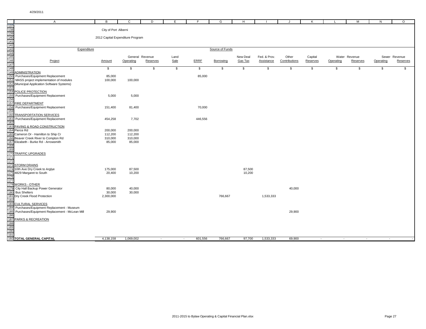|                                                             |                                                                               |                      |                                  |                 |              | F.          |                 |          |              |               |          |           |               |              |               |
|-------------------------------------------------------------|-------------------------------------------------------------------------------|----------------------|----------------------------------|-----------------|--------------|-------------|-----------------|----------|--------------|---------------|----------|-----------|---------------|--------------|---------------|
| 137                                                         | $\overline{A}$                                                                | В                    | $\mathsf{C}$                     | D               | E            |             | G               | H        |              | J.            | K        |           | M             | N            | $\circ$       |
|                                                             |                                                                               | City of Port Alberni |                                  |                 |              |             |                 |          |              |               |          |           |               |              |               |
|                                                             |                                                                               |                      |                                  |                 |              |             |                 |          |              |               |          |           |               |              |               |
|                                                             |                                                                               |                      | 2012 Capital Expenditure Program |                 |              |             |                 |          |              |               |          |           |               |              |               |
|                                                             |                                                                               |                      |                                  |                 |              |             |                 |          |              |               |          |           |               |              |               |
|                                                             |                                                                               |                      |                                  |                 |              |             |                 |          |              |               |          |           |               |              |               |
| 138<br>148<br>145<br>145<br>145<br>149<br>149<br>149<br>149 | Expenditure                                                                   |                      |                                  |                 |              |             | Source of Funds |          |              |               |          |           |               |              |               |
|                                                             |                                                                               |                      |                                  |                 |              |             |                 |          |              |               |          |           |               |              |               |
|                                                             |                                                                               |                      |                                  | General Revenue | Land         |             |                 | New Deal | Fed. & Prov. | Other         | Capital  |           | Water Revenue |              | Sewer Revenue |
|                                                             | Project                                                                       | Amount               | Operating                        | Reserves        | Sale         | <b>ERRF</b> | Borrowing       | Gas Tax  | Assistance   | Contributions | Reserves | Operating | Reserves      | Operating    | Reserves      |
|                                                             |                                                                               | \$                   | \$                               | \$              | $\mathbb{S}$ | \$          | $\mathbb{S}$    | \$       | \$           | \$            | \$       | \$        | \$            | $\mathbb{S}$ | \$            |
|                                                             | <b>ADMINISTRATION</b>                                                         |                      |                                  |                 |              |             |                 |          |              |               |          |           |               |              |               |
| 150                                                         | Purchases/Equipment Replacement                                               | 85,000               |                                  |                 |              | 85,000      |                 |          |              |               |          |           |               |              |               |
| 151                                                         | MASS project implementation of modules                                        | 100,000              | 100,000                          |                 |              |             |                 |          |              |               |          |           |               |              |               |
| 152                                                         | (Municipal Application Software Systems)                                      |                      |                                  |                 |              |             |                 |          |              |               |          |           |               |              |               |
| 153                                                         |                                                                               |                      |                                  |                 |              |             |                 |          |              |               |          |           |               |              |               |
| 154                                                         | POLICE PROTECTION                                                             |                      |                                  |                 |              |             |                 |          |              |               |          |           |               |              |               |
| 155                                                         | Purchases/Equipment Replacement                                               | 5,000                | 5,000                            |                 |              |             |                 |          |              |               |          |           |               |              |               |
| 156<br>157                                                  | <b>FIRE DEPARTMENT</b>                                                        |                      |                                  |                 |              |             |                 |          |              |               |          |           |               |              |               |
| 158                                                         | Purchases/Equipment Replacement                                               | 151,400              | 81,400                           |                 |              | 70,000      |                 |          |              |               |          |           |               |              |               |
| 159                                                         |                                                                               |                      |                                  |                 |              |             |                 |          |              |               |          |           |               |              |               |
| 160                                                         | TRANSPORTATION SERVICES                                                       |                      |                                  |                 |              |             |                 |          |              |               |          |           |               |              |               |
| 161                                                         | Purchases/Equipment Replacement                                               | 454,258              | 7,702                            |                 |              | 446,556     |                 |          |              |               |          |           |               |              |               |
| 162                                                         |                                                                               |                      |                                  |                 |              |             |                 |          |              |               |          |           |               |              |               |
| 163                                                         | PAVING & ROAD CONSTRUCTION                                                    |                      |                                  |                 |              |             |                 |          |              |               |          |           |               |              |               |
|                                                             | 164 Pierce Rd                                                                 | 200,000              | 200,000                          |                 |              |             |                 |          |              |               |          |           |               |              |               |
|                                                             | 165 Cameron Dr - Hamilton to Ship Cr                                          | 112,200              | 112,200                          |                 |              |             |                 |          |              |               |          |           |               |              |               |
|                                                             | 166 Beaver Creek River to Compton Rd<br>167 Elizabeth - Burke Rd - Arrowsmith | 310,000<br>85,000    | 310,000<br>85,000                |                 |              |             |                 |          |              |               |          |           |               |              |               |
| 168                                                         |                                                                               |                      |                                  |                 |              |             |                 |          |              |               |          |           |               |              |               |
|                                                             |                                                                               |                      |                                  |                 |              |             |                 |          |              |               |          |           |               |              |               |
| 169<br>170                                                  | <b>TRAFFIC UPGRADES</b>                                                       |                      |                                  |                 |              |             |                 |          |              |               |          |           |               |              |               |
| 171                                                         |                                                                               |                      |                                  |                 |              |             |                 |          |              |               |          |           |               |              |               |
| $\frac{172}{173}$                                           |                                                                               |                      |                                  |                 |              |             |                 |          |              |               |          |           |               |              |               |
|                                                             | <b>STORM DRAINS</b>                                                           |                      |                                  |                 |              |             |                 |          |              |               |          |           |               |              |               |
| 174<br>175                                                  | 10th Ave Dry Creek to Arglye                                                  | 175,000              | 87,500                           |                 |              |             |                 | 87,500   |              |               |          |           |               |              |               |
|                                                             | 4829 Margaret to South                                                        | 20,400               | 10,200                           |                 |              |             |                 | 10,200   |              |               |          |           |               |              |               |
| 176<br>177                                                  |                                                                               |                      |                                  |                 |              |             |                 |          |              |               |          |           |               |              |               |
| 178                                                         | <b>WORKS - OTHER</b>                                                          |                      |                                  |                 |              |             |                 |          |              |               |          |           |               |              |               |
|                                                             | 179 City Hall Backup Power Generator                                          | 80,000               | 40,000                           |                 |              |             |                 |          |              | 40,000        |          |           |               |              |               |
| $\frac{1180}{180}$                                          | <b>Bus Shelters</b>                                                           | 30,000               | 30,000                           |                 |              |             |                 |          |              |               |          |           |               |              |               |
|                                                             | 181 Dry Creek Flood Protection                                                | 2,300,000            |                                  |                 |              |             | 766,667         |          | 1,533,333    |               |          |           |               |              |               |
| 182                                                         |                                                                               |                      |                                  |                 |              |             |                 |          |              |               |          |           |               |              |               |
| 183                                                         | <b>CULTURAL SERVICES</b>                                                      |                      |                                  |                 |              |             |                 |          |              |               |          |           |               |              |               |
| 184                                                         | Purchases/Equipment Replacement - Museum                                      |                      |                                  |                 |              |             |                 |          |              |               |          |           |               |              |               |
| 185<br>186                                                  | Purchases/Equipment Replacement - McLean Mill                                 | 29,900               |                                  |                 |              |             |                 |          |              | 29,900        |          |           |               |              |               |
| 187                                                         | <b>PARKS &amp; RECREATION</b>                                                 |                      |                                  |                 |              |             |                 |          |              |               |          |           |               |              |               |
|                                                             |                                                                               |                      |                                  |                 |              |             |                 |          |              |               |          |           |               |              |               |
|                                                             |                                                                               |                      |                                  |                 |              |             |                 |          |              |               |          |           |               |              |               |
| 188<br>189<br>190<br>191                                    |                                                                               |                      |                                  |                 |              |             |                 |          |              |               |          |           |               |              |               |
|                                                             |                                                                               |                      |                                  |                 |              |             |                 |          |              |               |          |           |               |              |               |
|                                                             | 192 TOTAL GENERAL CAPITAL                                                     | 4,138,158            | 1,069,002                        | $\sim$          | $\sim$       | 601,556     | 766,667         | 97,700   | 1,533,333    | 69,900        | $\sim$   | $\sim$    | $\sim$        |              |               |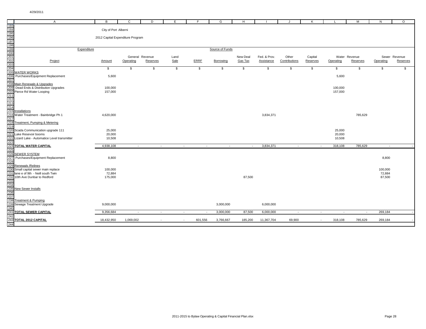|                                                                                         | $\overline{A}$                                                                                                                                                                   | B                                | $\mathbf{C}$  | D               | E                       |               | G               | H             |                             |                       |                          |           | M             | N         | $\circ$       |
|-----------------------------------------------------------------------------------------|----------------------------------------------------------------------------------------------------------------------------------------------------------------------------------|----------------------------------|---------------|-----------------|-------------------------|---------------|-----------------|---------------|-----------------------------|-----------------------|--------------------------|-----------|---------------|-----------|---------------|
|                                                                                         |                                                                                                                                                                                  |                                  |               |                 |                         |               |                 |               |                             |                       | к                        |           |               |           |               |
|                                                                                         |                                                                                                                                                                                  | City of Port Alberni             |               |                 |                         |               |                 |               |                             |                       |                          |           |               |           |               |
|                                                                                         |                                                                                                                                                                                  |                                  |               |                 |                         |               |                 |               |                             |                       |                          |           |               |           |               |
|                                                                                         |                                                                                                                                                                                  | 2012 Capital Expenditure Program |               |                 |                         |               |                 |               |                             |                       |                          |           |               |           |               |
|                                                                                         |                                                                                                                                                                                  |                                  |               |                 |                         |               |                 |               |                             |                       |                          |           |               |           |               |
| 193<br>194<br>195<br>196<br>197<br>198<br>198<br>200<br>200<br>200<br>202<br>203<br>204 | Expenditure                                                                                                                                                                      |                                  |               |                 |                         |               | Source of Funds |               |                             |                       |                          |           |               |           |               |
|                                                                                         |                                                                                                                                                                                  |                                  |               |                 |                         |               |                 |               |                             |                       |                          |           |               |           |               |
|                                                                                         |                                                                                                                                                                                  |                                  |               | General Revenue | Land                    |               |                 | New Deal      | Fed. & Prov.                | Other                 | Capital                  |           | Water Revenue |           | Sewer Revenue |
|                                                                                         | Project                                                                                                                                                                          | Amount                           | Operating     | Reserves        | Sale                    | ERRF          | Borrowing       | Gas Tax       | Assistance                  | Contributions         | Reserves                 | Operating | Reserves      | Operating | Reserves      |
|                                                                                         |                                                                                                                                                                                  | $\boldsymbol{\mathsf{s}}$        | $\frac{1}{2}$ | $\frac{1}{2}$   | $\overline{\mathbf{e}}$ | $\frac{1}{2}$ | $\frac{1}{2}$   | $\frac{1}{2}$ | $\boldsymbol{\mathfrak{s}}$ | $\boldsymbol{\theta}$ | $\frac{1}{2}$            |           | $\frac{1}{2}$ | \$        |               |
|                                                                                         | <b>WATER WORKS</b>                                                                                                                                                               |                                  |               |                 |                         |               |                 |               |                             |                       |                          | \$        |               |           | \$            |
|                                                                                         | Purchases/Equipment Replacement                                                                                                                                                  | 5,600                            |               |                 |                         |               |                 |               |                             |                       |                          | 5,600     |               |           |               |
| 207                                                                                     |                                                                                                                                                                                  |                                  |               |                 |                         |               |                 |               |                             |                       |                          |           |               |           |               |
| 208                                                                                     | Main Renewals & Upgrades                                                                                                                                                         |                                  |               |                 |                         |               |                 |               |                             |                       |                          |           |               |           |               |
| 209                                                                                     | Dead Ends & Distribution Upgrades                                                                                                                                                | 100,000                          |               |                 |                         |               |                 |               |                             |                       |                          | 100,000   |               |           |               |
|                                                                                         |                                                                                                                                                                                  | 157,000                          |               |                 |                         |               |                 |               |                             |                       |                          | 157,000   |               |           |               |
|                                                                                         |                                                                                                                                                                                  |                                  |               |                 |                         |               |                 |               |                             |                       |                          |           |               |           |               |
|                                                                                         |                                                                                                                                                                                  |                                  |               |                 |                         |               |                 |               |                             |                       |                          |           |               |           |               |
|                                                                                         | 2009<br>210 Pierce Rd Water Looping<br>211 Pierce Rd Water Looping<br>212<br>213<br>216 Installations<br>216 Water Treatment - Bainbrid<br>217<br>217 Treatment - Dureins 8, Mat |                                  |               |                 |                         |               |                 |               |                             |                       |                          |           |               |           |               |
|                                                                                         |                                                                                                                                                                                  |                                  |               |                 |                         |               |                 |               |                             |                       |                          |           |               |           |               |
|                                                                                         | Water Treatment - Bainbridge Ph 1                                                                                                                                                | 4,620,000                        |               |                 |                         |               |                 |               | 3,834,371                   |                       |                          |           | 785,629       |           |               |
| 218                                                                                     | Treatment, Pumping & Metering                                                                                                                                                    |                                  |               |                 |                         |               |                 |               |                             |                       |                          |           |               |           |               |
| 219                                                                                     |                                                                                                                                                                                  |                                  |               |                 |                         |               |                 |               |                             |                       |                          |           |               |           |               |
| 220                                                                                     | Scada Communication upgrade 111                                                                                                                                                  | 25,000                           |               |                 |                         |               |                 |               |                             |                       |                          | 25,000    |               |           |               |
| 221<br>222                                                                              | Lake Resevoir booms                                                                                                                                                              | 20,000                           |               |                 |                         |               |                 |               |                             |                       |                          | 20,000    |               |           |               |
|                                                                                         | Lizard Lake - Automatice Level transmitter                                                                                                                                       | 10,508                           |               |                 |                         |               |                 |               |                             |                       |                          | 10,508    |               |           |               |
| 224                                                                                     | TOTAL WATER CAPITAL                                                                                                                                                              | 4,938,108                        | $\sim$        | $\sim$          | $\sim$                  | $\sim$        | $\sim$          | $\sim$        | 3,834,371                   | $\sim$                | $\sim$                   | 318,108   | 785,629       | $\sim$    |               |
| 225                                                                                     |                                                                                                                                                                                  |                                  |               |                 |                         |               |                 |               |                             |                       |                          |           |               |           |               |
| 226<br>227                                                                              | SEWER SYSTEM                                                                                                                                                                     |                                  |               |                 |                         |               |                 |               |                             |                       |                          |           |               |           |               |
|                                                                                         | Purchases/Equipment Replacement                                                                                                                                                  | 8,800                            |               |                 |                         |               |                 |               |                             |                       |                          |           |               | 8,800     |               |
| 228                                                                                     | Renewals / Relines                                                                                                                                                               |                                  |               |                 |                         |               |                 |               |                             |                       |                          |           |               |           |               |
| 229<br>229<br>230                                                                       | Small capital sewer main replace                                                                                                                                                 | 100,000                          |               |                 |                         |               |                 |               |                             |                       |                          |           |               | 100,000   |               |
|                                                                                         | 231 lane e of 9th  - Neill south Twin<br>232 10th Ave Dunbar to Redford                                                                                                          | 72,884                           |               |                 |                         |               |                 |               |                             |                       |                          |           |               | 72,884    |               |
|                                                                                         |                                                                                                                                                                                  | 175,000                          |               |                 |                         |               |                 | 87,500        |                             |                       |                          |           |               | 87,500    |               |
| 233<br>234<br>235                                                                       |                                                                                                                                                                                  |                                  |               |                 |                         |               |                 |               |                             |                       |                          |           |               |           |               |
|                                                                                         | New Sewer Installs                                                                                                                                                               |                                  |               |                 |                         |               |                 |               |                             |                       |                          |           |               |           |               |
|                                                                                         |                                                                                                                                                                                  |                                  |               |                 |                         |               |                 |               |                             |                       |                          |           |               |           |               |
| 236<br>236<br>237<br>238                                                                |                                                                                                                                                                                  |                                  |               |                 |                         |               |                 |               |                             |                       |                          |           |               |           |               |
|                                                                                         | Treatment & Pumping                                                                                                                                                              |                                  |               |                 |                         |               |                 |               |                             |                       |                          |           |               |           |               |
|                                                                                         | Sewage Treatment Upgrade                                                                                                                                                         | 9,000,000                        |               |                 |                         |               | 3,000,000       |               | 6,000,000                   |                       |                          |           |               |           |               |
|                                                                                         | 240<br>240<br>241 TOTAL SEWER CAPITAL                                                                                                                                            | 9,356,684                        | $\sim$        | $\sim$          | $\sim$                  | $\sim$        | 3,000,000       | 87,500        | 6,000,000                   | $\sim$                | $\overline{\phantom{a}}$ | $\sim$    | $\sim$        | 269,184   |               |
| 242                                                                                     |                                                                                                                                                                                  |                                  |               |                 |                         |               |                 |               |                             |                       |                          |           |               |           |               |
|                                                                                         | 243 TOTAL 2012 CAPITAL                                                                                                                                                           | 18,432,950                       | 1,069,002     |                 | $\sim$                  | 601,556       | 3,766,667       | 185,200       | 11,367,704                  | 69,900                | $\sim$                   | 318,108   | 785,629       | 269,184   |               |
| 244                                                                                     |                                                                                                                                                                                  |                                  |               |                 |                         |               |                 |               |                             |                       |                          |           |               |           |               |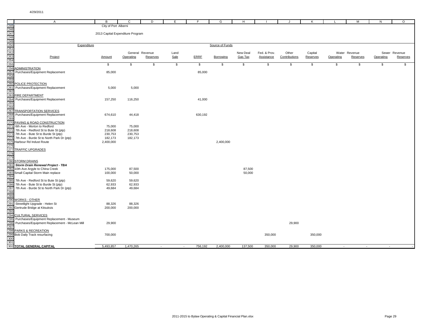|                          | $\overline{A}$                                | B                                | C         | D               | E            | -F      | G               | H        |              | - J           | K        | L         | M             | N         | $\circ$       |
|--------------------------|-----------------------------------------------|----------------------------------|-----------|-----------------|--------------|---------|-----------------|----------|--------------|---------------|----------|-----------|---------------|-----------|---------------|
|                          |                                               | City of Port Alberni             |           |                 |              |         |                 |          |              |               |          |           |               |           |               |
|                          |                                               |                                  |           |                 |              |         |                 |          |              |               |          |           |               |           |               |
|                          |                                               | 2013 Capital Expenditure Program |           |                 |              |         |                 |          |              |               |          |           |               |           |               |
|                          |                                               |                                  |           |                 |              |         |                 |          |              |               |          |           |               |           |               |
|                          |                                               |                                  |           |                 |              |         |                 |          |              |               |          |           |               |           |               |
|                          | Expenditure                                   |                                  |           |                 |              |         | Source of Funds |          |              |               |          |           |               |           |               |
|                          |                                               |                                  |           |                 |              |         |                 |          |              |               |          |           |               |           |               |
|                          |                                               |                                  |           | General Revenue | Land         |         |                 | New Deal | Fed. & Prov. | Other         | Capital  |           | Water Revenue |           | Sewer Revenue |
|                          | Project                                       | Amount                           | Operating | Reserves        | Sale         | ERRE    | Borrowing       | Gas Tax  | Assistance   | Contributions | Reserves | Operating | Reserves      | Operating | Reserves      |
|                          |                                               |                                  |           |                 |              |         |                 |          |              |               |          |           |               |           |               |
|                          |                                               | \$                               | \$        | \$              | $\mathbb{S}$ | \$      | \$              | \$       | \$           | \$            | \$       | \$        | \$            | \$        | \$            |
|                          | ADMINISTRATION                                |                                  |           |                 |              |         |                 |          |              |               |          |           |               |           |               |
|                          | Purchases/Equipment Replacement               | 85,000                           |           |                 |              | 85,000  |                 |          |              |               |          |           |               |           |               |
|                          |                                               |                                  |           |                 |              |         |                 |          |              |               |          |           |               |           |               |
|                          |                                               |                                  |           |                 |              |         |                 |          |              |               |          |           |               |           |               |
|                          | POLICE PROTECTION                             |                                  |           |                 |              |         |                 |          |              |               |          |           |               |           |               |
|                          | Purchases/Equipment Replacement               | 5,000                            | 5,000     |                 |              |         |                 |          |              |               |          |           |               |           |               |
| 261<br>262<br>263        |                                               |                                  |           |                 |              |         |                 |          |              |               |          |           |               |           |               |
|                          | FIRE DEPARTMENT                               |                                  |           |                 |              |         |                 |          |              |               |          |           |               |           |               |
|                          | Purchases/Equipment Replacement               | 157,250                          | 116,250   |                 |              | 41,000  |                 |          |              |               |          |           |               |           |               |
| 264<br>265<br>266<br>267 |                                               |                                  |           |                 |              |         |                 |          |              |               |          |           |               |           |               |
|                          |                                               |                                  |           |                 |              |         |                 |          |              |               |          |           |               |           |               |
|                          | <b>TRANSPORTATION SERVICES</b>                |                                  |           |                 |              |         |                 |          |              |               |          |           |               |           |               |
|                          | Purchases/Equipment Replacement               | 674,610                          | 44,418    |                 |              | 630,192 |                 |          |              |               |          |           |               |           |               |
|                          |                                               |                                  |           |                 |              |         |                 |          |              |               |          |           |               |           |               |
| 270                      | PAVING & ROAD CONSTRUCTION                    |                                  |           |                 |              |         |                 |          |              |               |          |           |               |           |               |
| 271                      | 6th Ave - Morton to Redford                   | 75,000                           | 75,000    |                 |              |         |                 |          |              |               |          |           |               |           |               |
|                          | 7th Ave - Redford St to Bute St (ptp)         | 218,608                          | 218,608   |                 |              |         |                 |          |              |               |          |           |               |           |               |
|                          | 7th Ave - Bute St to Burde St (ptp)           | 230,753                          | 230,753   |                 |              |         |                 |          |              |               |          |           |               |           |               |
| 274                      | 7th Ave - Burde St to North Park Dr (ptp)     | 182,173                          | 182,173   |                 |              |         |                 |          |              |               |          |           |               |           |               |
| 275                      | Harbour Rd Indust Route                       | 2,400,000                        |           |                 |              |         | 2,400,000       |          |              |               |          |           |               |           |               |
|                          |                                               |                                  |           |                 |              |         |                 |          |              |               |          |           |               |           |               |
| 277                      | TRAFFIC UPGRADES                              |                                  |           |                 |              |         |                 |          |              |               |          |           |               |           |               |
|                          |                                               |                                  |           |                 |              |         |                 |          |              |               |          |           |               |           |               |
| 278<br>279<br>280        |                                               |                                  |           |                 |              |         |                 |          |              |               |          |           |               |           |               |
|                          | <b>STORM DRAINS</b>                           |                                  |           |                 |              |         |                 |          |              |               |          |           |               |           |               |
| 28 <sup>2</sup>          | Storm Drain Renewal Project - TBA             |                                  |           |                 |              |         |                 |          |              |               |          |           |               |           |               |
|                          | 10th Ave Argyle to China Creek                | 175,000                          | 87,500    |                 |              |         |                 | 87,500   |              |               |          |           |               |           |               |
|                          | Small Capital Storm Main replace              | 100,000                          | 50,000    |                 |              |         |                 | 50,000   |              |               |          |           |               |           |               |
| 284                      |                                               |                                  |           |                 |              |         |                 |          |              |               |          |           |               |           |               |
|                          | 7th Ave - Redford St to Bute St (ptp)         | 59,620                           | 59,620    |                 |              |         |                 |          |              |               |          |           |               |           |               |
|                          | 7th Ave - Bute St to Burde St (ptp)           | 62,933                           | 62,933    |                 |              |         |                 |          |              |               |          |           |               |           |               |
| 287                      | 7th Ave - Burde St to North Park Dr (ptp)     | 49,684                           | 49,684    |                 |              |         |                 |          |              |               |          |           |               |           |               |
| 288                      |                                               |                                  |           |                 |              |         |                 |          |              |               |          |           |               |           |               |
| 289                      |                                               |                                  |           |                 |              |         |                 |          |              |               |          |           |               |           |               |
| 290                      | <b>WORKS - OTHER</b>                          |                                  |           |                 |              |         |                 |          |              |               |          |           |               |           |               |
| 291<br>292               | Streetlight Upgrade - Helen St                | 88,326                           | 88,326    |                 |              |         |                 |          |              |               |          |           |               |           |               |
|                          | Gertrude Bridge at Kitsuksis                  | 200,000                          | 200,000   |                 |              |         |                 |          |              |               |          |           |               |           |               |
|                          |                                               |                                  |           |                 |              |         |                 |          |              |               |          |           |               |           |               |
| 294                      | <b>CULTURAL SERVICES</b>                      |                                  |           |                 |              |         |                 |          |              |               |          |           |               |           |               |
|                          | Purchases/Equipment Replacement - Museum      |                                  |           |                 |              |         |                 |          |              |               |          |           |               |           |               |
| 296                      | Purchases/Equipment Replacement - McLean Mill | 29,900                           |           |                 |              |         |                 |          |              | 29,900        |          |           |               |           |               |
| 297                      |                                               |                                  |           |                 |              |         |                 |          |              |               |          |           |               |           |               |
| 298                      | <b>PARKS &amp; RECREATION</b>                 |                                  |           |                 |              |         |                 |          |              |               |          |           |               |           |               |
| 299<br>300               | <b>Bob Daily Track resurfacing</b>            | 700,000                          |           |                 |              |         |                 |          | 350,000      |               | 350,000  |           |               |           |               |
|                          |                                               |                                  |           |                 |              |         |                 |          |              |               |          |           |               |           |               |
|                          | 301<br>302 <mark>TOTAL GENERAL CAPITAL</mark> |                                  |           |                 |              |         |                 |          |              |               |          |           |               |           |               |
|                          |                                               | 5,493,857                        | 1,470,265 | $\sim$          | $\sim$       | 756,192 | 2,400,000       | 137,500  | 350,000      | 29,900        | 350,000  | $\sim$    | $\sim$        | $\sim$    |               |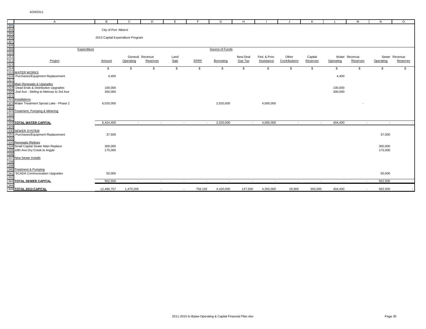| $\mathbf{C}$<br>$\overline{A}$<br>B<br>D<br>E<br>G<br>Н.<br>K<br>City of Port Alberni                                                                         | М<br>N                         | $\circ$  |
|---------------------------------------------------------------------------------------------------------------------------------------------------------------|--------------------------------|----------|
|                                                                                                                                                               |                                |          |
|                                                                                                                                                               |                                |          |
|                                                                                                                                                               |                                |          |
|                                                                                                                                                               |                                |          |
| 2013 Capital Expenditure Program                                                                                                                              |                                |          |
|                                                                                                                                                               |                                |          |
|                                                                                                                                                               |                                |          |
| Source of Funds<br>Expenditure                                                                                                                                |                                |          |
| Other<br>General Revenue<br>New Deal<br>Fed. & Prov.<br>Capital<br>Land                                                                                       | Sewer Revenue<br>Water Revenue |          |
| ERRE<br>Project<br>Sale<br>Gas Tax<br>Contributions<br>Reserves<br>Operating<br>Reserves<br>Borrowing<br><b>Assistance</b><br>Operating<br>Amount             | Operating<br>Reserves          | Reserves |
|                                                                                                                                                               |                                |          |
| \$<br>\$<br>\$<br>$\mathbb{S}$<br>\$<br>\$<br>\$<br>\$<br>\$<br>$\mathbb{S}$<br>\$                                                                            | \$<br>\$                       | S.       |
| 315<br><b>WATER WORKS</b>                                                                                                                                     |                                |          |
| 316<br>Purchases/Equipment Replacement<br>4,400<br>4,400                                                                                                      |                                |          |
| 317                                                                                                                                                           |                                |          |
| 318 Main Renewals & Upgrades                                                                                                                                  |                                |          |
| Dead Ends & Distribution Upgrades<br>100,000<br>100,000<br>319                                                                                                |                                |          |
| 320<br>2nd Ave - Stirling to Melrose to 3rd Ave<br>300,000<br>300,000                                                                                         |                                |          |
| 321<br>322                                                                                                                                                    |                                |          |
| Installations                                                                                                                                                 |                                |          |
| 323<br>Water Treatment Sproat Lake - Phase 2<br>6,020,000<br>2,020,000<br>4,000,000                                                                           |                                |          |
| 324                                                                                                                                                           |                                |          |
| 325<br>Treatment, Pumping & Metering                                                                                                                          |                                |          |
| 326<br>327                                                                                                                                                    |                                |          |
| 328 TOTAL WATER CAPITAL<br>2,020,000<br>6,424,400<br>4,000,000<br>404,400<br>$\sim$<br>$\sim$<br>$\sim$<br>$\sim$<br>$\sim$<br>$\sim$<br>$\sim$               | $\sim$<br>$\sim$               |          |
| 329                                                                                                                                                           |                                |          |
|                                                                                                                                                               |                                |          |
| 330 SEWER SYSTEM<br>331 Purchases/Equipm<br>332<br>Purchases/Equipment Replacement<br>37,500                                                                  | 37,500                         |          |
|                                                                                                                                                               |                                |          |
| <u>oco.</u><br>333 Renewals /Relines<br>334 Small Capital Sewer Main Replace<br>335 10th Ave Dry Creek to Argyle                                              |                                |          |
| 300,000                                                                                                                                                       | 300,000                        |          |
| 175,000                                                                                                                                                       | 175,000                        |          |
| 336                                                                                                                                                           |                                |          |
| $\frac{1}{337}$<br><b>New Sewer Installs</b>                                                                                                                  |                                |          |
| 338<br>339<br>340                                                                                                                                             |                                |          |
|                                                                                                                                                               |                                |          |
| <b>Treatment &amp; Pumping</b>                                                                                                                                |                                |          |
| 341<br><b>SCADA Communication Upgrades</b><br>50,000<br>342                                                                                                   | 50,000                         |          |
| 562,500<br>343 TOTAL SEWER CAPITAL<br>$\sim$<br>$\sim$<br>$\sim$<br>$\sim$<br>$\sim$<br>$\sim$<br>$\sim$<br>$\sim$<br>$\sim$<br>$\sim$                        | 562,500<br>$\sim$              |          |
| 344                                                                                                                                                           |                                |          |
| 345 TOTAL 2013 CAPITAL<br>12,480,757<br>756,192<br>137,500<br>4,350,000<br>350,000<br>1,470,265<br>4,420,000<br>29,900<br>404,400<br>$\overline{\phantom{a}}$ | 562.500                        |          |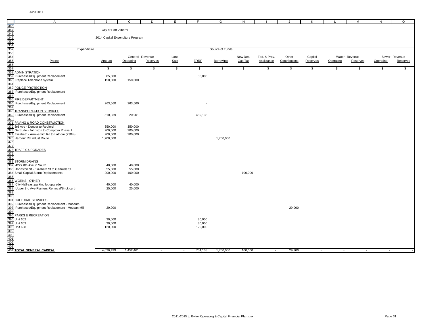| 346                                                                              | $\mathsf{A}$                                                                                 | В                    | $\mathsf{C}$                     | D                           | E          | E                           | G               | H                           |              | J.            | К                        |           | M                           | N                  | $\circ$       |
|----------------------------------------------------------------------------------|----------------------------------------------------------------------------------------------|----------------------|----------------------------------|-----------------------------|------------|-----------------------------|-----------------|-----------------------------|--------------|---------------|--------------------------|-----------|-----------------------------|--------------------|---------------|
|                                                                                  |                                                                                              | City of Port Alberni |                                  |                             |            |                             |                 |                             |              |               |                          |           |                             |                    |               |
|                                                                                  |                                                                                              |                      |                                  |                             |            |                             |                 |                             |              |               |                          |           |                             |                    |               |
|                                                                                  |                                                                                              |                      | 2014 Capital Expenditure Program |                             |            |                             |                 |                             |              |               |                          |           |                             |                    |               |
|                                                                                  |                                                                                              |                      |                                  |                             |            |                             |                 |                             |              |               |                          |           |                             |                    |               |
| 347<br>348<br>349<br>350<br>350<br>352<br>352<br>353<br>354<br>355<br>356<br>357 | Expenditure                                                                                  |                      |                                  |                             |            |                             | Source of Funds |                             |              |               |                          |           |                             |                    |               |
|                                                                                  |                                                                                              |                      |                                  |                             |            |                             |                 |                             |              |               |                          |           |                             |                    |               |
|                                                                                  |                                                                                              |                      |                                  | General Revenue             | Land       |                             |                 | New Deal                    | Fed. & Prov. | Other         | Capital                  |           | Water Revenue               |                    | Sewer Revenue |
|                                                                                  | Project                                                                                      | Amount               | Operating                        | Reserves                    | Sale       | <b>ERRF</b>                 | Borrowing       | Gas Tax                     | Assistance   | Contributions | Reserves                 | Operating | Reserves                    | Operating          | Reserves      |
|                                                                                  |                                                                                              | $\mathbf{s}$         | $\mathbf{\hat{s}}$               | $\boldsymbol{\hat{\theta}}$ | $\sqrt{2}$ | $\boldsymbol{\hat{\theta}}$ | $\mathbf{s}$    | $\boldsymbol{\hat{\theta}}$ | S            | $\sqrt{3}$    | $\mathbf{s}$             | \$        | $\boldsymbol{\hat{\theta}}$ | $\mathbf{\hat{s}}$ | \$            |
| 358                                                                              | ADMINISTRATION                                                                               |                      |                                  |                             |            |                             |                 |                             |              |               |                          |           |                             |                    |               |
| 359                                                                              | Purchases/Equipment Replacement                                                              | 85,000               |                                  |                             |            | 85,000                      |                 |                             |              |               |                          |           |                             |                    |               |
| 360                                                                              | Replace Telephone system                                                                     | 150,000              | 150,000                          |                             |            |                             |                 |                             |              |               |                          |           |                             |                    |               |
| 361                                                                              |                                                                                              |                      |                                  |                             |            |                             |                 |                             |              |               |                          |           |                             |                    |               |
| 362<br>363                                                                       | POLICE PROTECTION<br>Purchases/Equipment Replacement                                         |                      |                                  |                             |            |                             |                 |                             |              |               |                          |           |                             |                    |               |
| 364                                                                              |                                                                                              |                      |                                  |                             |            |                             |                 |                             |              |               |                          |           |                             |                    |               |
| 365                                                                              | FIRE DEPARTMENT                                                                              |                      |                                  |                             |            |                             |                 |                             |              |               |                          |           |                             |                    |               |
| 366                                                                              | Purchases/Equipment Replacement                                                              | 263,560              | 263,560                          |                             |            |                             |                 |                             |              |               |                          |           |                             |                    |               |
| 367<br>368                                                                       | <b>TRANSPORTATION SERVICES</b>                                                               |                      |                                  |                             |            |                             |                 |                             |              |               |                          |           |                             |                    |               |
| 369                                                                              | Purchases/Equipment Replacement                                                              | 510,039              | 20,901                           |                             |            | 489,138                     |                 |                             |              |               |                          |           |                             |                    |               |
| 370                                                                              |                                                                                              |                      |                                  |                             |            |                             |                 |                             |              |               |                          |           |                             |                    |               |
| 371                                                                              | PAVING & ROAD CONSTRUCTION                                                                   |                      |                                  |                             |            |                             |                 |                             |              |               |                          |           |                             |                    |               |
| 372                                                                              | 3rd Ave - Dunbar to Redford                                                                  | 350,000              | 350,000                          |                             |            |                             |                 |                             |              |               |                          |           |                             |                    |               |
|                                                                                  | 373 Gertrude - Johnston to Comptom Phase 1<br>374 Elizabeth - Arrowsmith Rd to Lathom (230m) | 200,000<br>200,000   | 200,000<br>200,000               |                             |            |                             |                 |                             |              |               |                          |           |                             |                    |               |
| 375                                                                              | Harbour Rd Indust Route                                                                      | 1,700,000            |                                  |                             |            |                             | 1,700,000       |                             |              |               |                          |           |                             |                    |               |
| 376                                                                              |                                                                                              |                      |                                  |                             |            |                             |                 |                             |              |               |                          |           |                             |                    |               |
| 377                                                                              |                                                                                              |                      |                                  |                             |            |                             |                 |                             |              |               |                          |           |                             |                    |               |
| 378<br>379                                                                       | <b>TRAFFIC UPGRADES</b>                                                                      |                      |                                  |                             |            |                             |                 |                             |              |               |                          |           |                             |                    |               |
| 380                                                                              |                                                                                              |                      |                                  |                             |            |                             |                 |                             |              |               |                          |           |                             |                    |               |
| 381                                                                              | <b>STORM DRAINS</b>                                                                          |                      |                                  |                             |            |                             |                 |                             |              |               |                          |           |                             |                    |               |
| 382                                                                              | 4227 8th Ave to South                                                                        | 48,000               | 48,000                           |                             |            |                             |                 |                             |              |               |                          |           |                             |                    |               |
| 383                                                                              | Johnston St - Elizabeth St to Gertrude St                                                    | 55,000               | 55,000                           |                             |            |                             |                 |                             |              |               |                          |           |                             |                    |               |
| 385                                                                              | 384 Small Capital Storm Replacements                                                         | 200,000              | 100,000                          |                             |            |                             |                 | 100,000                     |              |               |                          |           |                             |                    |               |
| 386                                                                              | <b>NORKS - OTHER</b>                                                                         |                      |                                  |                             |            |                             |                 |                             |              |               |                          |           |                             |                    |               |
| 387                                                                              | City Hall east parking lot upgrade                                                           | 40,000               | 40,000                           |                             |            |                             |                 |                             |              |               |                          |           |                             |                    |               |
| 388                                                                              | Upper 3rd Ave Planters Removal/Brick curb                                                    | 25,000               | 25,000                           |                             |            |                             |                 |                             |              |               |                          |           |                             |                    |               |
| 389<br>390                                                                       |                                                                                              |                      |                                  |                             |            |                             |                 |                             |              |               |                          |           |                             |                    |               |
| 391                                                                              | CULTURAL SERVICES                                                                            |                      |                                  |                             |            |                             |                 |                             |              |               |                          |           |                             |                    |               |
| 392                                                                              | Purchases/Equipment Replacement - Museum                                                     |                      |                                  |                             |            |                             |                 |                             |              |               |                          |           |                             |                    |               |
| 393                                                                              | Purchases/Equipment Replacement - McLean Mill                                                | 29,900               |                                  |                             |            |                             |                 |                             |              | 29,900        |                          |           |                             |                    |               |
| 394<br>395                                                                       |                                                                                              |                      |                                  |                             |            |                             |                 |                             |              |               |                          |           |                             |                    |               |
| 396                                                                              | <b>PARKS &amp; RECREATION</b><br>Unit 602                                                    | 30,000               |                                  |                             |            | 30,000                      |                 |                             |              |               |                          |           |                             |                    |               |
| 397                                                                              | <b>Unit 603</b>                                                                              | 30,000               |                                  |                             |            | 30,000                      |                 |                             |              |               |                          |           |                             |                    |               |
|                                                                                  | 398 Unit 608                                                                                 | 120,000              |                                  |                             |            | 120,000                     |                 |                             |              |               |                          |           |                             |                    |               |
|                                                                                  |                                                                                              |                      |                                  |                             |            |                             |                 |                             |              |               |                          |           |                             |                    |               |
|                                                                                  |                                                                                              |                      |                                  |                             |            |                             |                 |                             |              |               |                          |           |                             |                    |               |
| 399<br>400<br>401<br>402                                                         |                                                                                              |                      |                                  |                             |            |                             |                 |                             |              |               |                          |           |                             |                    |               |
| 403                                                                              |                                                                                              |                      |                                  |                             |            |                             |                 |                             |              |               |                          |           |                             |                    |               |
|                                                                                  | 404 TOTAL GENERAL CAPITAL                                                                    | 4,036,499            | 1,452,461                        | $\sim$                      | $\sim$     | 754,138                     | 1,700,000       | 100,000                     | $\sim$       | 29,900        | $\overline{\phantom{a}}$ | $\sim$    | $\sim$                      |                    |               |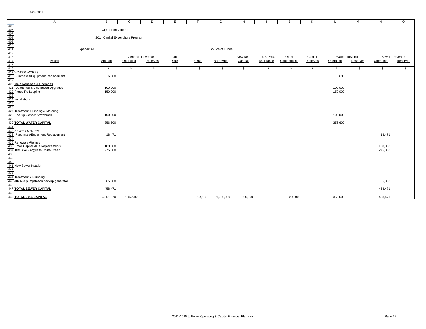|                 | $\mathsf{A}$                                                                                                                                                                                                   | B                                | $\mathbf{C}$ | D                  | E      | E                | G                        | H            |                   | J                           | K                        | <b>L</b>     | M              | N         | $\circ$       |
|-----------------|----------------------------------------------------------------------------------------------------------------------------------------------------------------------------------------------------------------|----------------------------------|--------------|--------------------|--------|------------------|--------------------------|--------------|-------------------|-----------------------------|--------------------------|--------------|----------------|-----------|---------------|
|                 | A<br>405<br>406<br>408<br>409<br>411<br>411<br>411<br>411<br>415<br>415<br>Purchases/Equipment Replacement<br>418<br>Purchases/Equipment Replacement<br>418                                                    |                                  |              |                    |        |                  |                          |              |                   |                             |                          |              |                |           |               |
|                 |                                                                                                                                                                                                                | City of Port Alberni             |              |                    |        |                  |                          |              |                   |                             |                          |              |                |           |               |
|                 |                                                                                                                                                                                                                |                                  |              |                    |        |                  |                          |              |                   |                             |                          |              |                |           |               |
|                 |                                                                                                                                                                                                                | 2014 Capital Expenditure Program |              |                    |        |                  |                          |              |                   |                             |                          |              |                |           |               |
|                 |                                                                                                                                                                                                                |                                  |              |                    |        |                  |                          |              |                   |                             |                          |              |                |           |               |
|                 |                                                                                                                                                                                                                |                                  |              |                    |        |                  |                          |              |                   |                             |                          |              |                |           |               |
|                 | Expenditure                                                                                                                                                                                                    |                                  |              |                    |        |                  | Source of Funds          |              |                   |                             |                          |              |                |           |               |
|                 |                                                                                                                                                                                                                |                                  |              | General Revenue    | Land   |                  |                          | New Deal     | Fed. & Prov.      | Other                       | Capital                  |              | Water Revenue  |           | Sewer Revenue |
|                 |                                                                                                                                                                                                                | Amount                           | Operating    | Reserves           | Sale   | <b>ERRF</b>      | Borrowing                | Gas Tax      | <b>Assistance</b> | Contributions               | Reserves                 | Operating    | Reserves       | Operating | Reserves      |
|                 |                                                                                                                                                                                                                |                                  |              |                    |        |                  |                          |              |                   |                             |                          |              |                |           |               |
|                 |                                                                                                                                                                                                                | s.                               | \$           | $\mathbf{\hat{s}}$ | \$     | $\mathfrak{s}$   | \$                       | $\mathbf{s}$ | \$                | $\boldsymbol{\hat{\theta}}$ | $\sqrt{3}$               | $\mathbf{s}$ | $\mathsf{s}$   | \$.       | \$            |
|                 |                                                                                                                                                                                                                |                                  |              |                    |        |                  |                          |              |                   |                             |                          |              |                |           |               |
|                 |                                                                                                                                                                                                                | 6,600                            |              |                    |        |                  |                          |              |                   |                             |                          | 6,600        |                |           |               |
|                 |                                                                                                                                                                                                                |                                  |              |                    |        |                  |                          |              |                   |                             |                          |              |                |           |               |
|                 | 419<br>419<br>420 Main Renewals & Upgrades                                                                                                                                                                     |                                  |              |                    |        |                  |                          |              |                   |                             |                          |              |                |           |               |
| 421             | Deadends & Distribution Upgrades                                                                                                                                                                               | 100,000                          |              |                    |        |                  |                          |              |                   |                             |                          | 100,000      |                |           |               |
|                 |                                                                                                                                                                                                                | 150,000                          |              |                    |        |                  |                          |              |                   |                             |                          | 150,000      |                |           |               |
|                 |                                                                                                                                                                                                                |                                  |              |                    |        |                  |                          |              |                   |                             |                          |              |                |           |               |
|                 |                                                                                                                                                                                                                |                                  |              |                    |        |                  |                          |              |                   |                             |                          |              |                |           |               |
|                 | $\frac{421}{422}$ Pieadenas & Distribution Opgradence<br>$\frac{422}{423}$ Installations<br>$\frac{425}{426}$<br>$\frac{426}{426}$ Treatment, Pumping & Metering<br>$\frac{428}{428}$ Backup Genset Arrowsmith |                                  |              |                    |        |                  |                          |              |                   |                             |                          |              |                |           |               |
|                 |                                                                                                                                                                                                                |                                  |              |                    |        |                  |                          |              |                   |                             |                          |              |                |           |               |
|                 |                                                                                                                                                                                                                |                                  |              |                    |        |                  |                          |              |                   |                             |                          |              |                |           |               |
|                 |                                                                                                                                                                                                                | 100,000                          |              |                    |        |                  |                          |              |                   |                             |                          | 100,000      |                |           |               |
| $\frac{1}{429}$ |                                                                                                                                                                                                                |                                  |              |                    |        |                  |                          |              |                   |                             |                          |              |                |           |               |
| 430             | TOTAL WATER CAPITAL                                                                                                                                                                                            | 356,600                          | $\sim$       | $\sim$             |        | $\sim$<br>$\sim$ | $\sim$                   | $\sim$       | $\sim$            | $\sim$                      | $\sim$                   | 356,600      | $\sim$         | $\sim$    |               |
| 431             |                                                                                                                                                                                                                |                                  |              |                    |        |                  |                          |              |                   |                             |                          |              |                |           |               |
|                 | 432 SEWER SYSTEM<br>433 Purchases/Equipm                                                                                                                                                                       |                                  |              |                    |        |                  |                          |              |                   |                             |                          |              |                |           |               |
|                 | Purchases/Equipment Replacement                                                                                                                                                                                | 18,471                           |              |                    |        |                  |                          |              |                   |                             |                          |              |                | 18,471    |               |
|                 | 434<br>435 Renewals / Relines                                                                                                                                                                                  |                                  |              |                    |        |                  |                          |              |                   |                             |                          |              |                |           |               |
|                 | 436 Small Capital Main Replacements                                                                                                                                                                            | 100,000                          |              |                    |        |                  |                          |              |                   |                             |                          |              |                | 100,000   |               |
|                 | 10th Ave - Argyle to China Creek                                                                                                                                                                               | 275,000                          |              |                    |        |                  |                          |              |                   |                             |                          |              |                | 275,000   |               |
|                 | $\frac{437}{438}$ 10th Ave - Argyle to<br>$\frac{437}{438}$<br>$\frac{439}{440}$<br>$\frac{440}{441}$ New Sewer Installs                                                                                       |                                  |              |                    |        |                  |                          |              |                   |                             |                          |              |                |           |               |
|                 |                                                                                                                                                                                                                |                                  |              |                    |        |                  |                          |              |                   |                             |                          |              |                |           |               |
|                 |                                                                                                                                                                                                                |                                  |              |                    |        |                  |                          |              |                   |                             |                          |              |                |           |               |
|                 |                                                                                                                                                                                                                |                                  |              |                    |        |                  |                          |              |                   |                             |                          |              |                |           |               |
|                 |                                                                                                                                                                                                                |                                  |              |                    |        |                  |                          |              |                   |                             |                          |              |                |           |               |
|                 |                                                                                                                                                                                                                |                                  |              |                    |        |                  |                          |              |                   |                             |                          |              |                |           |               |
|                 |                                                                                                                                                                                                                |                                  |              |                    |        |                  |                          |              |                   |                             |                          |              |                |           |               |
|                 | 112<br>442<br>443<br>444 Treatment & Pumping<br>445 4th Ave pumpstation backup generator                                                                                                                       | 65,000                           |              |                    |        |                  |                          |              |                   |                             |                          |              |                | 65,000    |               |
| 446             |                                                                                                                                                                                                                |                                  |              |                    |        |                  |                          |              |                   |                             |                          |              |                |           |               |
|                 | <b>447 TOTAL SEWER CAPITAL</b>                                                                                                                                                                                 | 458,471                          | $\sim$       | $\sim$             | $\sim$ | $\sim$           | $\overline{\phantom{a}}$ | $\sim$       | $\sim$            | $\overline{\phantom{a}}$    | $\overline{\phantom{a}}$ | $\sim$       | $\overline{a}$ | 458,471   |               |
|                 | 448<br>448<br>449 TOTAL 2014 CAPITAL                                                                                                                                                                           |                                  |              |                    |        |                  |                          |              |                   |                             |                          |              |                |           |               |
|                 |                                                                                                                                                                                                                | 4,851,570                        | 1,452,461    |                    | $\sim$ | 754,138          | 1,700,000                | 100,000      | $\sim$            | 29,900                      | $\overline{a}$           | 356,600      |                | 458,471   |               |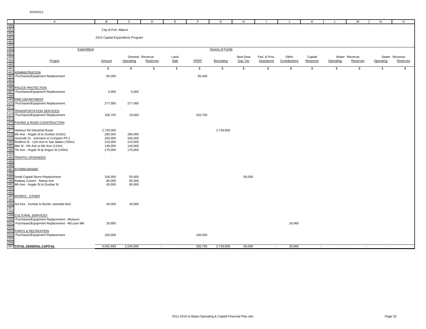|                                                                                         | $\overline{A}$                                                                              | B                                | $\mathbf C$        | D               | E.     | E       | G               | H        |                   | $\cdot$       | K        |           | M             | N         | $\circ$       |
|-----------------------------------------------------------------------------------------|---------------------------------------------------------------------------------------------|----------------------------------|--------------------|-----------------|--------|---------|-----------------|----------|-------------------|---------------|----------|-----------|---------------|-----------|---------------|
|                                                                                         |                                                                                             |                                  |                    |                 |        |         |                 |          |                   |               |          |           |               |           |               |
|                                                                                         |                                                                                             | City of Port Alberni             |                    |                 |        |         |                 |          |                   |               |          |           |               |           |               |
|                                                                                         |                                                                                             |                                  |                    |                 |        |         |                 |          |                   |               |          |           |               |           |               |
|                                                                                         |                                                                                             | 2015 Capital Expenditure Program |                    |                 |        |         |                 |          |                   |               |          |           |               |           |               |
|                                                                                         |                                                                                             |                                  |                    |                 |        |         |                 |          |                   |               |          |           |               |           |               |
|                                                                                         |                                                                                             |                                  |                    |                 |        |         |                 |          |                   |               |          |           |               |           |               |
|                                                                                         | Expenditure                                                                                 |                                  |                    |                 |        |         | Source of Funds |          |                   |               |          |           |               |           |               |
|                                                                                         |                                                                                             |                                  |                    |                 |        |         |                 |          |                   |               |          |           |               |           |               |
|                                                                                         |                                                                                             |                                  |                    | General Revenue | Land   |         |                 | New Deal | Fed. & Prov.      | Other         | Capital  |           | Water Revenue |           | Sewer Revenue |
|                                                                                         | Project                                                                                     | Amount                           | Operating          | Reserves        | Sale   | ERRF    | Borrowing       | Gas Tax  | <b>Assistance</b> | Contributions | Reserves | Operating | Reserves      | Operating | Reserves      |
|                                                                                         |                                                                                             | \$                               | \$                 | \$              | \$     | \$      | \$              | \$       | \$                | \$            | \$       | \$        | \$            | \$        | \$            |
| 450<br>451<br>452<br>453<br>454<br>453<br>461<br>462<br>462<br>463<br>463<br>463<br>463 | <b>ADMINISTRATION</b>                                                                       |                                  |                    |                 |        |         |                 |          |                   |               |          |           |               |           |               |
|                                                                                         | Purchases/Equipment Replacement                                                             | 85,000                           |                    |                 |        | 85,000  |                 |          |                   |               |          |           |               |           |               |
|                                                                                         |                                                                                             |                                  |                    |                 |        |         |                 |          |                   |               |          |           |               |           |               |
|                                                                                         |                                                                                             |                                  |                    |                 |        |         |                 |          |                   |               |          |           |               |           |               |
| 465<br>466<br>467                                                                       | POLICE PROTECTION                                                                           |                                  |                    |                 |        |         |                 |          |                   |               |          |           |               |           |               |
|                                                                                         | Purchases/Equipment Replacement                                                             | 5,000                            | 5,000              |                 |        |         |                 |          |                   |               |          |           |               |           |               |
|                                                                                         | 468<br>469 FIRE DEPARTMENT                                                                  |                                  |                    |                 |        |         |                 |          |                   |               |          |           |               |           |               |
| 470                                                                                     | Purchases/Equipment Replacement                                                             | 277,000                          | 277,000            |                 |        |         |                 |          |                   |               |          |           |               |           |               |
|                                                                                         |                                                                                             |                                  |                    |                 |        |         |                 |          |                   |               |          |           |               |           |               |
|                                                                                         | 471<br>472 TRANSPORTATION SERVICES                                                          |                                  |                    |                 |        |         |                 |          |                   |               |          |           |               |           |               |
| 473                                                                                     | Purchases/Equipment Replacement                                                             | 169,793                          | 19,000             |                 |        | 150,793 |                 |          |                   |               |          |           |               |           |               |
| 474                                                                                     |                                                                                             |                                  |                    |                 |        |         |                 |          |                   |               |          |           |               |           |               |
|                                                                                         | <mark>475 PAVING &amp; ROAD CONSTRUCTION</mark><br>476                                      |                                  |                    |                 |        |         |                 |          |                   |               |          |           |               |           |               |
|                                                                                         |                                                                                             |                                  |                    |                 |        |         |                 |          |                   |               |          |           |               |           |               |
|                                                                                         | 477 Harbour Rd Industrial Route                                                             | 2,730,000                        |                    |                 |        |         | 2,730,000       |          |                   |               |          |           |               |           |               |
|                                                                                         | 478 6th Ave - Argyle St to Dunbar (410m)                                                    | 280,000                          | 280,000            |                 |        |         |                 |          |                   |               |          |           |               |           |               |
|                                                                                         | 479 Gertrude St - Johnston to Compton Ph 2<br>480 Redford St - 11th Ave to San Mateo (700m) | 200,000<br>210,000               | 200,000<br>210,000 |                 |        |         |                 |          |                   |               |          |           |               |           |               |
|                                                                                         | 481 Mar St - 5th Ave to 6th Ave (110m)                                                      | 140,000                          | 140,000            |                 |        |         |                 |          |                   |               |          |           |               |           |               |
|                                                                                         | 482 7th Ave - Argyle St tp Angus St (140m)                                                  | 175,000                          | 175,000            |                 |        |         |                 |          |                   |               |          |           |               |           |               |
| 483                                                                                     |                                                                                             |                                  |                    |                 |        |         |                 |          |                   |               |          |           |               |           |               |
|                                                                                         | 484<br>484 TRAFFIC UPGRADES                                                                 | $\sim$                           |                    |                 |        |         |                 |          |                   |               |          |           |               |           |               |
|                                                                                         |                                                                                             |                                  |                    |                 |        |         |                 |          |                   |               |          |           |               |           |               |
|                                                                                         |                                                                                             |                                  |                    |                 |        |         |                 |          |                   |               |          |           |               |           |               |
|                                                                                         | <del>436</del><br>487 STORM DRAINS<br>488<br>489 Small Capital Storm Replacement            |                                  |                    |                 |        |         |                 |          |                   |               |          |           |               |           |               |
|                                                                                         |                                                                                             | 100,000                          | 50,000             |                 |        |         |                 | 50,000   |                   |               |          |           |               |           |               |
|                                                                                         | 490 Railway Culvert - Stamp Ave                                                             | 85,000                           | 85,000             |                 |        |         |                 |          |                   |               |          |           |               |           |               |
|                                                                                         | 491 6th Ave - Argyle St to Dunbar St                                                        | 65,000                           | 65,000             |                 |        |         |                 |          |                   |               |          |           |               |           |               |
| 492<br>493                                                                              |                                                                                             |                                  |                    |                 |        |         |                 |          |                   |               |          |           |               |           |               |
|                                                                                         |                                                                                             |                                  |                    |                 |        |         |                 |          |                   |               |          |           |               |           |               |
| 494                                                                                     | <b>WORKS - OTHER</b>                                                                        |                                  |                    |                 |        |         |                 |          |                   |               |          |           |               |           |               |
| 495                                                                                     | 496 3rd Ave - Dunbar to Burde, eastside blvd                                                | 40,000                           | 40,000             |                 |        |         |                 |          |                   |               |          |           |               |           |               |
|                                                                                         |                                                                                             |                                  |                    |                 |        |         |                 |          |                   |               |          |           |               |           |               |
|                                                                                         |                                                                                             |                                  |                    |                 |        |         |                 |          |                   |               |          |           |               |           |               |
|                                                                                         | 499<br>498<br>499 CULTURAL SERVICES<br>500 Purchases/Equipment Replacement - Museum         |                                  |                    |                 |        |         |                 |          |                   |               |          |           |               |           |               |
|                                                                                         |                                                                                             |                                  |                    |                 |        |         |                 |          |                   |               |          |           |               |           |               |
|                                                                                         | 501 Purchases/Equipment Replacement - McLean Mill                                           | 29,900                           |                    |                 |        |         |                 |          |                   | 29,900        |          |           |               |           |               |
| 502                                                                                     |                                                                                             |                                  |                    |                 |        |         |                 |          |                   |               |          |           |               |           |               |
|                                                                                         | 503 PARKS & RECREATION<br>504 Purchases/Equipment Replacement                               |                                  |                    |                 |        |         |                 |          |                   |               |          |           |               |           |               |
| 505                                                                                     |                                                                                             | 100,000                          |                    |                 |        | 100,000 |                 |          |                   |               |          |           |               |           |               |
| 506                                                                                     |                                                                                             |                                  |                    |                 |        |         |                 |          |                   |               |          |           |               |           |               |
|                                                                                         | 507 TOTAL GENERAL CAPITAL                                                                   | 4,691,693                        | 1,546,000          | $\sim$          | $\sim$ | 335,793 | 2,730,000       | 50,000   | $\sim$            | 29,900        | $\sim$   | $\sim$    | $\sim$        | $\sim$    |               |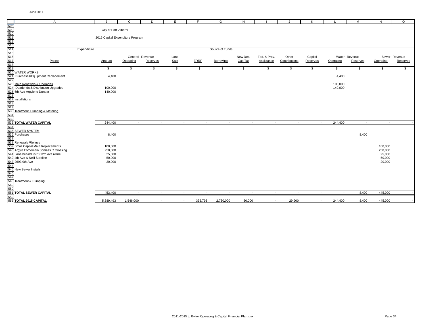|                                               | $\overline{A}$                                                             | B                                | $\mathbf{C}$ | D                        | E      | F.          | G               | H              |                   | J.            | К                        |           | M             | N                 | $\circ$       |
|-----------------------------------------------|----------------------------------------------------------------------------|----------------------------------|--------------|--------------------------|--------|-------------|-----------------|----------------|-------------------|---------------|--------------------------|-----------|---------------|-------------------|---------------|
|                                               |                                                                            |                                  |              |                          |        |             |                 |                |                   |               |                          |           |               |                   |               |
|                                               |                                                                            | City of Port Alberni             |              |                          |        |             |                 |                |                   |               |                          |           |               |                   |               |
|                                               |                                                                            | 2015 Capital Expenditure Program |              |                          |        |             |                 |                |                   |               |                          |           |               |                   |               |
|                                               |                                                                            |                                  |              |                          |        |             |                 |                |                   |               |                          |           |               |                   |               |
|                                               |                                                                            |                                  |              |                          |        |             |                 |                |                   |               |                          |           |               |                   |               |
|                                               | Expenditure                                                                |                                  |              |                          |        |             | Source of Funds |                |                   |               |                          |           |               |                   |               |
|                                               |                                                                            |                                  |              |                          |        |             |                 |                |                   |               |                          |           |               |                   |               |
|                                               |                                                                            |                                  |              | General Revenue          | Land   |             |                 | New Deal       | Fed. & Prov.      | Other         | Capital                  |           | Water Revenue |                   | Sewer Revenue |
|                                               | Project                                                                    | Amount                           | Operating    | Reserves                 | Sale   | <b>ERRF</b> | Borrowing       | <b>Gas Tax</b> | <b>Assistance</b> | Contributions | Reserves                 | Operating | Reserves      | Operating         | Reserves      |
|                                               |                                                                            |                                  |              |                          |        |             |                 |                |                   |               |                          |           |               |                   |               |
| 519                                           |                                                                            | \$                               | \$           | \$                       | \$     | \$          | \$              | \$             | \$                | \$            | \$                       | \$        | \$            | \$                | \$            |
| 520                                           | <b>WATER WORKS</b>                                                         |                                  |              |                          |        |             |                 |                |                   |               |                          |           |               |                   |               |
| 521                                           | Purchases/Equipment Replacement                                            | 4,400                            |              |                          |        |             |                 |                |                   |               |                          | 4,400     |               |                   |               |
| 522                                           |                                                                            |                                  |              |                          |        |             |                 |                |                   |               |                          |           |               |                   |               |
| 523                                           | Main Renewals & Upgrades                                                   |                                  |              |                          |        |             |                 |                |                   |               |                          | 100,000   |               |                   |               |
| 524                                           | Deadends & Distribution Upgrades<br>525 6th Ave Argyle to Dunbar           | 100,000<br>140,000               |              |                          |        |             |                 |                |                   |               |                          | 140,000   |               |                   |               |
|                                               |                                                                            |                                  |              |                          |        |             |                 |                |                   |               |                          |           |               |                   |               |
| 526<br>527<br>528<br>529<br>530               | Installations                                                              |                                  |              |                          |        |             |                 |                |                   |               |                          |           |               |                   |               |
|                                               |                                                                            |                                  |              |                          |        |             |                 |                |                   |               |                          |           |               |                   |               |
|                                               |                                                                            |                                  |              |                          |        |             |                 |                |                   |               |                          |           |               |                   |               |
|                                               | Treatment, Pumping & Metering                                              |                                  |              |                          |        |             |                 |                |                   |               |                          |           |               |                   |               |
| $\frac{535}{531}$                             |                                                                            |                                  |              |                          |        |             |                 |                |                   |               |                          |           |               |                   |               |
|                                               |                                                                            |                                  |              |                          |        |             |                 |                |                   |               |                          |           |               |                   |               |
| 533                                           | <b>TOTAL WATER CAPITAL</b>                                                 | 244,400                          | $\sim$       | $\sim$                   | $\sim$ | $\sim$      | $\sim$          | $\sim$         | $\sim$            | $\sim$        | $\sim$                   | 244,400   | $\sim$        | $\sim$            |               |
| 534                                           |                                                                            |                                  |              |                          |        |             |                 |                |                   |               |                          |           |               |                   |               |
| 535                                           | <b>SEWER SYSTEM</b>                                                        |                                  |              |                          |        |             |                 |                |                   |               |                          |           |               |                   |               |
|                                               | 333 SEWER STSTEM<br>536 Purchases<br>537 Renewals / Relines                | 8,400                            |              |                          |        |             |                 |                |                   |               |                          |           | 8,400         |                   |               |
|                                               |                                                                            |                                  |              |                          |        |             |                 |                |                   |               |                          |           |               |                   |               |
|                                               |                                                                            |                                  |              |                          |        |             |                 |                |                   |               |                          |           |               |                   |               |
|                                               | 539 Small Capital Main Replacements                                        | 100,000                          |              |                          |        |             |                 |                |                   |               |                          |           |               | 100,000           |               |
| 541                                           | 540 Argyle Forcemain Somass R Crossing<br>Lane behind 2573 12th ave reline | 250,000<br>25,000                |              |                          |        |             |                 |                |                   |               |                          |           |               | 250,000<br>25,000 |               |
|                                               |                                                                            | 50,000                           |              |                          |        |             |                 |                |                   |               |                          |           |               | 50,000            |               |
|                                               | 542 4th Ave & Neill St reline<br>543 2693 9th Ave                          | 20,000                           |              |                          |        |             |                 |                |                   |               |                          |           |               | 20,000            |               |
|                                               |                                                                            |                                  |              |                          |        |             |                 |                |                   |               |                          |           |               |                   |               |
|                                               | <b>New Sewer Installs</b>                                                  |                                  |              |                          |        |             |                 |                |                   |               |                          |           |               |                   |               |
|                                               |                                                                            |                                  |              |                          |        |             |                 |                |                   |               |                          |           |               |                   |               |
|                                               |                                                                            |                                  |              |                          |        |             |                 |                |                   |               |                          |           |               |                   |               |
|                                               | <b>Treatment &amp; Pumping</b>                                             |                                  |              |                          |        |             |                 |                |                   |               |                          |           |               |                   |               |
| 544<br>545<br>546<br>547<br>548<br>549<br>550 |                                                                            |                                  |              |                          |        |             |                 |                |                   |               |                          |           |               |                   |               |
|                                               |                                                                            |                                  |              |                          |        |             |                 |                |                   |               |                          |           |               |                   |               |
| 551                                           | <b>TOTAL SEWER CAPITAL</b>                                                 | 453,400                          | $\sim$       | $\sim$                   | $\sim$ | $\sim$      | $\sim$          | $\sim$         | $\sim$            | $\sim$        | $\sim$                   | $\sim$    | 8,400         | 445,000           |               |
| 552                                           |                                                                            |                                  |              |                          |        |             |                 |                |                   |               |                          |           |               |                   |               |
|                                               | 553 TOTAL 2015 CAPITAL                                                     | 5,389,493                        | 1,546,000    | $\overline{\phantom{a}}$ |        | 335,793     | 2,730,000       | 50,000         | $\sim$            | 29,900        | $\overline{\phantom{a}}$ | 244,400   | 8,400         | 445,000           |               |